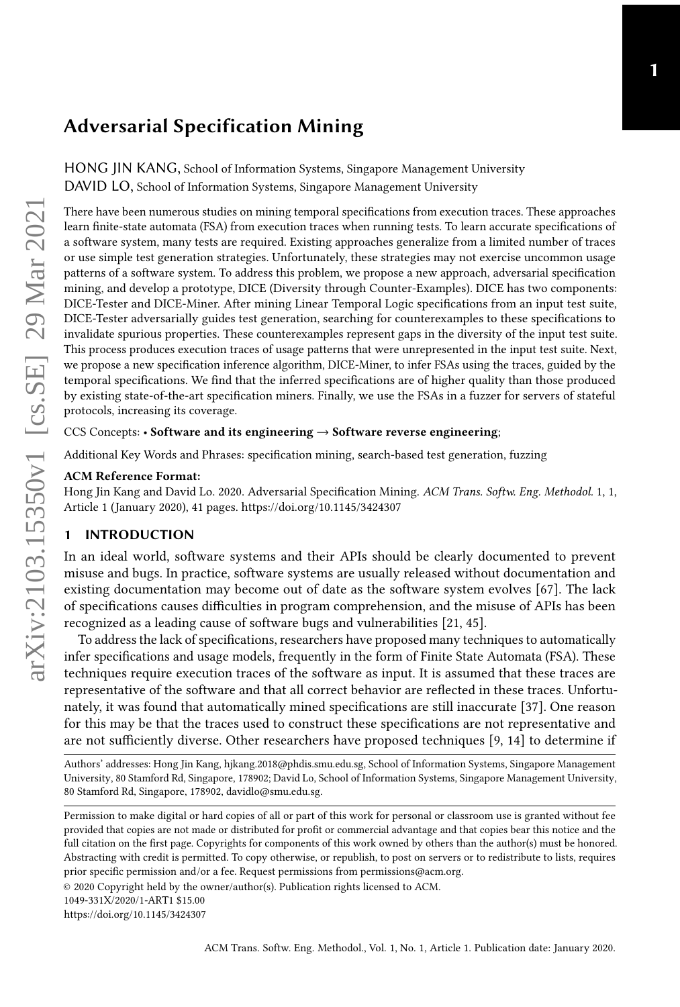# Adversarial Specification Mining

HONG JIN KANG, School of Information Systems, Singapore Management University DAVID LO, School of Information Systems, Singapore Management University

There have been numerous studies on mining temporal specifications from execution traces. These approaches learn finite-state automata (FSA) from execution traces when running tests. To learn accurate specifications of a software system, many tests are required. Existing approaches generalize from a limited number of traces or use simple test generation strategies. Unfortunately, these strategies may not exercise uncommon usage patterns of a software system. To address this problem, we propose a new approach, adversarial specification mining, and develop a prototype, DICE (Diversity through Counter-Examples). DICE has two components: DICE-Tester and DICE-Miner. After mining Linear Temporal Logic specifications from an input test suite, DICE-Tester adversarially guides test generation, searching for counterexamples to these specifications to invalidate spurious properties. These counterexamples represent gaps in the diversity of the input test suite. This process produces execution traces of usage patterns that were unrepresented in the input test suite. Next, we propose a new specification inference algorithm, DICE-Miner, to infer FSAs using the traces, guided by the temporal specifications. We find that the inferred specifications are of higher quality than those produced by existing state-of-the-art specification miners. Finally, we use the FSAs in a fuzzer for servers of stateful protocols, increasing its coverage.

#### CCS Concepts: • Software and its engineering  $\rightarrow$  Software reverse engineering;

Additional Key Words and Phrases: specification mining, search-based test generation, fuzzing

#### ACM Reference Format:

Hong Jin Kang and David Lo. 2020. Adversarial Specification Mining. ACM Trans. Softw. Eng. Methodol. 1, 1, Article 1 (January 2020), [41](#page-40-0) pages.<https://doi.org/10.1145/3424307>

#### 1 INTRODUCTION

In an ideal world, software systems and their APIs should be clearly documented to prevent misuse and bugs. In practice, software systems are usually released without documentation and existing documentation may become out of date as the software system evolves [\[67\]](#page-40-1). The lack of specifications causes difficulties in program comprehension, and the misuse of APIs has been recognized as a leading cause of software bugs and vulnerabilities [\[21,](#page-38-0) [45\]](#page-39-0).

To address the lack of specifications, researchers have proposed many techniques to automatically infer specifications and usage models, frequently in the form of Finite State Automata (FSA). These techniques require execution traces of the software as input. It is assumed that these traces are representative of the software and that all correct behavior are reflected in these traces. Unfortunately, it was found that automatically mined specifications are still inaccurate [\[37\]](#page-38-1). One reason for this may be that the traces used to construct these specifications are not representative and are not sufficiently diverse. Other researchers have proposed techniques [\[9,](#page-37-0) [14\]](#page-37-1) to determine if

Authors' addresses: Hong Jin Kang, hjkang.2018@phdis.smu.edu.sg, School of Information Systems, Singapore Management University, 80 Stamford Rd, Singapore, 178902; David Lo, School of Information Systems, Singapore Management University, 80 Stamford Rd, Singapore, 178902, davidlo@smu.edu.sg.

Permission to make digital or hard copies of all or part of this work for personal or classroom use is granted without fee provided that copies are not made or distributed for profit or commercial advantage and that copies bear this notice and the full citation on the first page. Copyrights for components of this work owned by others than the author(s) must be honored. Abstracting with credit is permitted. To copy otherwise, or republish, to post on servers or to redistribute to lists, requires prior specific permission and/or a fee. Request permissions from permissions@acm.org.

© 2020 Copyright held by the owner/author(s). Publication rights licensed to ACM.

<sup>1049-331</sup>X/2020/1-ART1 \$15.00

<https://doi.org/10.1145/3424307>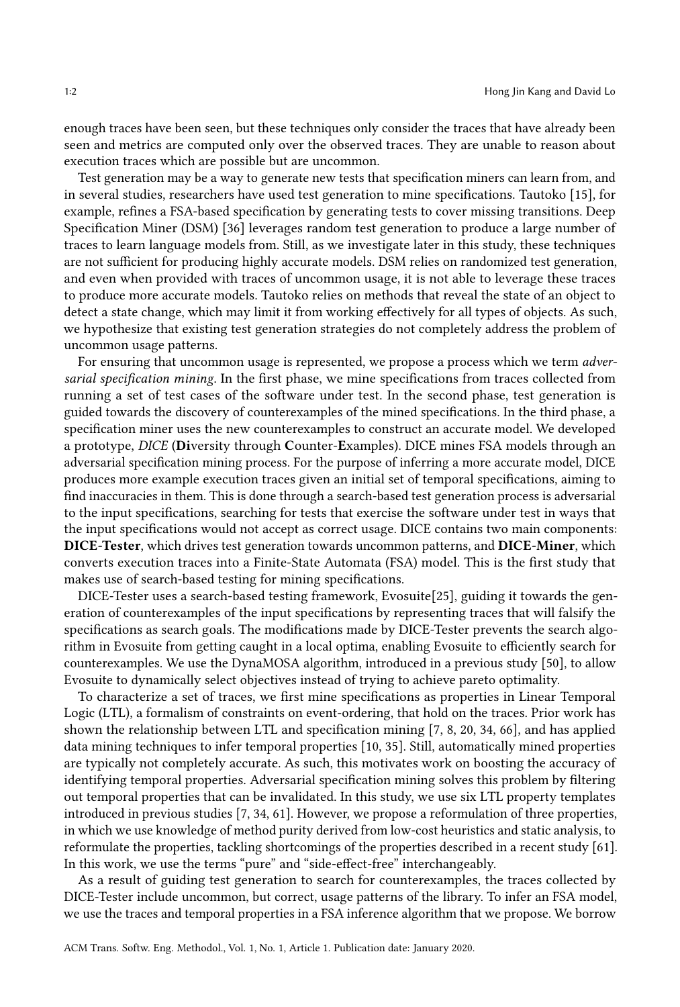enough traces have been seen, but these techniques only consider the traces that have already been seen and metrics are computed only over the observed traces. They are unable to reason about execution traces which are possible but are uncommon.

Test generation may be a way to generate new tests that specification miners can learn from, and in several studies, researchers have used test generation to mine specifications. Tautoko [\[15\]](#page-37-2), for example, refines a FSA-based specification by generating tests to cover missing transitions. Deep Specification Miner (DSM) [\[36\]](#page-38-2) leverages random test generation to produce a large number of traces to learn language models from. Still, as we investigate later in this study, these techniques are not sufficient for producing highly accurate models. DSM relies on randomized test generation, and even when provided with traces of uncommon usage, it is not able to leverage these traces to produce more accurate models. Tautoko relies on methods that reveal the state of an object to detect a state change, which may limit it from working effectively for all types of objects. As such, we hypothesize that existing test generation strategies do not completely address the problem of uncommon usage patterns.

For ensuring that uncommon usage is represented, we propose a process which we term *adver*sarial specification mining. In the first phase, we mine specifications from traces collected from running a set of test cases of the software under test. In the second phase, test generation is guided towards the discovery of counterexamples of the mined specifications. In the third phase, a specification miner uses the new counterexamples to construct an accurate model. We developed a prototype, DICE (Diversity through Counter-Examples). DICE mines FSA models through an adversarial specification mining process. For the purpose of inferring a more accurate model, DICE produces more example execution traces given an initial set of temporal specifications, aiming to find inaccuracies in them. This is done through a search-based test generation process is adversarial to the input specifications, searching for tests that exercise the software under test in ways that the input specifications would not accept as correct usage. DICE contains two main components: DICE-Tester, which drives test generation towards uncommon patterns, and DICE-Miner, which converts execution traces into a Finite-State Automata (FSA) model. This is the first study that makes use of search-based testing for mining specifications.

DICE-Tester uses a search-based testing framework, Evosuite[\[25\]](#page-38-3), guiding it towards the generation of counterexamples of the input specifications by representing traces that will falsify the specifications as search goals. The modifications made by DICE-Tester prevents the search algorithm in Evosuite from getting caught in a local optima, enabling Evosuite to efficiently search for counterexamples. We use the DynaMOSA algorithm, introduced in a previous study [\[50\]](#page-39-1), to allow Evosuite to dynamically select objectives instead of trying to achieve pareto optimality.

To characterize a set of traces, we first mine specifications as properties in Linear Temporal Logic (LTL), a formalism of constraints on event-ordering, that hold on the traces. Prior work has shown the relationship between LTL and specification mining [\[7,](#page-37-3) [8,](#page-37-4) [20,](#page-38-4) [34,](#page-38-5) [66\]](#page-40-2), and has applied data mining techniques to infer temporal properties [\[10,](#page-37-5) [35\]](#page-38-6). Still, automatically mined properties are typically not completely accurate. As such, this motivates work on boosting the accuracy of identifying temporal properties. Adversarial specification mining solves this problem by filtering out temporal properties that can be invalidated. In this study, we use six LTL property templates introduced in previous studies [\[7,](#page-37-3) [34,](#page-38-5) [61\]](#page-39-2). However, we propose a reformulation of three properties, in which we use knowledge of method purity derived from low-cost heuristics and static analysis, to reformulate the properties, tackling shortcomings of the properties described in a recent study [\[61\]](#page-39-2). In this work, we use the terms "pure" and "side-effect-free" interchangeably.

As a result of guiding test generation to search for counterexamples, the traces collected by DICE-Tester include uncommon, but correct, usage patterns of the library. To infer an FSA model, we use the traces and temporal properties in a FSA inference algorithm that we propose. We borrow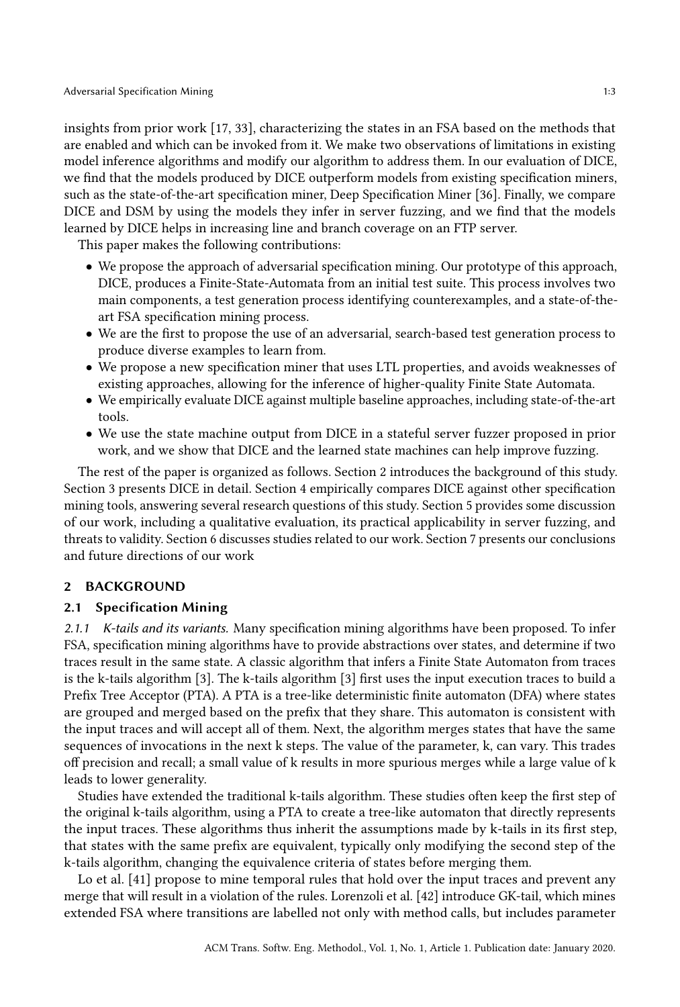insights from prior work [\[17,](#page-37-6) [33\]](#page-38-7), characterizing the states in an FSA based on the methods that are enabled and which can be invoked from it. We make two observations of limitations in existing model inference algorithms and modify our algorithm to address them. In our evaluation of DICE, we find that the models produced by DICE outperform models from existing specification miners, such as the state-of-the-art specification miner, Deep Specification Miner [\[36\]](#page-38-2). Finally, we compare DICE and DSM by using the models they infer in server fuzzing, and we find that the models learned by DICE helps in increasing line and branch coverage on an FTP server.

This paper makes the following contributions:

- We propose the approach of adversarial specification mining. Our prototype of this approach, DICE, produces a Finite-State-Automata from an initial test suite. This process involves two main components, a test generation process identifying counterexamples, and a state-of-theart FSA specification mining process.
- We are the first to propose the use of an adversarial, search-based test generation process to produce diverse examples to learn from.
- We propose a new specification miner that uses LTL properties, and avoids weaknesses of existing approaches, allowing for the inference of higher-quality Finite State Automata.
- We empirically evaluate DICE against multiple baseline approaches, including state-of-the-art tools.
- We use the state machine output from DICE in a stateful server fuzzer proposed in prior work, and we show that DICE and the learned state machines can help improve fuzzing.

The rest of the paper is organized as follows. Section [2](#page-2-0) introduces the background of this study. Section [3](#page-7-0) presents DICE in detail. Section [4](#page-21-0) empirically compares DICE against other specification mining tools, answering several research questions of this study. Section [5](#page-26-0) provides some discussion of our work, including a qualitative evaluation, its practical applicability in server fuzzing, and threats to validity. Section [6](#page-35-0) discusses studies related to our work. Section [7](#page-36-0) presents our conclusions and future directions of our work

### <span id="page-2-0"></span>2 BACKGROUND

## 2.1 Specification Mining

2.1.1 K-tails and its variants. Many specification mining algorithms have been proposed. To infer FSA, specification mining algorithms have to provide abstractions over states, and determine if two traces result in the same state. A classic algorithm that infers a Finite State Automaton from traces is the k-tails algorithm [\[3\]](#page-37-7). The k-tails algorithm [\[3\]](#page-37-7) first uses the input execution traces to build a Prefix Tree Acceptor (PTA). A PTA is a tree-like deterministic finite automaton (DFA) where states are grouped and merged based on the prefix that they share. This automaton is consistent with the input traces and will accept all of them. Next, the algorithm merges states that have the same sequences of invocations in the next k steps. The value of the parameter, k, can vary. This trades off precision and recall; a small value of k results in more spurious merges while a large value of k leads to lower generality.

Studies have extended the traditional k-tails algorithm. These studies often keep the first step of the original k-tails algorithm, using a PTA to create a tree-like automaton that directly represents the input traces. These algorithms thus inherit the assumptions made by k-tails in its first step, that states with the same prefix are equivalent, typically only modifying the second step of the k-tails algorithm, changing the equivalence criteria of states before merging them.

Lo et al. [\[41\]](#page-39-3) propose to mine temporal rules that hold over the input traces and prevent any merge that will result in a violation of the rules. Lorenzoli et al. [\[42\]](#page-39-4) introduce GK-tail, which mines extended FSA where transitions are labelled not only with method calls, but includes parameter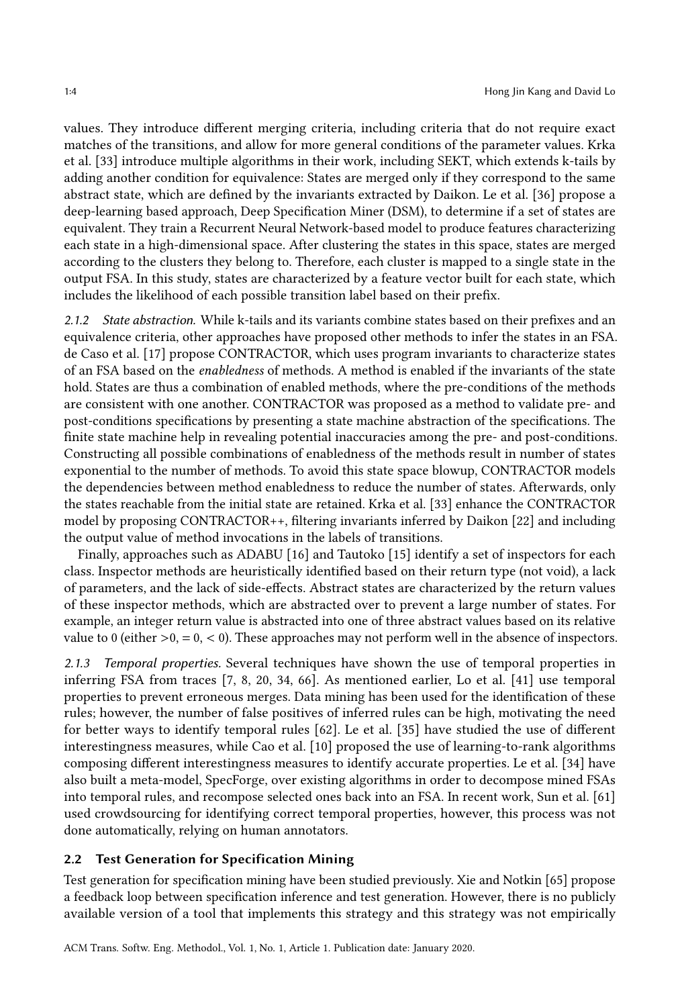values. They introduce different merging criteria, including criteria that do not require exact matches of the transitions, and allow for more general conditions of the parameter values. Krka et al. [\[33\]](#page-38-7) introduce multiple algorithms in their work, including SEKT, which extends k-tails by adding another condition for equivalence: States are merged only if they correspond to the same abstract state, which are defined by the invariants extracted by Daikon. Le et al. [\[36\]](#page-38-2) propose a deep-learning based approach, Deep Specification Miner (DSM), to determine if a set of states are equivalent. They train a Recurrent Neural Network-based model to produce features characterizing each state in a high-dimensional space. After clustering the states in this space, states are merged according to the clusters they belong to. Therefore, each cluster is mapped to a single state in the output FSA. In this study, states are characterized by a feature vector built for each state, which includes the likelihood of each possible transition label based on their prefix.

<span id="page-3-0"></span>2.1.2 State abstraction. While k-tails and its variants combine states based on their prefixes and an equivalence criteria, other approaches have proposed other methods to infer the states in an FSA. de Caso et al. [\[17\]](#page-37-6) propose CONTRACTOR, which uses program invariants to characterize states of an FSA based on the enabledness of methods. A method is enabled if the invariants of the state hold. States are thus a combination of enabled methods, where the pre-conditions of the methods are consistent with one another. CONTRACTOR was proposed as a method to validate pre- and post-conditions specifications by presenting a state machine abstraction of the specifications. The finite state machine help in revealing potential inaccuracies among the pre- and post-conditions. Constructing all possible combinations of enabledness of the methods result in number of states exponential to the number of methods. To avoid this state space blowup, CONTRACTOR models the dependencies between method enabledness to reduce the number of states. Afterwards, only the states reachable from the initial state are retained. Krka et al. [\[33\]](#page-38-7) enhance the CONTRACTOR model by proposing CONTRACTOR++, filtering invariants inferred by Daikon [\[22\]](#page-38-8) and including the output value of method invocations in the labels of transitions.

Finally, approaches such as ADABU [\[16\]](#page-37-8) and Tautoko [\[15\]](#page-37-2) identify a set of inspectors for each class. Inspector methods are heuristically identified based on their return type (not void), a lack of parameters, and the lack of side-effects. Abstract states are characterized by the return values of these inspector methods, which are abstracted over to prevent a large number of states. For example, an integer return value is abstracted into one of three abstract values based on its relative value to 0 (either  $>0, = 0, < 0$ ). These approaches may not perform well in the absence of inspectors.

2.1.3 Temporal properties. Several techniques have shown the use of temporal properties in inferring FSA from traces [\[7,](#page-37-3) [8,](#page-37-4) [20,](#page-38-4) [34,](#page-38-5) [66\]](#page-40-2). As mentioned earlier, Lo et al. [\[41\]](#page-39-3) use temporal properties to prevent erroneous merges. Data mining has been used for the identification of these rules; however, the number of false positives of inferred rules can be high, motivating the need for better ways to identify temporal rules [\[62\]](#page-39-5). Le et al. [\[35\]](#page-38-6) have studied the use of different interestingness measures, while Cao et al. [\[10\]](#page-37-5) proposed the use of learning-to-rank algorithms composing different interestingness measures to identify accurate properties. Le et al. [\[34\]](#page-38-5) have also built a meta-model, SpecForge, over existing algorithms in order to decompose mined FSAs into temporal rules, and recompose selected ones back into an FSA. In recent work, Sun et al. [\[61\]](#page-39-2) used crowdsourcing for identifying correct temporal properties, however, this process was not done automatically, relying on human annotators.

## 2.2 Test Generation for Specification Mining

Test generation for specification mining have been studied previously. Xie and Notkin [\[65\]](#page-40-3) propose a feedback loop between specification inference and test generation. However, there is no publicly available version of a tool that implements this strategy and this strategy was not empirically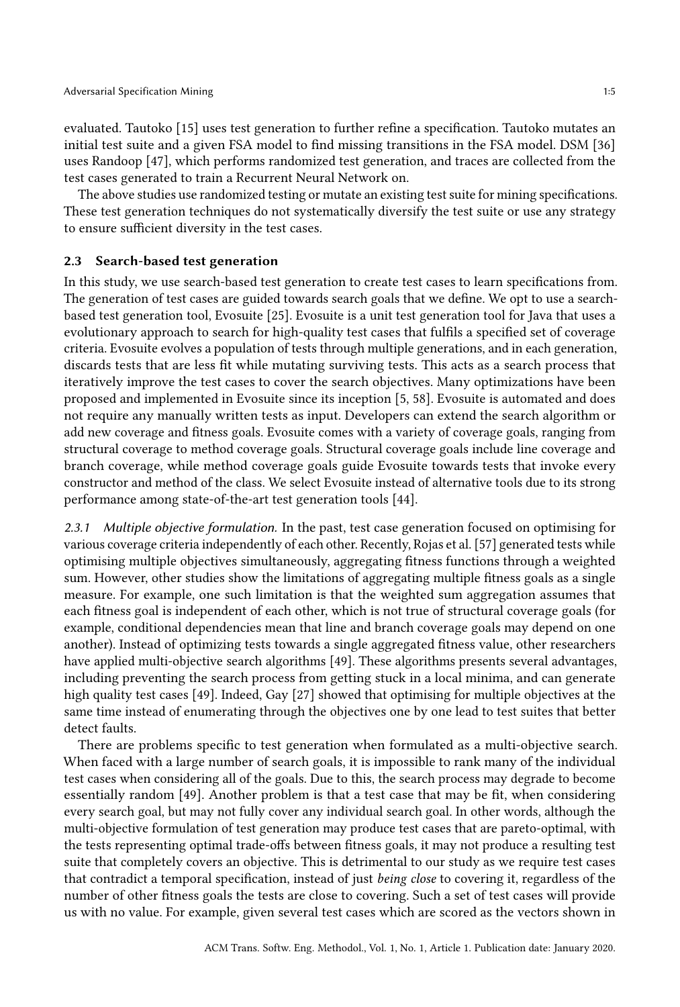evaluated. Tautoko [\[15\]](#page-37-2) uses test generation to further refine a specification. Tautoko mutates an initial test suite and a given FSA model to find missing transitions in the FSA model. DSM [\[36\]](#page-38-2) uses Randoop [\[47\]](#page-39-6), which performs randomized test generation, and traces are collected from the test cases generated to train a Recurrent Neural Network on.

The above studies use randomized testing or mutate an existing test suite for mining specifications. These test generation techniques do not systematically diversify the test suite or use any strategy to ensure sufficient diversity in the test cases.

#### 2.3 Search-based test generation

In this study, we use search-based test generation to create test cases to learn specifications from. The generation of test cases are guided towards search goals that we define. We opt to use a searchbased test generation tool, Evosuite [\[25\]](#page-38-3). Evosuite is a unit test generation tool for Java that uses a evolutionary approach to search for high-quality test cases that fulfils a specified set of coverage criteria. Evosuite evolves a population of tests through multiple generations, and in each generation, discards tests that are less fit while mutating surviving tests. This acts as a search process that iteratively improve the test cases to cover the search objectives. Many optimizations have been proposed and implemented in Evosuite since its inception [\[5,](#page-37-9) [58\]](#page-39-7). Evosuite is automated and does not require any manually written tests as input. Developers can extend the search algorithm or add new coverage and fitness goals. Evosuite comes with a variety of coverage goals, ranging from structural coverage to method coverage goals. Structural coverage goals include line coverage and branch coverage, while method coverage goals guide Evosuite towards tests that invoke every constructor and method of the class. We select Evosuite instead of alternative tools due to its strong performance among state-of-the-art test generation tools [\[44\]](#page-39-8).

2.3.1 Multiple objective formulation. In the past, test case generation focused on optimising for various coverage criteria independently of each other. Recently, Rojas et al. [\[57\]](#page-39-9) generated tests while optimising multiple objectives simultaneously, aggregating fitness functions through a weighted sum. However, other studies show the limitations of aggregating multiple fitness goals as a single measure. For example, one such limitation is that the weighted sum aggregation assumes that each fitness goal is independent of each other, which is not true of structural coverage goals (for example, conditional dependencies mean that line and branch coverage goals may depend on one another). Instead of optimizing tests towards a single aggregated fitness value, other researchers have applied multi-objective search algorithms [\[49\]](#page-39-10). These algorithms presents several advantages, including preventing the search process from getting stuck in a local minima, and can generate high quality test cases [\[49\]](#page-39-10). Indeed, Gay [\[27\]](#page-38-9) showed that optimising for multiple objectives at the same time instead of enumerating through the objectives one by one lead to test suites that better detect faults.

There are problems specific to test generation when formulated as a multi-objective search. When faced with a large number of search goals, it is impossible to rank many of the individual test cases when considering all of the goals. Due to this, the search process may degrade to become essentially random [\[49\]](#page-39-10). Another problem is that a test case that may be fit, when considering every search goal, but may not fully cover any individual search goal. In other words, although the multi-objective formulation of test generation may produce test cases that are pareto-optimal, with the tests representing optimal trade-offs between fitness goals, it may not produce a resulting test suite that completely covers an objective. This is detrimental to our study as we require test cases that contradict a temporal specification, instead of just being close to covering it, regardless of the number of other fitness goals the tests are close to covering. Such a set of test cases will provide us with no value. For example, given several test cases which are scored as the vectors shown in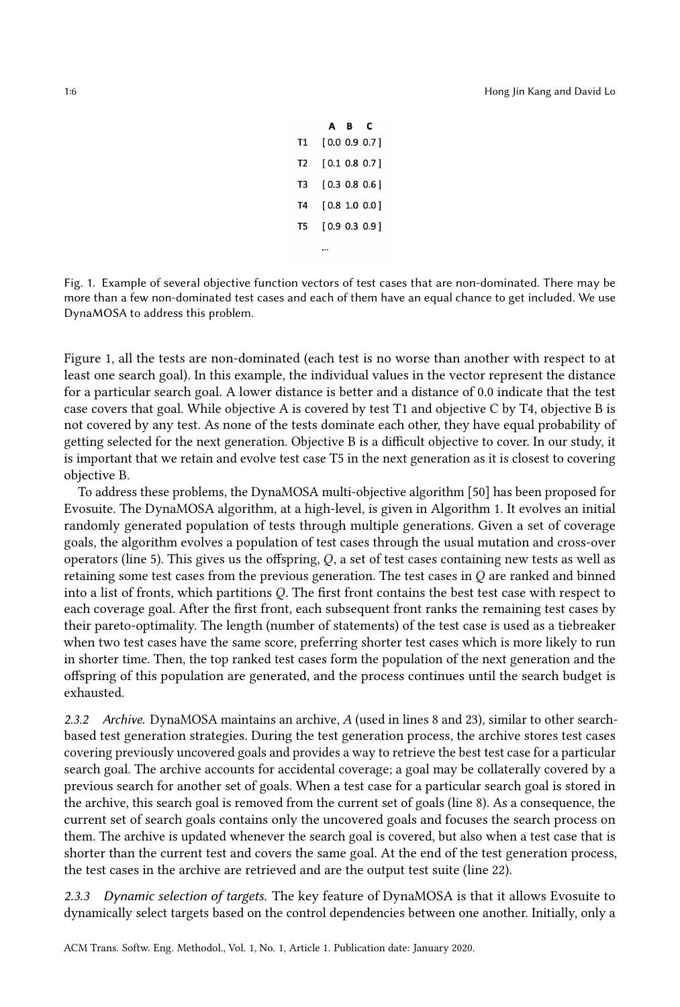|    | A B | с             |
|----|-----|---------------|
| Т1 |     | [0.0 0.9 0.7] |
| T2 |     | [0.1 0.8 0.7] |
| T3 |     | [0.3 0.8 0.6] |
| T4 |     | [0.8 1.0 0.0] |
| T5 |     | [0.9 0.3 0.9] |
|    |     |               |

<span id="page-5-0"></span>Fig. 1. Example of several objective function vectors of test cases that are non-dominated. There may be more than a few non-dominated test cases and each of them have an equal chance to get included. We use DynaMOSA to address this problem.

Figure [1,](#page-5-0) all the tests are non-dominated (each test is no worse than another with respect to at least one search goal). In this example, the individual values in the vector represent the distance for a particular search goal. A lower distance is better and a distance of 0.0 indicate that the test case covers that goal. While objective A is covered by test T1 and objective C by T4, objective B is not covered by any test. As none of the tests dominate each other, they have equal probability of getting selected for the next generation. Objective B is a difficult objective to cover. In our study, it is important that we retain and evolve test case T5 in the next generation as it is closest to covering objective B.

To address these problems, the DynaMOSA multi-objective algorithm [\[50\]](#page-39-1) has been proposed for Evosuite. The DynaMOSA algorithm, at a high-level, is given in Algorithm [1.](#page-6-0) It evolves an initial randomly generated population of tests through multiple generations. Given a set of coverage goals, the algorithm evolves a population of test cases through the usual mutation and cross-over operators (line 5). This gives us the offspring,  $Q$ , a set of test cases containing new tests as well as retaining some test cases from the previous generation. The test cases in  $Q$  are ranked and binned into a list of fronts, which partitions  $Q$ . The first front contains the best test case with respect to each coverage goal. After the first front, each subsequent front ranks the remaining test cases by their pareto-optimality. The length (number of statements) of the test case is used as a tiebreaker when two test cases have the same score, preferring shorter test cases which is more likely to run in shorter time. Then, the top ranked test cases form the population of the next generation and the offspring of this population are generated, and the process continues until the search budget is exhausted.

2.3.2 Archive. DynaMOSA maintains an archive, A (used in lines 8 and 23), similar to other searchbased test generation strategies. During the test generation process, the archive stores test cases covering previously uncovered goals and provides a way to retrieve the best test case for a particular search goal. The archive accounts for accidental coverage; a goal may be collaterally covered by a previous search for another set of goals. When a test case for a particular search goal is stored in the archive, this search goal is removed from the current set of goals (line 8). As a consequence, the current set of search goals contains only the uncovered goals and focuses the search process on them. The archive is updated whenever the search goal is covered, but also when a test case that is shorter than the current test and covers the same goal. At the end of the test generation process, the test cases in the archive are retrieved and are the output test suite (line 22).

2.3.3 Dynamic selection of targets. The key feature of DynaMOSA is that it allows Evosuite to dynamically select targets based on the control dependencies between one another. Initially, only a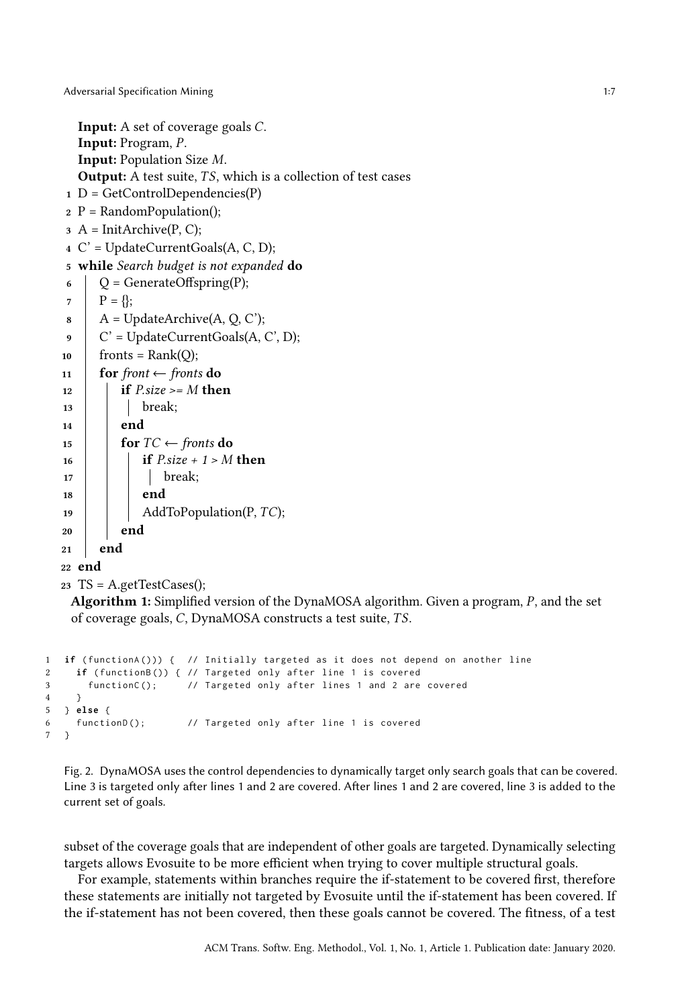```
Input: A set of coverage goals C.
  Input: Program, P.
  Input: Population Size M.
  Output: A test suite, TS, which is a collection of test cases
1 D = GetControlDependencies(P)2 P = RandomPopulation();3 A = InitArchive(P, C);4 C' = UpdateCurrentGoals(A, C, D);
5 while Search budget is not expanded do
6 \bigcup Q = GenerateOffspring(P);
7 | P = \{ \};8 \mid A = \text{UpdateArchive}(A, Q, C');\circ | C' = UpdateCurrentGoals(A, C', D);
10 | fronts = Rank(Q);
11 for front \leftarrow fronts do
12 if P.size >= M then
13 break;
_{14} | end
15 for TC \leftarrow fronts do
16 if P.size + 1 > M then
17 | | | break;
18 end
19 | \Box AddToPopulation(P, TC);
20 end
21 end
22 end
```

```
23 TS = A.getTestCases();
```
<span id="page-6-0"></span>**Algorithm 1:** Simplified version of the DynaMOSA algorithm. Given a program,  $P$ , and the set of coverage goals,  $C$ , DynaMOSA constructs a test suite,  $TS$ .

```
1 if ( functionA ())) { // Initially targeted as it does not depend on another line
2 if ( functionB ()) { // Targeted only after line 1 is covered
3 functionC (); // Targeted only after lines 1 and 2 are covered
4 }
5 } else {
6 functionD (); // Targeted only after line 1 is covered
7 }
```
Fig. 2. DynaMOSA uses the control dependencies to dynamically target only search goals that can be covered. Line 3 is targeted only after lines 1 and 2 are covered. After lines 1 and 2 are covered, line 3 is added to the current set of goals.

subset of the coverage goals that are independent of other goals are targeted. Dynamically selecting targets allows Evosuite to be more efficient when trying to cover multiple structural goals.

For example, statements within branches require the if-statement to be covered first, therefore these statements are initially not targeted by Evosuite until the if-statement has been covered. If the if-statement has not been covered, then these goals cannot be covered. The fitness, of a test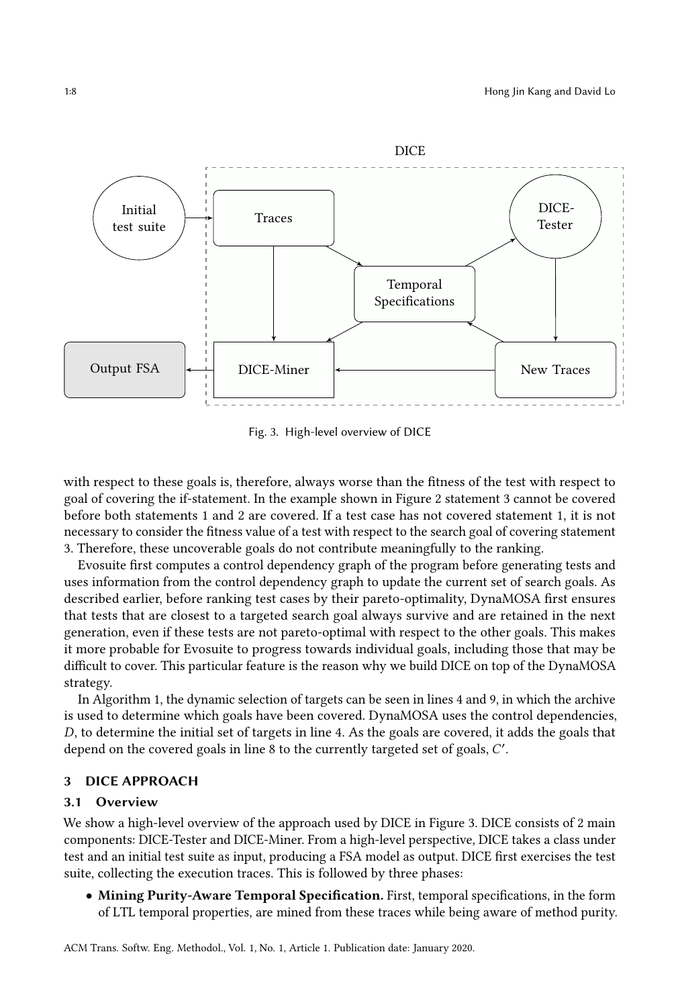<span id="page-7-1"></span>

Fig. 3. High-level overview of DICE

with respect to these goals is, therefore, always worse than the fitness of the test with respect to goal of covering the if-statement. In the example shown in Figure [2](#page-6-1) statement 3 cannot be covered before both statements 1 and 2 are covered. If a test case has not covered statement 1, it is not necessary to consider the fitness value of a test with respect to the search goal of covering statement 3. Therefore, these uncoverable goals do not contribute meaningfully to the ranking.

Evosuite first computes a control dependency graph of the program before generating tests and uses information from the control dependency graph to update the current set of search goals. As described earlier, before ranking test cases by their pareto-optimality, DynaMOSA first ensures that tests that are closest to a targeted search goal always survive and are retained in the next generation, even if these tests are not pareto-optimal with respect to the other goals. This makes it more probable for Evosuite to progress towards individual goals, including those that may be difficult to cover. This particular feature is the reason why we build DICE on top of the DynaMOSA strategy.

In Algorithm [1,](#page-6-0) the dynamic selection of targets can be seen in lines 4 and 9, in which the archive is used to determine which goals have been covered. DynaMOSA uses the control dependencies, , to determine the initial set of targets in line 4. As the goals are covered, it adds the goals that depend on the covered goals in line 8 to the currently targeted set of goals, C'.

#### <span id="page-7-0"></span>3 DICE APPROACH

#### 3.1 Overview

We show a high-level overview of the approach used by DICE in Figure [3.](#page-7-1) DICE consists of 2 main components: DICE-Tester and DICE-Miner. From a high-level perspective, DICE takes a class under test and an initial test suite as input, producing a FSA model as output. DICE first exercises the test suite, collecting the execution traces. This is followed by three phases:

• Mining Purity-Aware Temporal Specification. First, temporal specifications, in the form of LTL temporal properties, are mined from these traces while being aware of method purity.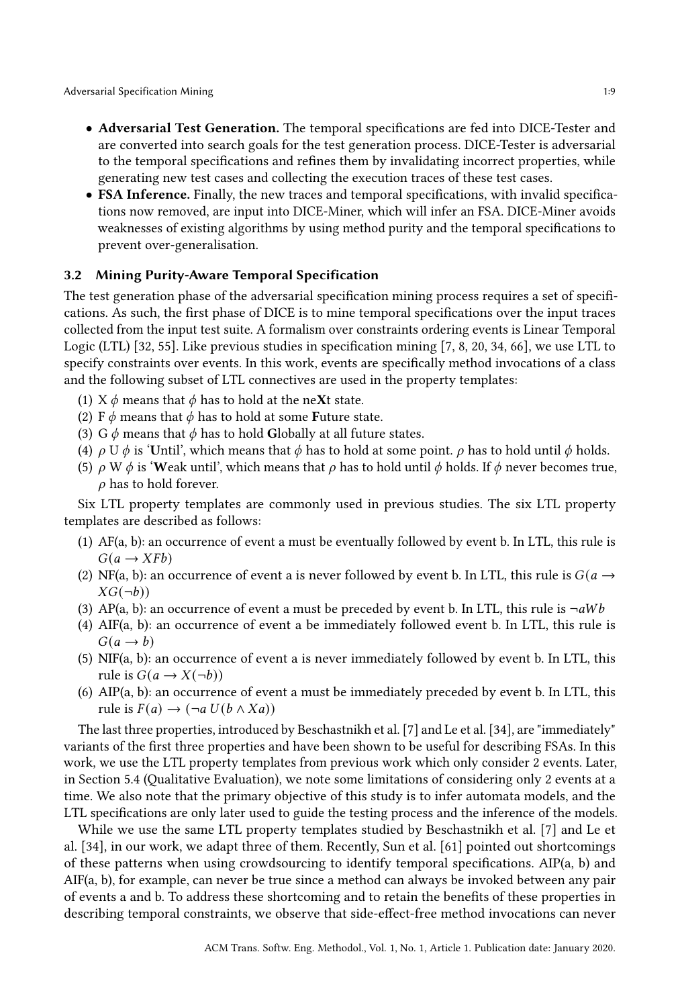Adversarial Specification Mining 1:9

- Adversarial Test Generation. The temporal specifications are fed into DICE-Tester and are converted into search goals for the test generation process. DICE-Tester is adversarial to the temporal specifications and refines them by invalidating incorrect properties, while generating new test cases and collecting the execution traces of these test cases.
- FSA Inference. Finally, the new traces and temporal specifications, with invalid specifications now removed, are input into DICE-Miner, which will infer an FSA. DICE-Miner avoids weaknesses of existing algorithms by using method purity and the temporal specifications to prevent over-generalisation.

### 3.2 Mining Purity-Aware Temporal Specification

The test generation phase of the adversarial specification mining process requires a set of specifications. As such, the first phase of DICE is to mine temporal specifications over the input traces collected from the input test suite. A formalism over constraints ordering events is Linear Temporal Logic (LTL) [\[32,](#page-38-10) [55\]](#page-39-11). Like previous studies in specification mining [\[7,](#page-37-3) [8,](#page-37-4) [20,](#page-38-4) [34,](#page-38-5) [66\]](#page-40-2), we use LTL to specify constraints over events. In this work, events are specifically method invocations of a class and the following subset of LTL connectives are used in the property templates:

- (1)  $X \phi$  means that  $\phi$  has to hold at the neXt state.
- (2) F  $\phi$  means that  $\phi$  has to hold at some Future state.
- (3) G  $\phi$  means that  $\phi$  has to hold Globally at all future states.
- (4)  $\rho$  U  $\phi$  is 'Until', which means that  $\phi$  has to hold at some point.  $\rho$  has to hold until  $\phi$  holds.
- (5)  $\rho$  W  $\phi$  is 'Weak until', which means that  $\rho$  has to hold until  $\phi$  holds. If  $\phi$  never becomes true,  $\rho$  has to hold forever.

Six LTL property templates are commonly used in previous studies. The six LTL property templates are described as follows:

- (1) AF(a, b): an occurrence of event a must be eventually followed by event b. In LTL, this rule is  $G(a \rightarrow XFb)$
- (2) NF(a, b): an occurrence of event a is never followed by event b. In LTL, this rule is  $G(a \rightarrow$  $XG(\neg b)$
- (3) AP(a, b): an occurrence of event a must be preceded by event b. In LTL, this rule is  $\neg aWb$
- (4) AIF(a, b): an occurrence of event a be immediately followed event b. In LTL, this rule is  $G(a \rightarrow b)$
- (5) NIF(a, b): an occurrence of event a is never immediately followed by event b. In LTL, this rule is  $G(a \rightarrow X(\neg b))$
- (6) AIP(a, b): an occurrence of event a must be immediately preceded by event b. In LTL, this rule is  $F(a) \rightarrow (\neg a U(b \wedge Xa))$

The last three properties, introduced by Beschastnikh et al. [\[7\]](#page-37-3) and Le et al. [\[34\]](#page-38-5), are "immediately" variants of the first three properties and have been shown to be useful for describing FSAs. In this work, we use the LTL property templates from previous work which only consider 2 events. Later, in Section 5.4 (Qualitative Evaluation), we note some limitations of considering only 2 events at a time. We also note that the primary objective of this study is to infer automata models, and the LTL specifications are only later used to guide the testing process and the inference of the models.

While we use the same LTL property templates studied by Beschastnikh et al. [\[7\]](#page-37-3) and Le et al. [\[34\]](#page-38-5), in our work, we adapt three of them. Recently, Sun et al. [\[61\]](#page-39-2) pointed out shortcomings of these patterns when using crowdsourcing to identify temporal specifications. AIP(a, b) and AIF(a, b), for example, can never be true since a method can always be invoked between any pair of events a and b. To address these shortcoming and to retain the benefits of these properties in describing temporal constraints, we observe that side-effect-free method invocations can never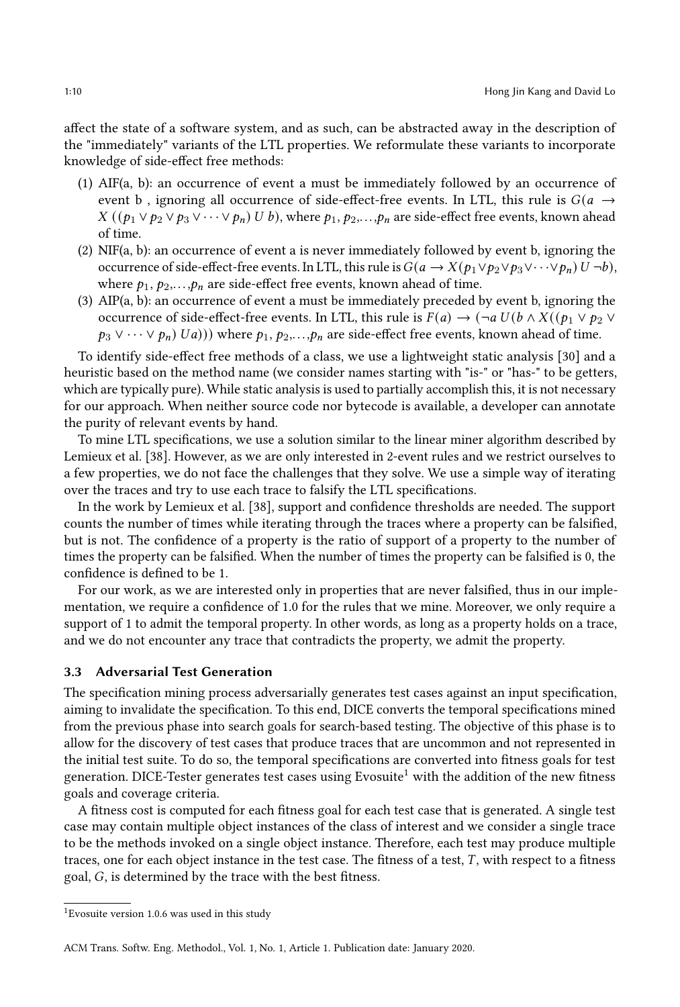affect the state of a software system, and as such, can be abstracted away in the description of the "immediately" variants of the LTL properties. We reformulate these variants to incorporate knowledge of side-effect free methods:

- (1) AIF(a, b): an occurrence of event a must be immediately followed by an occurrence of event b, ignoring all occurrence of side-effect-free events. In LTL, this rule is  $G(a \rightarrow$  $X((p_1 \vee p_2 \vee p_3 \vee \cdots \vee p_n) U b)$ , where  $p_1, p_2, \ldots, p_n$  are side-effect free events, known ahead of time.
- (2) NIF(a, b): an occurrence of event a is never immediately followed by event b, ignoring the occurrence of side-effect-free events. In LTL, this rule is  $G(a \to X(p_1 \lor p_2 \lor p_3 \lor \cdots \lor p_n) U \neg b)$ , where  $p_1, p_2,..., p_n$  are side-effect free events, known ahead of time.
- (3) AIP(a, b): an occurrence of event a must be immediately preceded by event b, ignoring the occurrence of side-effect-free events. In LTL, this rule is  $F(a) \to (\neg a \, U(b \wedge X((p_1 \vee p_2 \vee$  $p_3 \vee \cdots \vee p_n(Ua))$ ) where  $p_1, p_2, \ldots, p_n$  are side-effect free events, known ahead of time.

To identify side-effect free methods of a class, we use a lightweight static analysis [\[30\]](#page-38-11) and a heuristic based on the method name (we consider names starting with "is-" or "has-" to be getters, which are typically pure). While static analysis is used to partially accomplish this, it is not necessary for our approach. When neither source code nor bytecode is available, a developer can annotate the purity of relevant events by hand.

To mine LTL specifications, we use a solution similar to the linear miner algorithm described by Lemieux et al. [\[38\]](#page-38-12). However, as we are only interested in 2-event rules and we restrict ourselves to a few properties, we do not face the challenges that they solve. We use a simple way of iterating over the traces and try to use each trace to falsify the LTL specifications.

In the work by Lemieux et al. [\[38\]](#page-38-12), support and confidence thresholds are needed. The support counts the number of times while iterating through the traces where a property can be falsified, but is not. The confidence of a property is the ratio of support of a property to the number of times the property can be falsified. When the number of times the property can be falsified is 0, the confidence is defined to be 1.

For our work, as we are interested only in properties that are never falsified, thus in our implementation, we require a confidence of 1.0 for the rules that we mine. Moreover, we only require a support of 1 to admit the temporal property. In other words, as long as a property holds on a trace, and we do not encounter any trace that contradicts the property, we admit the property.

# 3.3 Adversarial Test Generation

The specification mining process adversarially generates test cases against an input specification, aiming to invalidate the specification. To this end, DICE converts the temporal specifications mined from the previous phase into search goals for search-based testing. The objective of this phase is to allow for the discovery of test cases that produce traces that are uncommon and not represented in the initial test suite. To do so, the temporal specifications are converted into fitness goals for test generation. DICE-Tester generates test cases using Evosuite<sup>[1](#page-9-0)</sup> with the addition of the new fitness goals and coverage criteria.

A fitness cost is computed for each fitness goal for each test case that is generated. A single test case may contain multiple object instances of the class of interest and we consider a single trace to be the methods invoked on a single object instance. Therefore, each test may produce multiple traces, one for each object instance in the test case. The fitness of a test,  $T$ , with respect to a fitness goal,  $G$ , is determined by the trace with the best fitness.

<span id="page-9-0"></span><sup>1</sup>Evosuite version 1.0.6 was used in this study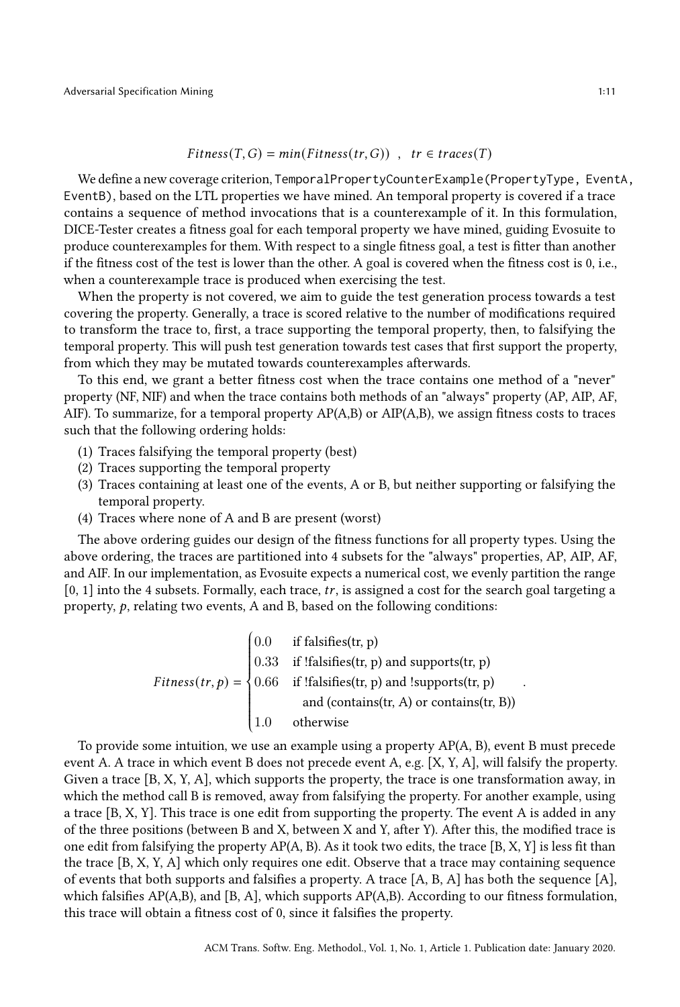$$
Fitness(T, G) = min(Fitness(tr, G)) , tr \in traces(T)
$$

We define a new coverage criterion, TemporalPropertyCounterExample(PropertyType, EventA, EventB), based on the LTL properties we have mined. An temporal property is covered if a trace contains a sequence of method invocations that is a counterexample of it. In this formulation, DICE-Tester creates a fitness goal for each temporal property we have mined, guiding Evosuite to produce counterexamples for them. With respect to a single fitness goal, a test is fitter than another if the fitness cost of the test is lower than the other. A goal is covered when the fitness cost is 0, i.e., when a counterexample trace is produced when exercising the test.

When the property is not covered, we aim to guide the test generation process towards a test covering the property. Generally, a trace is scored relative to the number of modifications required to transform the trace to, first, a trace supporting the temporal property, then, to falsifying the temporal property. This will push test generation towards test cases that first support the property, from which they may be mutated towards counterexamples afterwards.

To this end, we grant a better fitness cost when the trace contains one method of a "never" property (NF, NIF) and when the trace contains both methods of an "always" property (AP, AIP, AF, AIF). To summarize, for a temporal property AP(A,B) or AIP(A,B), we assign fitness costs to traces such that the following ordering holds:

- (1) Traces falsifying the temporal property (best)
- (2) Traces supporting the temporal property
- (3) Traces containing at least one of the events, A or B, but neither supporting or falsifying the temporal property.
- (4) Traces where none of A and B are present (worst)

The above ordering guides our design of the fitness functions for all property types. Using the above ordering, the traces are partitioned into 4 subsets for the "always" properties, AP, AIP, AF, and AIF. In our implementation, as Evosuite expects a numerical cost, we evenly partition the range  $[0, 1]$  into the 4 subsets. Formally, each trace, tr, is assigned a cost for the search goal targeting a property,  $p$ , relating two events, A and B, based on the following conditions:

$$
Fitness(tr, p) = \begin{cases} 0.0 & \text{if falsifies(tr, p)} \\ 0.33 & \text{if ! falsifies(tr, p) and supports(tr, p)} \\ 0.66 & \text{if ! falsifies(tr, p) and ! supports(tr, p)} \\ & \text{and (contains(tr, A) or contains(tr, B))} \\ 1.0 & \text{otherwise} \end{cases}
$$

 To provide some intuition, we use an example using a property AP(A, B), event B must precede event A. A trace in which event B does not precede event A, e.g. [X, Y, A], will falsify the property. Given a trace [B, X, Y, A], which supports the property, the trace is one transformation away, in which the method call B is removed, away from falsifying the property. For another example, using a trace [B, X, Y]. This trace is one edit from supporting the property. The event A is added in any of the three positions (between B and X, between X and Y, after Y). After this, the modified trace is one edit from falsifying the property  $AP(A, B)$ . As it took two edits, the trace [B, X, Y] is less fit than the trace [B, X, Y, A] which only requires one edit. Observe that a trace may containing sequence of events that both supports and falsifies a property. A trace  $[A, B, A]$  has both the sequence  $[A]$ , which falsifies AP(A,B), and [B, A], which supports AP(A,B). According to our fitness formulation, this trace will obtain a fitness cost of 0, since it falsifies the property.

.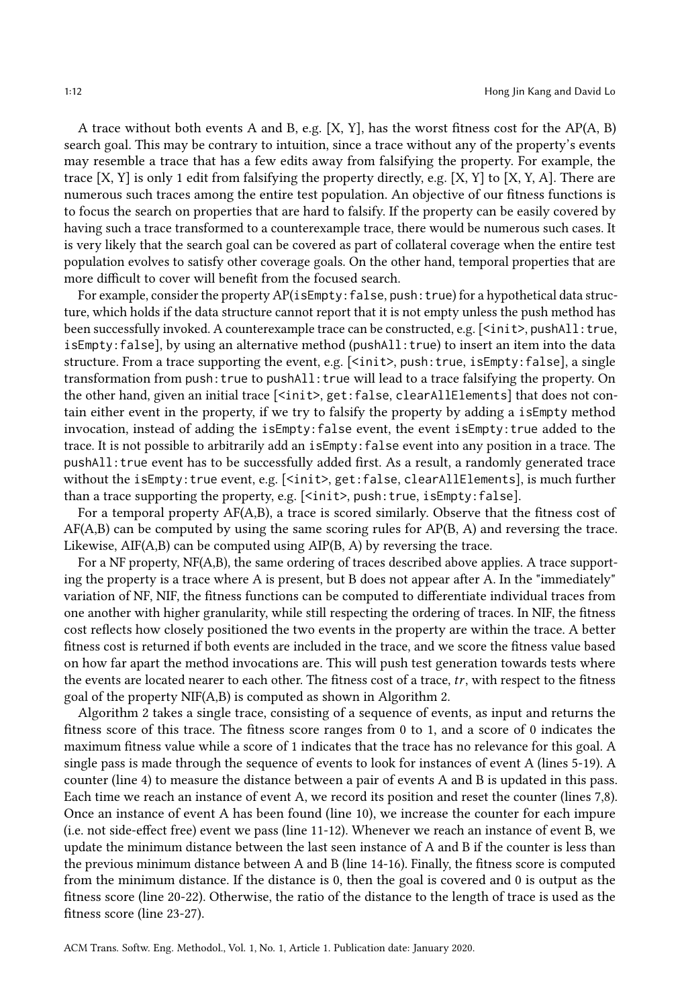A trace without both events A and B, e.g.  $[X, Y]$ , has the worst fitness cost for the AP(A, B) search goal. This may be contrary to intuition, since a trace without any of the property's events may resemble a trace that has a few edits away from falsifying the property. For example, the trace  $[X, Y]$  is only 1 edit from falsifying the property directly, e.g.  $[X, Y]$  to  $[X, Y, A]$ . There are numerous such traces among the entire test population. An objective of our fitness functions is to focus the search on properties that are hard to falsify. If the property can be easily covered by having such a trace transformed to a counterexample trace, there would be numerous such cases. It is very likely that the search goal can be covered as part of collateral coverage when the entire test population evolves to satisfy other coverage goals. On the other hand, temporal properties that are more difficult to cover will benefit from the focused search.

For example, consider the property AP(isEmpty: false, push: true) for a hypothetical data structure, which holds if the data structure cannot report that it is not empty unless the push method has been successfully invoked. A counterexample trace can be constructed, e.g. [<init>, pushAll: true, isEmpty: false], by using an alternative method (pushAll: true) to insert an item into the data structure. From a trace supporting the event, e.g. [<init>, push: true, isEmpty: false], a single transformation from push: true to pushAll: true will lead to a trace falsifying the property. On the other hand, given an initial trace [<init>, get: false, clearAllElements] that does not contain either event in the property, if we try to falsify the property by adding a isEmpty method invocation, instead of adding the isEmpty:false event, the event isEmpty:true added to the trace. It is not possible to arbitrarily add an isEmpty:false event into any position in a trace. The pushAll:true event has to be successfully added first. As a result, a randomly generated trace without the isEmpty: true event, e.g. [<init>, get: false, clearAllElements], is much further than a trace supporting the property, e.g.  $\left[$  <init>, push: true, isEmpty: false].

For a temporal property AF(A,B), a trace is scored similarly. Observe that the fitness cost of  $AF(A,B)$  can be computed by using the same scoring rules for  $AP(B, A)$  and reversing the trace. Likewise, AIF(A,B) can be computed using AIP(B, A) by reversing the trace.

For a NF property, NF(A,B), the same ordering of traces described above applies. A trace supporting the property is a trace where A is present, but B does not appear after A. In the "immediately" variation of NF, NIF, the fitness functions can be computed to differentiate individual traces from one another with higher granularity, while still respecting the ordering of traces. In NIF, the fitness cost reflects how closely positioned the two events in the property are within the trace. A better fitness cost is returned if both events are included in the trace, and we score the fitness value based on how far apart the method invocations are. This will push test generation towards tests where the events are located nearer to each other. The fitness cost of a trace,  $tr$ , with respect to the fitness goal of the property NIF(A,B) is computed as shown in Algorithm [2.](#page-12-0)

Algorithm [2](#page-12-0) takes a single trace, consisting of a sequence of events, as input and returns the fitness score of this trace. The fitness score ranges from 0 to 1, and a score of 0 indicates the maximum fitness value while a score of 1 indicates that the trace has no relevance for this goal. A single pass is made through the sequence of events to look for instances of event A (lines 5-19). A counter (line 4) to measure the distance between a pair of events A and B is updated in this pass. Each time we reach an instance of event A, we record its position and reset the counter (lines 7,8). Once an instance of event A has been found (line 10), we increase the counter for each impure (i.e. not side-effect free) event we pass (line 11-12). Whenever we reach an instance of event B, we update the minimum distance between the last seen instance of A and B if the counter is less than the previous minimum distance between A and B (line 14-16). Finally, the fitness score is computed from the minimum distance. If the distance is 0, then the goal is covered and 0 is output as the fitness score (line 20-22). Otherwise, the ratio of the distance to the length of trace is used as the fitness score (line 23-27).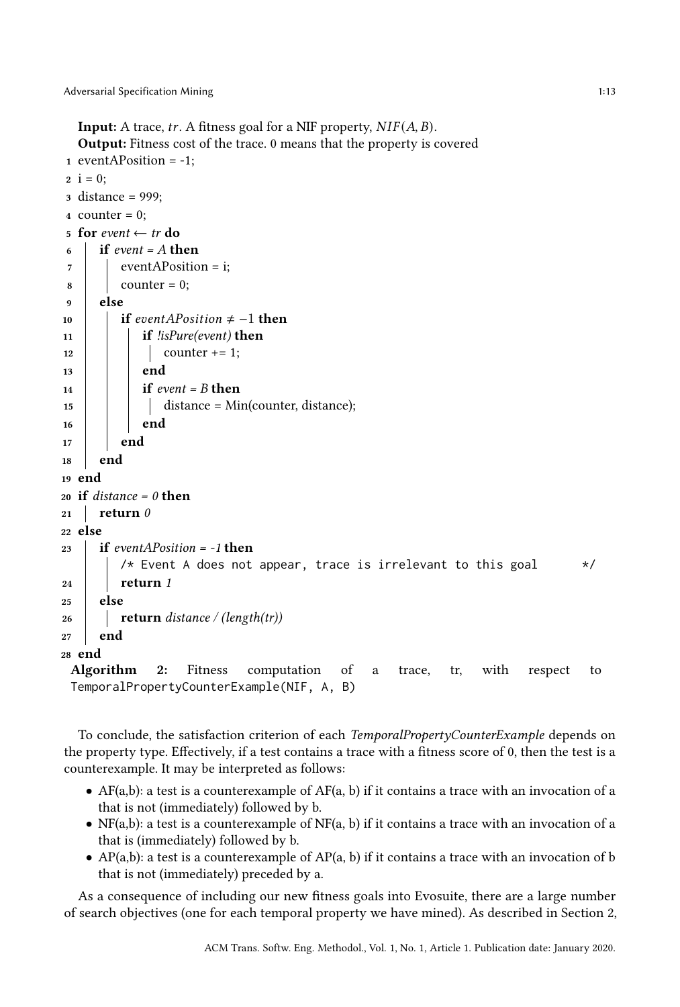```
Input: A trace, tr. A fitness goal for a NIF property, NIF(A, B).
  Output: Fitness cost of the trace. 0 means that the property is covered
1 eventAPosition = -1;
2 i = 0;
3 distance = 999;
4 counter = 0:
5 for event \leftarrow tr do
6 \text{ if } event = A \text{ then}7 \mid eventAPosition = i;
\vert counter = 0;
9 else
10 if eventAPosition \neq -1 then
11 if lisPure(event) then
12 | | counter += 1;
13 end
14 if event = B then
15 distance = Min(counter, distance);
16 | end
17 end
18 end
19 end
20 if distance = 0 then
21 return \theta22 else
23 if eventAPosition = -1 then
        /* Event A does not appear, trace is irrelevant to this goal */
24 return 1
25 else
26 return distance / (length(tr))
27 end
28 end
 Algorithm 2: Fitness computation of a trace, tr, with respect to
 TemporalPropertyCounterExample(NIF, A, B)
```
<span id="page-12-0"></span>To conclude, the satisfaction criterion of each TemporalPropertyCounterExample depends on the property type. Effectively, if a test contains a trace with a fitness score of 0, then the test is a counterexample. It may be interpreted as follows:

- AF(a,b): a test is a counterexample of AF(a, b) if it contains a trace with an invocation of a that is not (immediately) followed by b.
- $NF(a,b)$ : a test is a counterexample of  $NF(a, b)$  if it contains a trace with an invocation of a that is (immediately) followed by b.
- AP(a,b): a test is a counterexample of  $AP(a, b)$  if it contains a trace with an invocation of b that is not (immediately) preceded by a.

As a consequence of including our new fitness goals into Evosuite, there are a large number of search objectives (one for each temporal property we have mined). As described in Section [2,](#page-2-0)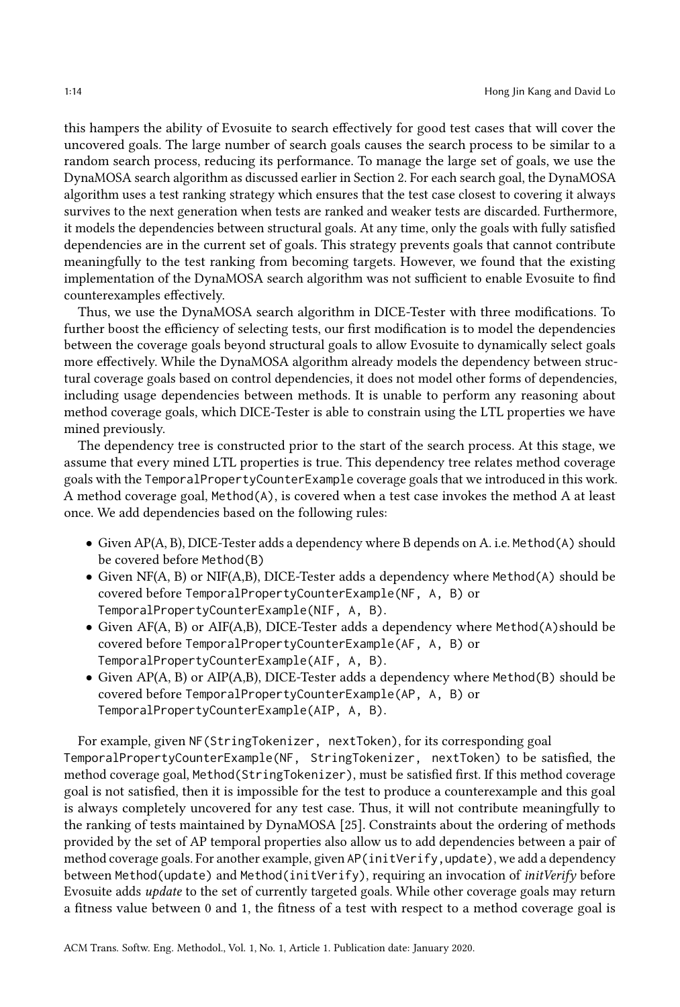this hampers the ability of Evosuite to search effectively for good test cases that will cover the uncovered goals. The large number of search goals causes the search process to be similar to a random search process, reducing its performance. To manage the large set of goals, we use the DynaMOSA search algorithm as discussed earlier in Section 2. For each search goal, the DynaMOSA algorithm uses a test ranking strategy which ensures that the test case closest to covering it always survives to the next generation when tests are ranked and weaker tests are discarded. Furthermore, it models the dependencies between structural goals. At any time, only the goals with fully satisfied dependencies are in the current set of goals. This strategy prevents goals that cannot contribute meaningfully to the test ranking from becoming targets. However, we found that the existing implementation of the DynaMOSA search algorithm was not sufficient to enable Evosuite to find counterexamples effectively.

Thus, we use the DynaMOSA search algorithm in DICE-Tester with three modifications. To further boost the efficiency of selecting tests, our first modification is to model the dependencies between the coverage goals beyond structural goals to allow Evosuite to dynamically select goals more effectively. While the DynaMOSA algorithm already models the dependency between structural coverage goals based on control dependencies, it does not model other forms of dependencies, including usage dependencies between methods. It is unable to perform any reasoning about method coverage goals, which DICE-Tester is able to constrain using the LTL properties we have mined previously.

The dependency tree is constructed prior to the start of the search process. At this stage, we assume that every mined LTL properties is true. This dependency tree relates method coverage goals with the TemporalPropertyCounterExample coverage goals that we introduced in this work. A method coverage goal, Method(A), is covered when a test case invokes the method A at least once. We add dependencies based on the following rules:

- Given AP(A, B), DICE-Tester adds a dependency where B depends on A. i.e. Method(A) should be covered before Method(B)
- Given NF(A, B) or NIF(A,B), DICE-Tester adds a dependency where Method(A) should be covered before TemporalPropertyCounterExample(NF, A, B) or TemporalPropertyCounterExample(NIF, A, B).
- Given AF(A, B) or AIF(A,B), DICE-Tester adds a dependency where Method(A)should be covered before TemporalPropertyCounterExample(AF, A, B) or TemporalPropertyCounterExample(AIF, A, B).
- Given AP(A, B) or AIP(A,B), DICE-Tester adds a dependency where Method(B) should be covered before TemporalPropertyCounterExample(AP, A, B) or TemporalPropertyCounterExample(AIP, A, B).

For example, given NF(StringTokenizer, nextToken), for its corresponding goal TemporalPropertyCounterExample(NF, StringTokenizer, nextToken) to be satisfied, the method coverage goal, Method(StringTokenizer), must be satisfied first. If this method coverage goal is not satisfied, then it is impossible for the test to produce a counterexample and this goal is always completely uncovered for any test case. Thus, it will not contribute meaningfully to the ranking of tests maintained by DynaMOSA [\[25\]](#page-38-3). Constraints about the ordering of methods provided by the set of AP temporal properties also allow us to add dependencies between a pair of method coverage goals. For another example, given AP(initVerify, update), we add a dependency between Method(update) and Method(initVerify), requiring an invocation of initVerify before Evosuite adds update to the set of currently targeted goals. While other coverage goals may return a fitness value between 0 and 1, the fitness of a test with respect to a method coverage goal is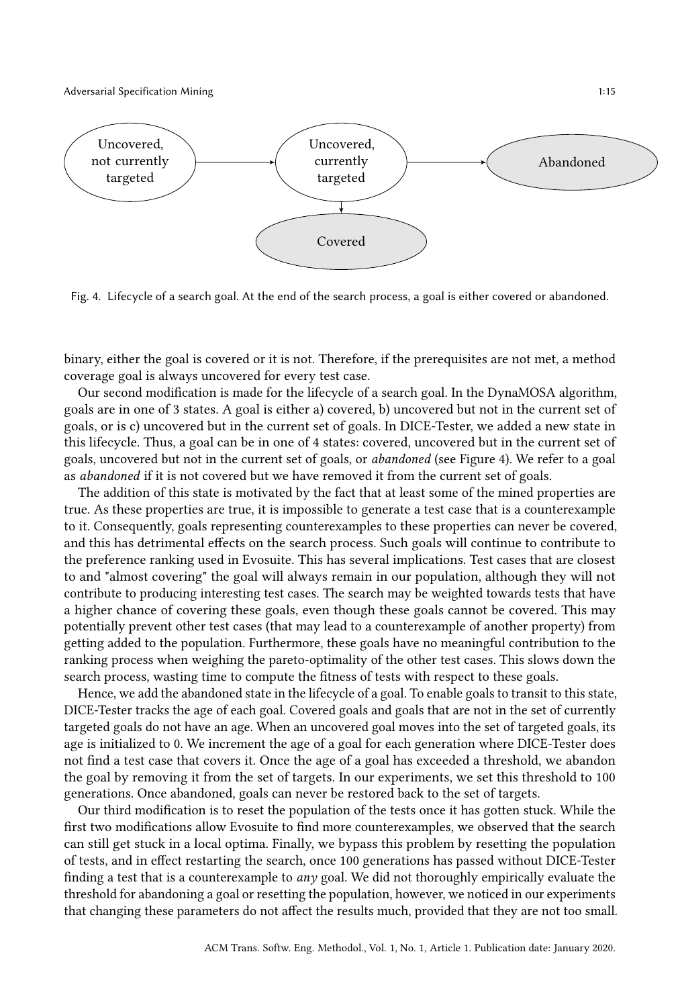Adversarial Specification Mining 1:15

<span id="page-14-0"></span>

Fig. 4. Lifecycle of a search goal. At the end of the search process, a goal is either covered or abandoned.

binary, either the goal is covered or it is not. Therefore, if the prerequisites are not met, a method coverage goal is always uncovered for every test case.

Our second modification is made for the lifecycle of a search goal. In the DynaMOSA algorithm, goals are in one of 3 states. A goal is either a) covered, b) uncovered but not in the current set of goals, or is c) uncovered but in the current set of goals. In DICE-Tester, we added a new state in this lifecycle. Thus, a goal can be in one of 4 states: covered, uncovered but in the current set of goals, uncovered but not in the current set of goals, or abandoned (see Figure [4\)](#page-14-0). We refer to a goal as abandoned if it is not covered but we have removed it from the current set of goals.

The addition of this state is motivated by the fact that at least some of the mined properties are true. As these properties are true, it is impossible to generate a test case that is a counterexample to it. Consequently, goals representing counterexamples to these properties can never be covered, and this has detrimental effects on the search process. Such goals will continue to contribute to the preference ranking used in Evosuite. This has several implications. Test cases that are closest to and "almost covering" the goal will always remain in our population, although they will not contribute to producing interesting test cases. The search may be weighted towards tests that have a higher chance of covering these goals, even though these goals cannot be covered. This may potentially prevent other test cases (that may lead to a counterexample of another property) from getting added to the population. Furthermore, these goals have no meaningful contribution to the ranking process when weighing the pareto-optimality of the other test cases. This slows down the search process, wasting time to compute the fitness of tests with respect to these goals.

Hence, we add the abandoned state in the lifecycle of a goal. To enable goals to transit to this state, DICE-Tester tracks the age of each goal. Covered goals and goals that are not in the set of currently targeted goals do not have an age. When an uncovered goal moves into the set of targeted goals, its age is initialized to 0. We increment the age of a goal for each generation where DICE-Tester does not find a test case that covers it. Once the age of a goal has exceeded a threshold, we abandon the goal by removing it from the set of targets. In our experiments, we set this threshold to 100 generations. Once abandoned, goals can never be restored back to the set of targets.

Our third modification is to reset the population of the tests once it has gotten stuck. While the first two modifications allow Evosuite to find more counterexamples, we observed that the search can still get stuck in a local optima. Finally, we bypass this problem by resetting the population of tests, and in effect restarting the search, once 100 generations has passed without DICE-Tester finding a test that is a counterexample to any goal. We did not thoroughly empirically evaluate the threshold for abandoning a goal or resetting the population, however, we noticed in our experiments that changing these parameters do not affect the results much, provided that they are not too small.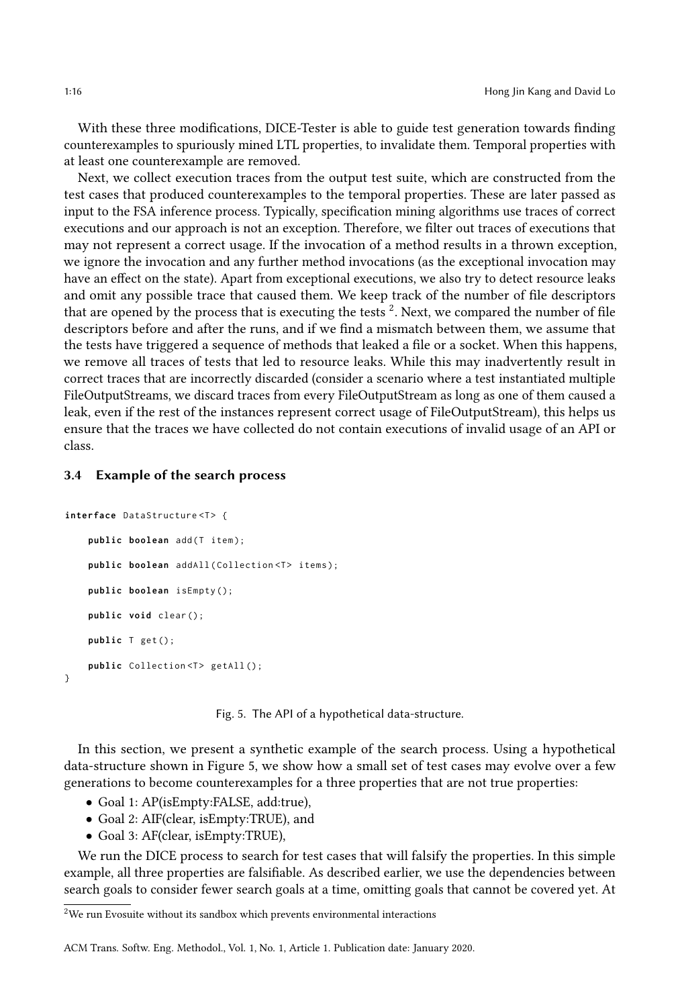With these three modifications, DICE-Tester is able to guide test generation towards finding counterexamples to spuriously mined LTL properties, to invalidate them. Temporal properties with at least one counterexample are removed.

Next, we collect execution traces from the output test suite, which are constructed from the test cases that produced counterexamples to the temporal properties. These are later passed as input to the FSA inference process. Typically, specification mining algorithms use traces of correct executions and our approach is not an exception. Therefore, we filter out traces of executions that may not represent a correct usage. If the invocation of a method results in a thrown exception, we ignore the invocation and any further method invocations (as the exceptional invocation may have an effect on the state). Apart from exceptional executions, we also try to detect resource leaks and omit any possible trace that caused them. We keep track of the number of file descriptors that are opened by the process that is executing the tests  $^2.$  $^2.$  $^2.$  Next, we compared the number of file descriptors before and after the runs, and if we find a mismatch between them, we assume that the tests have triggered a sequence of methods that leaked a file or a socket. When this happens, we remove all traces of tests that led to resource leaks. While this may inadvertently result in correct traces that are incorrectly discarded (consider a scenario where a test instantiated multiple FileOutputStreams, we discard traces from every FileOutputStream as long as one of them caused a leak, even if the rest of the instances represent correct usage of FileOutputStream), this helps us ensure that the traces we have collected do not contain executions of invalid usage of an API or class.

# 3.4 Example of the search process

```
interface DataStructure<T> {
    public boolean add (T item);
    public boolean addAll(Collection<T> items);
    public boolean isEmpty ();
    public void clear ();
    public T get ();
    public Collection <T> getAll();
}
```
Fig. 5. The API of a hypothetical data-structure.

In this section, we present a synthetic example of the search process. Using a hypothetical data-structure shown in Figure [5,](#page-15-1) we show how a small set of test cases may evolve over a few generations to become counterexamples for a three properties that are not true properties:

- Goal 1: AP(isEmpty:FALSE, add:true),
- Goal 2: AIF(clear, isEmpty:TRUE), and
- Goal 3: AF(clear, isEmpty:TRUE),

We run the DICE process to search for test cases that will falsify the properties. In this simple example, all three properties are falsifiable. As described earlier, we use the dependencies between search goals to consider fewer search goals at a time, omitting goals that cannot be covered yet. At

<span id="page-15-0"></span><sup>2</sup>We run Evosuite without its sandbox which prevents environmental interactions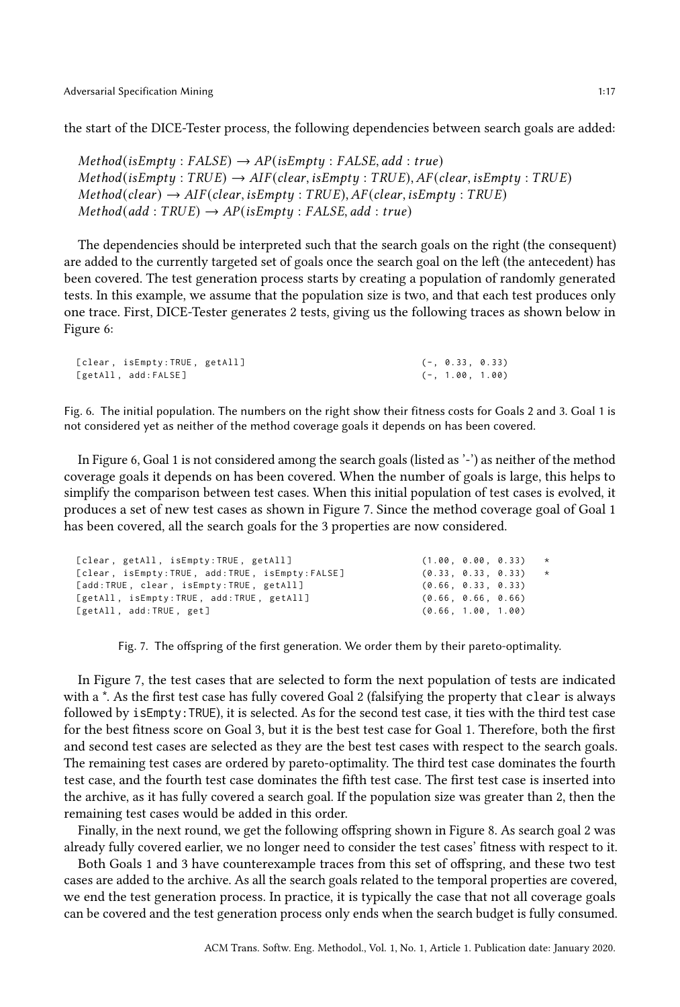the start of the DICE-Tester process, the following dependencies between search goals are added:

 $Method(isEmpty: FALSE) \rightarrow AP(isEmpty: FALSE, add: true)$  $Method(isEmpty:TRUE) \rightarrow AIF(clear, isEmpty:TRUE), AF(clear, isEmpty:TRUE)$  $Method(\text{clear}) \rightarrow AIF(\text{clear}, \text{isEmpty}: TRUE), AF(\text{clear}, \text{isEmpty}: TRUE)$  $Method (add : TRUE) \rightarrow AP(isEmpty : FALSE, add : true)$ 

The dependencies should be interpreted such that the search goals on the right (the consequent) are added to the currently targeted set of goals once the search goal on the left (the antecedent) has been covered. The test generation process starts by creating a population of randomly generated tests. In this example, we assume that the population size is two, and that each test produces only one trace. First, DICE-Tester generates 2 tests, giving us the following traces as shown below in Figure [6:](#page-16-0)

```
[clear, isEmpty:TRUE, getAll] (-, 0.33, 0.33)
[getAll, add:FALSE] (-, 1.00, 1.00)
```
Fig. 6. The initial population. The numbers on the right show their fitness costs for Goals 2 and 3. Goal 1 is not considered yet as neither of the method coverage goals it depends on has been covered.

In Figure [6,](#page-16-0) Goal 1 is not considered among the search goals (listed as '-') as neither of the method coverage goals it depends on has been covered. When the number of goals is large, this helps to simplify the comparison between test cases. When this initial population of test cases is evolved, it produces a set of new test cases as shown in Figure [7.](#page-16-1) Since the method coverage goal of Goal 1 has been covered, all the search goals for the 3 properties are now considered.

<span id="page-16-1"></span>

| [clear, getAll, isEmpty:TRUE, getAll]          |                    | $(1.00, 0.00, 0.33)$ * |         |
|------------------------------------------------|--------------------|------------------------|---------|
| [clear, isEmpty:TRUE, add:TRUE, isEmpty:FALSE] | (0.33, 0.33, 0.33) |                        | $\star$ |
| [add:TRUE, clear, isEmpty:TRUE, getAll]        | (0.66, 0.33, 0.33) |                        |         |
| [getAll, isEmpty:TRUE, add:TRUE, getAll]       | (0.66, 0.66, 0.66) |                        |         |
| [getAll, add:TRUE, get]                        | (0.66, 1.00, 1.00) |                        |         |
|                                                |                    |                        |         |

Fig. 7. The offspring of the first generation. We order them by their pareto-optimality.

In Figure [7,](#page-16-1) the test cases that are selected to form the next population of tests are indicated with a \*. As the first test case has fully covered Goal 2 (falsifying the property that clear is always followed by isEmpty:TRUE), it is selected. As for the second test case, it ties with the third test case for the best fitness score on Goal 3, but it is the best test case for Goal 1. Therefore, both the first and second test cases are selected as they are the best test cases with respect to the search goals. The remaining test cases are ordered by pareto-optimality. The third test case dominates the fourth test case, and the fourth test case dominates the fifth test case. The first test case is inserted into the archive, as it has fully covered a search goal. If the population size was greater than 2, then the remaining test cases would be added in this order.

Finally, in the next round, we get the following offspring shown in Figure [8.](#page-17-0) As search goal 2 was already fully covered earlier, we no longer need to consider the test cases' fitness with respect to it.

Both Goals 1 and 3 have counterexample traces from this set of offspring, and these two test cases are added to the archive. As all the search goals related to the temporal properties are covered, we end the test generation process. In practice, it is typically the case that not all coverage goals can be covered and the test generation process only ends when the search budget is fully consumed.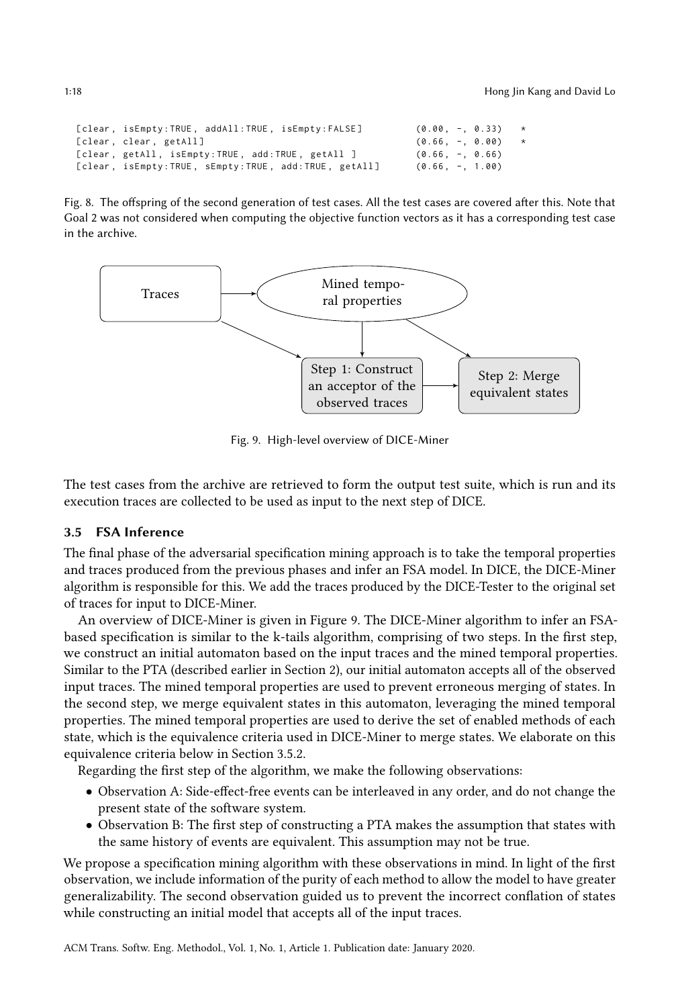```
[clear, isEmpty:TRUE, addAll:TRUE, isEmpty:FALSE] (0.00, -, 0.33) *
\begin{array}{lll} \texttt{[clear, clear, getAll]} & (\texttt{0.66, -}, \texttt{ 0.00)} & \star \\ \texttt{[clear, getAll, isEmpty:TRUE, add:TRUE, getAll]} & (\texttt{0.66, -}, \texttt{ 0.66}) \\ \texttt{[clear, isEmpty:TRUE, sEmpty:TRUE, add:TRUE, getAll]} & (\texttt{0.66, -}, \texttt{ 1.00}) \end{array}[clear, getAll, isEmpty:TRUE, add:TRUE, getAll ]
[clear, isEmpty: TRUE, sEmpty: TRUE, add: TRUE, getAll]
```
Fig. 8. The offspring of the second generation of test cases. All the test cases are covered after this. Note that Goal 2 was not considered when computing the objective function vectors as it has a corresponding test case in the archive.

<span id="page-17-1"></span>

Fig. 9. High-level overview of DICE-Miner

The test cases from the archive are retrieved to form the output test suite, which is run and its execution traces are collected to be used as input to the next step of DICE.

# <span id="page-17-2"></span>3.5 FSA Inference

The final phase of the adversarial specification mining approach is to take the temporal properties and traces produced from the previous phases and infer an FSA model. In DICE, the DICE-Miner algorithm is responsible for this. We add the traces produced by the DICE-Tester to the original set of traces for input to DICE-Miner.

An overview of DICE-Miner is given in Figure [9.](#page-17-1) The DICE-Miner algorithm to infer an FSAbased specification is similar to the k-tails algorithm, comprising of two steps. In the first step, we construct an initial automaton based on the input traces and the mined temporal properties. Similar to the PTA (described earlier in Section [2\)](#page-2-0), our initial automaton accepts all of the observed input traces. The mined temporal properties are used to prevent erroneous merging of states. In the second step, we merge equivalent states in this automaton, leveraging the mined temporal properties. The mined temporal properties are used to derive the set of enabled methods of each state, which is the equivalence criteria used in DICE-Miner to merge states. We elaborate on this equivalence criteria below in Section [3.5.2.](#page-20-0)

Regarding the first step of the algorithm, we make the following observations:

- Observation A: Side-effect-free events can be interleaved in any order, and do not change the present state of the software system.
- Observation B: The first step of constructing a PTA makes the assumption that states with the same history of events are equivalent. This assumption may not be true.

We propose a specification mining algorithm with these observations in mind. In light of the first observation, we include information of the purity of each method to allow the model to have greater generalizability. The second observation guided us to prevent the incorrect conflation of states while constructing an initial model that accepts all of the input traces.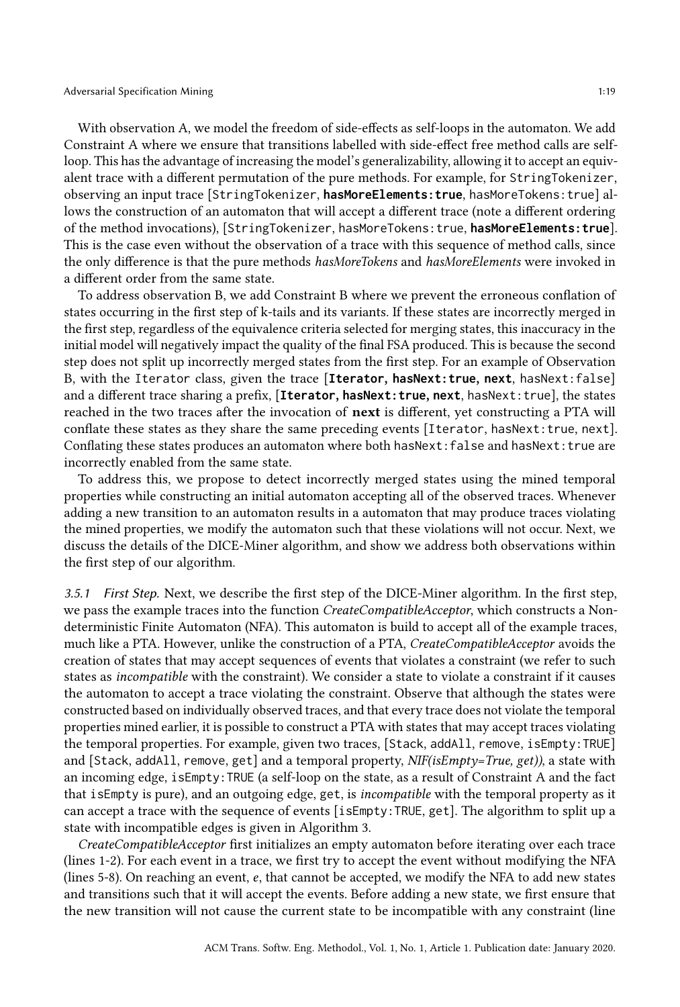With observation A, we model the freedom of side-effects as self-loops in the automaton. We add Constraint A where we ensure that transitions labelled with side-effect free method calls are selfloop. This has the advantage of increasing the model's generalizability, allowing it to accept an equivalent trace with a different permutation of the pure methods. For example, for StringTokenizer, observing an input trace [StringTokenizer, **hasMoreElements:true**, hasMoreTokens:true] allows the construction of an automaton that will accept a different trace (note a different ordering of the method invocations), [StringTokenizer, hasMoreTokens:true, **hasMoreElements:true**]. This is the case even without the observation of a trace with this sequence of method calls, since the only difference is that the pure methods hasMoreTokens and hasMoreElements were invoked in a different order from the same state.

To address observation B, we add Constraint B where we prevent the erroneous conflation of states occurring in the first step of k-tails and its variants. If these states are incorrectly merged in the first step, regardless of the equivalence criteria selected for merging states, this inaccuracy in the initial model will negatively impact the quality of the final FSA produced. This is because the second step does not split up incorrectly merged states from the first step. For an example of Observation B, with the Iterator class, given the trace [**Iterator**, **hasNext:true**, **next**, hasNext:false] and a different trace sharing a prefix, [**Iterator**, **hasNext:true**, **next**, hasNext:true], the states reached in the two traces after the invocation of **next** is different, yet constructing a PTA will conflate these states as they share the same preceding events [Iterator, hasNext:true, next]. Conflating these states produces an automaton where both hasNext: false and hasNext: true are incorrectly enabled from the same state.

To address this, we propose to detect incorrectly merged states using the mined temporal properties while constructing an initial automaton accepting all of the observed traces. Whenever adding a new transition to an automaton results in a automaton that may produce traces violating the mined properties, we modify the automaton such that these violations will not occur. Next, we discuss the details of the DICE-Miner algorithm, and show we address both observations within the first step of our algorithm.

3.5.1 First Step. Next, we describe the first step of the DICE-Miner algorithm. In the first step, we pass the example traces into the function *CreateCompatibleAcceptor*, which constructs a Nondeterministic Finite Automaton (NFA). This automaton is build to accept all of the example traces, much like a PTA. However, unlike the construction of a PTA, CreateCompatibleAcceptor avoids the creation of states that may accept sequences of events that violates a constraint (we refer to such states as incompatible with the constraint). We consider a state to violate a constraint if it causes the automaton to accept a trace violating the constraint. Observe that although the states were constructed based on individually observed traces, and that every trace does not violate the temporal properties mined earlier, it is possible to construct a PTA with states that may accept traces violating the temporal properties. For example, given two traces, [Stack, addAll, remove, isEmpty:TRUE] and [Stack, addAll, remove, get] and a temporal property,  $NIF(isEmpty=True, get))$ , a state with an incoming edge, isEmpty:TRUE (a self-loop on the state, as a result of Constraint A and the fact that isEmpty is pure), and an outgoing edge, get, is incompatible with the temporal property as it can accept a trace with the sequence of events [isEmpty:TRUE, get]. The algorithm to split up a state with incompatible edges is given in Algorithm [3.](#page-19-0)

CreateCompatibleAcceptor first initializes an empty automaton before iterating over each trace (lines 1-2). For each event in a trace, we first try to accept the event without modifying the NFA (lines 5-8). On reaching an event,  $e$ , that cannot be accepted, we modify the NFA to add new states and transitions such that it will accept the events. Before adding a new state, we first ensure that the new transition will not cause the current state to be incompatible with any constraint (line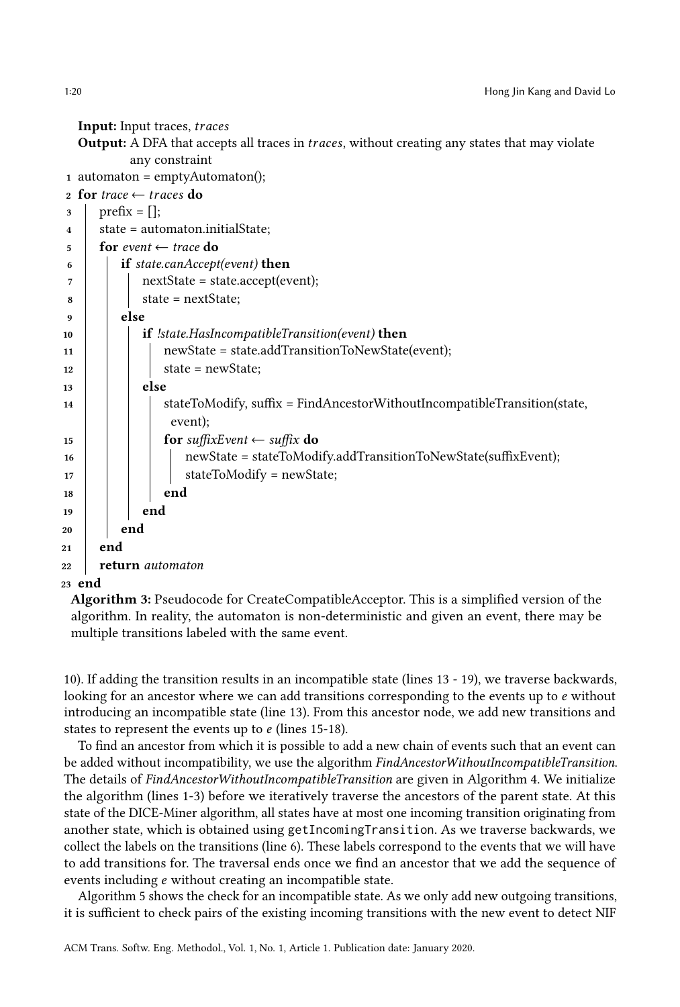Input: Input traces, traces

**Output:** A DFA that accepts all traces in *traces*, without creating any states that may violate any constraint

```
1 automaton = emptyAutomaton();
```

```
2 for trace \leftarrow traces do
3 \mid \text{prefix} = [];
4 | state = automaton.initialState;
5 for event \leftarrow trace do
6 if state.canAccept(event) then
 7 nextState = state.accept(event);
\vert state = nextState;
9 else
10 if !state.HasIncompatibleTransition(event) then
11 | | | newState = state.addTransitionToNewState(event);
12 | | state = newState;
13 else
14 StateToModify, suffix = FindAncestorWithoutIncompatibleTransition(state,
               event);
15 for suffixEvent \leftarrow suffix do
16 mewState = stateToModify.addTransitionToNewState(suffixEvent);
17 | | | stateToModify = newState;
18 | | | | end
19 | end
20 end
21 end
22 return automaton
23 end
```
<span id="page-19-0"></span>Algorithm 3: Pseudocode for CreateCompatibleAcceptor. This is a simplified version of the algorithm. In reality, the automaton is non-deterministic and given an event, there may be multiple transitions labeled with the same event.

10). If adding the transition results in an incompatible state (lines 13 - 19), we traverse backwards, looking for an ancestor where we can add transitions corresponding to the events up to  $e$  without introducing an incompatible state (line 13). From this ancestor node, we add new transitions and states to represent the events up to  $e$  (lines 15-18).

To find an ancestor from which it is possible to add a new chain of events such that an event can be added without incompatibility, we use the algorithm FindAncestorWithoutIncompatibleTransition. The details of FindAncestorWithoutIncompatibleTransition are given in Algorithm [4.](#page-20-1) We initialize the algorithm (lines 1-3) before we iteratively traverse the ancestors of the parent state. At this state of the DICE-Miner algorithm, all states have at most one incoming transition originating from another state, which is obtained using getIncomingTransition. As we traverse backwards, we collect the labels on the transitions (line 6). These labels correspond to the events that we will have to add transitions for. The traversal ends once we find an ancestor that we add the sequence of events including *e* without creating an incompatible state.

Algorithm [5](#page-20-2) shows the check for an incompatible state. As we only add new outgoing transitions, it is sufficient to check pairs of the existing incoming transitions with the new event to detect NIF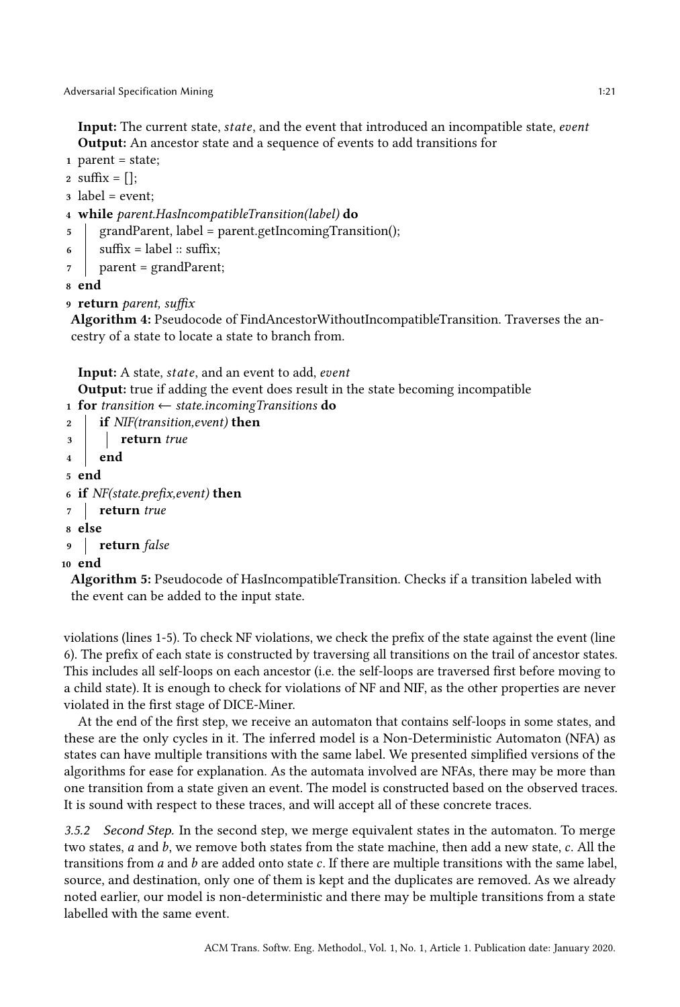Input: The current state, *state*, and the event that introduced an incompatible state, *event* Output: An ancestor state and a sequence of events to add transitions for

1 parent = state;

```
2 suffix = [];
```

```
3 label = event;
```

```
4 while parent.HasIncompatibleTransition(label) do
```
- 5 grandParent, label = parent.getIncomingTransition();
- 6 | suffix = label :: suffix;
- $\eta$  parent = grandParent;

8 end

9 return parent, suffix

<span id="page-20-1"></span>Algorithm 4: Pseudocode of FindAncestorWithoutIncompatibleTransition. Traverses the ancestry of a state to locate a state to branch from.

**Input:** A state, *state*, and an event to add, *event* 

Output: true if adding the event does result in the state becoming incompatible

1 for transition  $\leftarrow$  state.incoming Transitions do

```
2 if NIF(transition, event) then
3 return true
4 end
5 end
6 if NF(state.prefix, event) then
7 return true
8 else
9 return false
10 end
```
<span id="page-20-2"></span>Algorithm 5: Pseudocode of HasIncompatibleTransition. Checks if a transition labeled with the event can be added to the input state.

violations (lines 1-5). To check NF violations, we check the prefix of the state against the event (line 6). The prefix of each state is constructed by traversing all transitions on the trail of ancestor states. This includes all self-loops on each ancestor (i.e. the self-loops are traversed first before moving to a child state). It is enough to check for violations of NF and NIF, as the other properties are never violated in the first stage of DICE-Miner.

At the end of the first step, we receive an automaton that contains self-loops in some states, and these are the only cycles in it. The inferred model is a Non-Deterministic Automaton (NFA) as states can have multiple transitions with the same label. We presented simplified versions of the algorithms for ease for explanation. As the automata involved are NFAs, there may be more than one transition from a state given an event. The model is constructed based on the observed traces. It is sound with respect to these traces, and will accept all of these concrete traces.

<span id="page-20-0"></span>3.5.2 Second Step. In the second step, we merge equivalent states in the automaton. To merge two states,  $a$  and  $b$ , we remove both states from the state machine, then add a new state,  $c$ . All the transitions from  $a$  and  $b$  are added onto state  $c$ . If there are multiple transitions with the same label, source, and destination, only one of them is kept and the duplicates are removed. As we already noted earlier, our model is non-deterministic and there may be multiple transitions from a state labelled with the same event.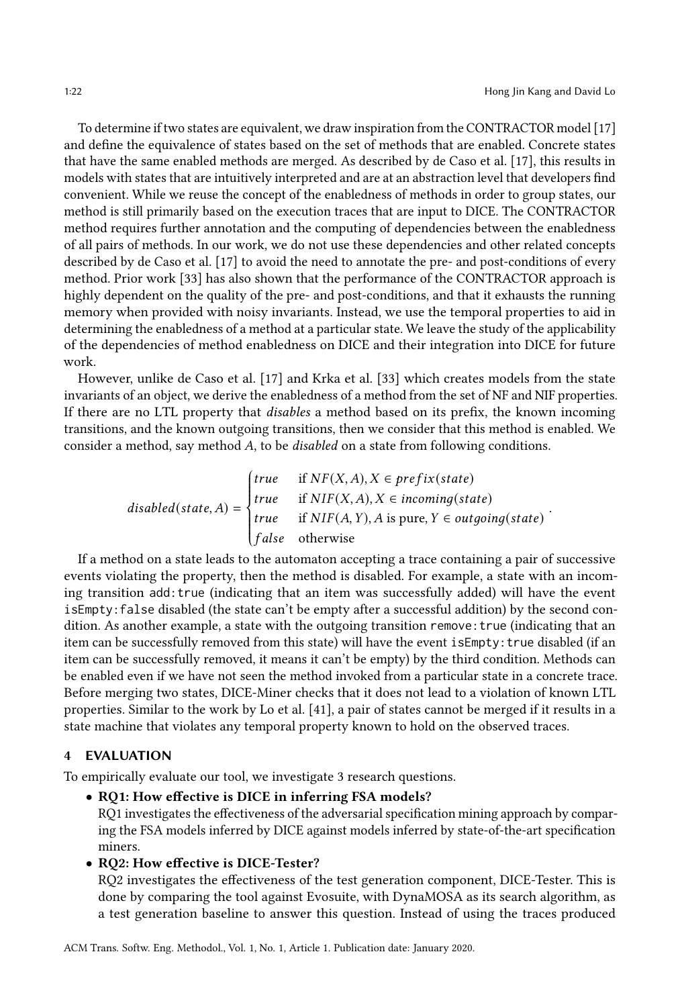To determine if two states are equivalent, we draw inspiration from the CONTRACTOR model [\[17\]](#page-37-6) and define the equivalence of states based on the set of methods that are enabled. Concrete states that have the same enabled methods are merged. As described by de Caso et al. [\[17\]](#page-37-6), this results in models with states that are intuitively interpreted and are at an abstraction level that developers find convenient. While we reuse the concept of the enabledness of methods in order to group states, our method is still primarily based on the execution traces that are input to DICE. The CONTRACTOR method requires further annotation and the computing of dependencies between the enabledness of all pairs of methods. In our work, we do not use these dependencies and other related concepts described by de Caso et al. [\[17\]](#page-37-6) to avoid the need to annotate the pre- and post-conditions of every method. Prior work [\[33\]](#page-38-7) has also shown that the performance of the CONTRACTOR approach is highly dependent on the quality of the pre- and post-conditions, and that it exhausts the running memory when provided with noisy invariants. Instead, we use the temporal properties to aid in determining the enabledness of a method at a particular state. We leave the study of the applicability of the dependencies of method enabledness on DICE and their integration into DICE for future work.

However, unlike de Caso et al. [\[17\]](#page-37-6) and Krka et al. [\[33\]](#page-38-7) which creates models from the state invariants of an object, we derive the enabledness of a method from the set of NF and NIF properties. If there are no LTL property that disables a method based on its prefix, the known incoming transitions, and the known outgoing transitions, then we consider that this method is enabled. We consider a method, say method  $A$ , to be *disabled* on a state from following conditions.

$$
disabled(state, A) = \begin{cases} true & \text{if } NF(X, A), X \in prefix(state) \\ true & \text{if } NIF(X, A), X \in incoming(state) \\ true & \text{if } NIF(A, Y), A \text{ is pure, } Y \in outgoing(state) \\ false & \text{otherwise} \end{cases}.
$$

 If a method on a state leads to the automaton accepting a trace containing a pair of successive events violating the property, then the method is disabled. For example, a state with an incoming transition add:true (indicating that an item was successfully added) will have the event isEmpty:false disabled (the state can't be empty after a successful addition) by the second condition. As another example, a state with the outgoing transition remove: true (indicating that an item can be successfully removed from this state) will have the event isEmpty: true disabled (if an item can be successfully removed, it means it can't be empty) by the third condition. Methods can be enabled even if we have not seen the method invoked from a particular state in a concrete trace. Before merging two states, DICE-Miner checks that it does not lead to a violation of known LTL properties. Similar to the work by Lo et al. [\[41\]](#page-39-3), a pair of states cannot be merged if it results in a state machine that violates any temporal property known to hold on the observed traces.

# <span id="page-21-0"></span>4 EVALUATION

To empirically evaluate our tool, we investigate 3 research questions.

#### • RQ1: How effective is DICE in inferring FSA models?

RQ1 investigates the effectiveness of the adversarial specification mining approach by comparing the FSA models inferred by DICE against models inferred by state-of-the-art specification miners.

#### • RQ2: How effective is DICE-Tester?

RQ2 investigates the effectiveness of the test generation component, DICE-Tester. This is done by comparing the tool against Evosuite, with DynaMOSA as its search algorithm, as a test generation baseline to answer this question. Instead of using the traces produced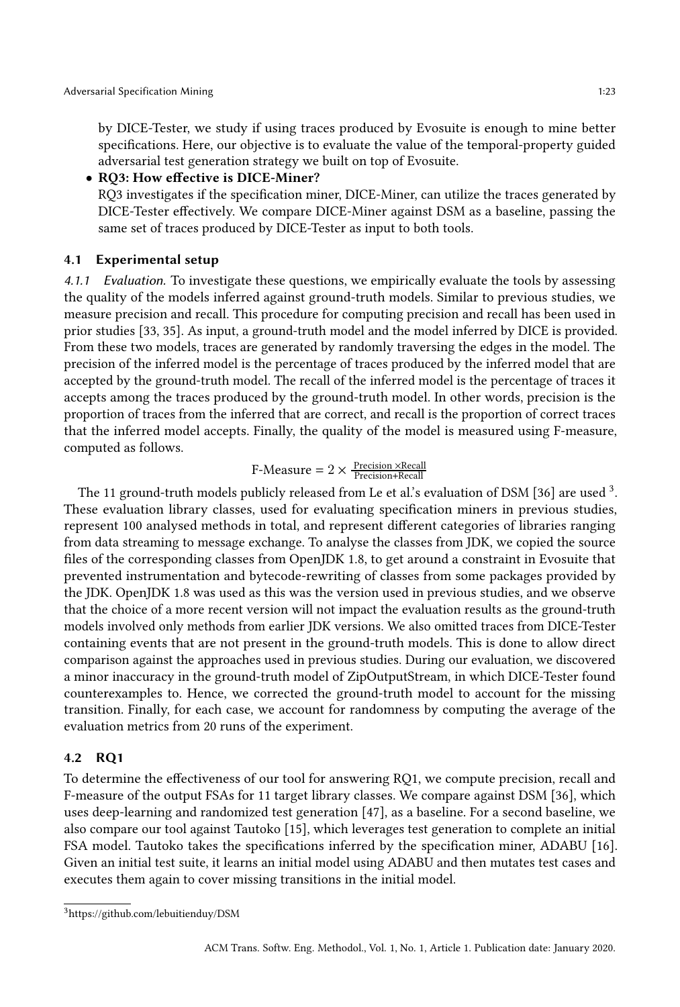by DICE-Tester, we study if using traces produced by Evosuite is enough to mine better specifications. Here, our objective is to evaluate the value of the temporal-property guided adversarial test generation strategy we built on top of Evosuite.

#### • RQ3: How effective is DICE-Miner?

RQ3 investigates if the specification miner, DICE-Miner, can utilize the traces generated by DICE-Tester effectively. We compare DICE-Miner against DSM as a baseline, passing the same set of traces produced by DICE-Tester as input to both tools.

#### 4.1 Experimental setup

4.1.1 Evaluation. To investigate these questions, we empirically evaluate the tools by assessing the quality of the models inferred against ground-truth models. Similar to previous studies, we measure precision and recall. This procedure for computing precision and recall has been used in prior studies [\[33,](#page-38-7) [35\]](#page-38-6). As input, a ground-truth model and the model inferred by DICE is provided. From these two models, traces are generated by randomly traversing the edges in the model. The precision of the inferred model is the percentage of traces produced by the inferred model that are accepted by the ground-truth model. The recall of the inferred model is the percentage of traces it accepts among the traces produced by the ground-truth model. In other words, precision is the proportion of traces from the inferred that are correct, and recall is the proportion of correct traces that the inferred model accepts. Finally, the quality of the model is measured using F-measure, computed as follows.

# $\text{F-Measure} = 2 \times \frac{\text{Precision} \times \text{Recall}}{\text{Precision} + \text{Recall}}$

The 11 ground-truth models publicly released from Le et al.'s evaluation of DSM [\[36\]](#page-38-2) are used  $^3$  $^3$ . These evaluation library classes, used for evaluating specification miners in previous studies, represent 100 analysed methods in total, and represent different categories of libraries ranging from data streaming to message exchange. To analyse the classes from JDK, we copied the source files of the corresponding classes from OpenJDK 1.8, to get around a constraint in Evosuite that prevented instrumentation and bytecode-rewriting of classes from some packages provided by the JDK. OpenJDK 1.8 was used as this was the version used in previous studies, and we observe that the choice of a more recent version will not impact the evaluation results as the ground-truth models involved only methods from earlier JDK versions. We also omitted traces from DICE-Tester containing events that are not present in the ground-truth models. This is done to allow direct comparison against the approaches used in previous studies. During our evaluation, we discovered a minor inaccuracy in the ground-truth model of ZipOutputStream, in which DICE-Tester found counterexamples to. Hence, we corrected the ground-truth model to account for the missing transition. Finally, for each case, we account for randomness by computing the average of the evaluation metrics from 20 runs of the experiment.

#### 4.2 RQ1

To determine the effectiveness of our tool for answering RQ1, we compute precision, recall and F-measure of the output FSAs for 11 target library classes. We compare against DSM [\[36\]](#page-38-2), which uses deep-learning and randomized test generation [\[47\]](#page-39-6), as a baseline. For a second baseline, we also compare our tool against Tautoko [\[15\]](#page-37-2), which leverages test generation to complete an initial FSA model. Tautoko takes the specifications inferred by the specification miner, ADABU [\[16\]](#page-37-8). Given an initial test suite, it learns an initial model using ADABU and then mutates test cases and executes them again to cover missing transitions in the initial model.

<span id="page-22-0"></span><sup>3</sup><https://github.com/lebuitienduy/DSM>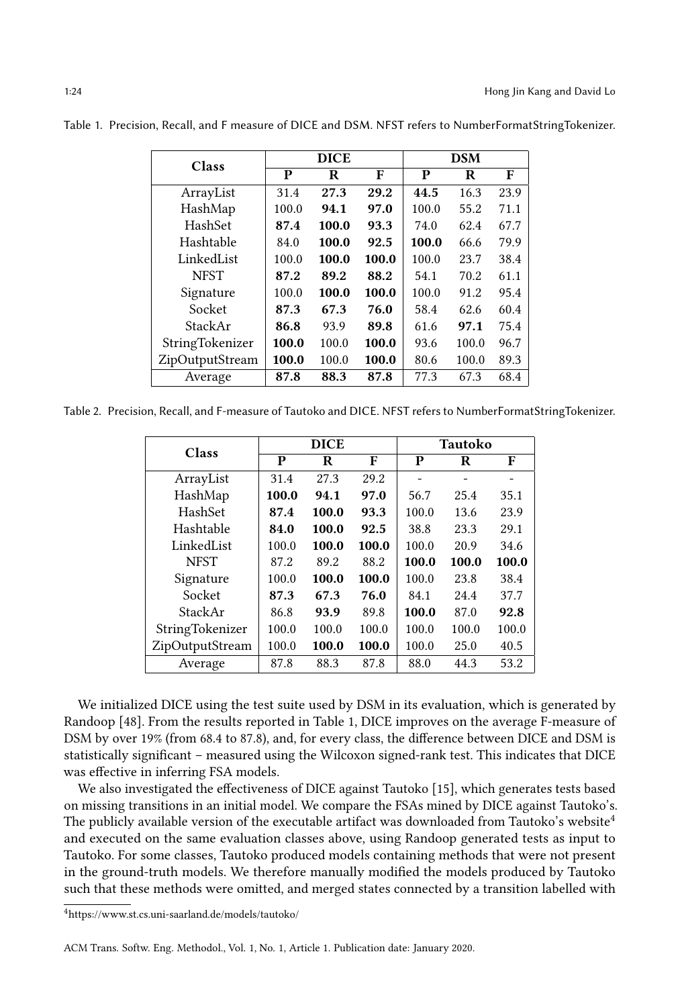| Class           |       | <b>DICE</b> |       |       | <b>DSM</b> |      |
|-----------------|-------|-------------|-------|-------|------------|------|
|                 | P     | R           | F     | P     | R          | F    |
| ArrayList       | 31.4  | 27.3        | 29.2  | 44.5  | 16.3       | 23.9 |
| HashMap         | 100.0 | 94.1        | 97.0  | 100.0 | 55.2       | 71.1 |
| HashSet         | 87.4  | 100.0       | 93.3  | 74.0  | 62.4       | 67.7 |
| Hashtable       | 84.0  | 100.0       | 92.5  | 100.0 | 66.6       | 79.9 |
| LinkedList      | 100.0 | 100.0       | 100.0 | 100.0 | 23.7       | 38.4 |
| <b>NFST</b>     | 87.2  | 89.2        | 88.2  | 54.1  | 70.2       | 61.1 |
| Signature       | 100.0 | 100.0       | 100.0 | 100.0 | 91.2       | 95.4 |
| Socket          | 87.3  | 67.3        | 76.0  | 58.4  | 62.6       | 60.4 |
| StackAr         | 86.8  | 93.9        | 89.8  | 61.6  | 97.1       | 75.4 |
| StringTokenizer | 100.0 | 100.0       | 100.0 | 93.6  | 100.0      | 96.7 |
| ZipOutputStream | 100.0 | 100.0       | 100.0 | 80.6  | 100.0      | 89.3 |
| Average         | 87.8  | 88.3        | 87.8  | 77.3  | 67.3       | 68.4 |

<span id="page-23-0"></span>Table 1. Precision, Recall, and F measure of DICE and DSM. NFST refers to NumberFormatStringTokenizer.

<span id="page-23-2"></span>Table 2. Precision, Recall, and F-measure of Tautoko and DICE. NFST refers to NumberFormatStringTokenizer.

| Class           |       | <b>DICE</b> |       |       | <b>Tautoko</b> |       |
|-----------------|-------|-------------|-------|-------|----------------|-------|
|                 | P     | R           | F     | P     | R              | F     |
| ArrayList       | 31.4  | 27.3        | 29.2  |       |                |       |
| HashMap         | 100.0 | 94.1        | 97.0  | 56.7  | 25.4           | 35.1  |
| HashSet         | 87.4  | 100.0       | 93.3  | 100.0 | 13.6           | 23.9  |
| Hashtable       | 84.0  | 100.0       | 92.5  | 38.8  | 23.3           | 29.1  |
| LinkedList      | 100.0 | 100.0       | 100.0 | 100.0 | 20.9           | 34.6  |
| <b>NFST</b>     | 87.2  | 89.2        | 88.2  | 100.0 | 100.0          | 100.0 |
| Signature       | 100.0 | 100.0       | 100.0 | 100.0 | 23.8           | 38.4  |
| Socket          | 87.3  | 67.3        | 76.0  | 84.1  | 24.4           | 37.7  |
| StackAr         | 86.8  | 93.9        | 89.8  | 100.0 | 87.0           | 92.8  |
| StringTokenizer | 100.0 | 100.0       | 100.0 | 100.0 | 100.0          | 100.0 |
| ZipOutputStream | 100.0 | 100.0       | 100.0 | 100.0 | 25.0           | 40.5  |
| Average         | 87.8  | 88.3        | 87.8  | 88.0  | 44.3           | 53.2  |

We initialized DICE using the test suite used by DSM in its evaluation, which is generated by Randoop [\[48\]](#page-39-12). From the results reported in Table [1,](#page-23-0) DICE improves on the average F-measure of DSM by over 19% (from 68.4 to 87.8), and, for every class, the difference between DICE and DSM is statistically significant – measured using the Wilcoxon signed-rank test. This indicates that DICE was effective in inferring FSA models.

We also investigated the effectiveness of DICE against Tautoko [\[15\]](#page-37-2), which generates tests based on missing transitions in an initial model. We compare the FSAs mined by DICE against Tautoko's. The publicly available version of the executable artifact was downloaded from Tautoko's website<sup>[4](#page-23-1)</sup> and executed on the same evaluation classes above, using Randoop generated tests as input to Tautoko. For some classes, Tautoko produced models containing methods that were not present in the ground-truth models. We therefore manually modified the models produced by Tautoko such that these methods were omitted, and merged states connected by a transition labelled with

<span id="page-23-1"></span><sup>4</sup>https://www.st.cs.uni-saarland.de/models/tautoko/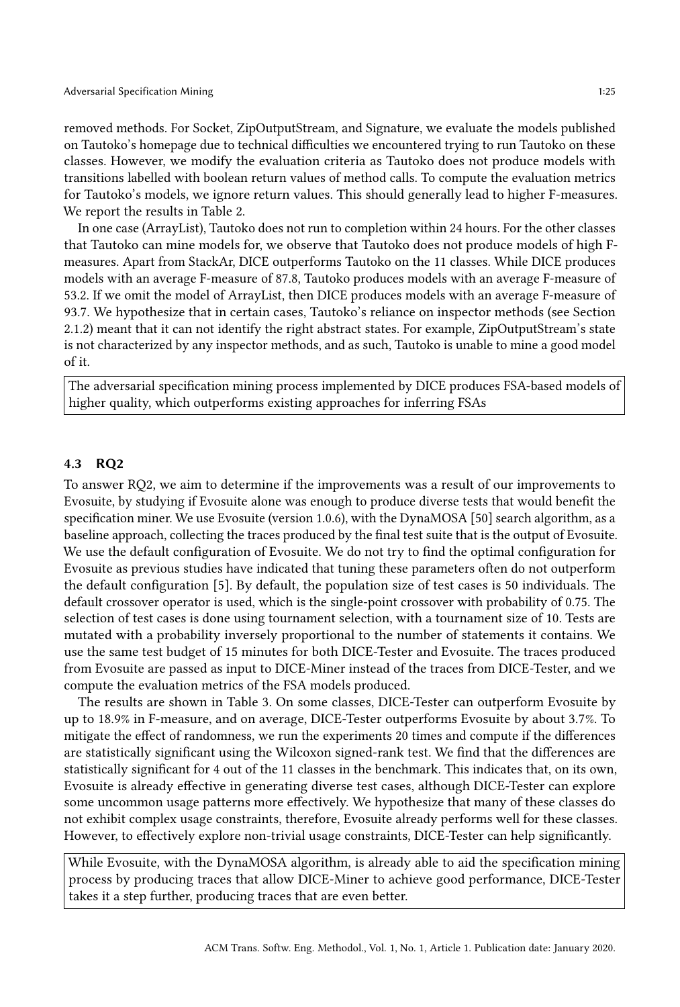removed methods. For Socket, ZipOutputStream, and Signature, we evaluate the models published on Tautoko's homepage due to technical difficulties we encountered trying to run Tautoko on these classes. However, we modify the evaluation criteria as Tautoko does not produce models with transitions labelled with boolean return values of method calls. To compute the evaluation metrics for Tautoko's models, we ignore return values. This should generally lead to higher F-measures. We report the results in Table [2.](#page-23-2)

In one case (ArrayList), Tautoko does not run to completion within 24 hours. For the other classes that Tautoko can mine models for, we observe that Tautoko does not produce models of high Fmeasures. Apart from StackAr, DICE outperforms Tautoko on the 11 classes. While DICE produces models with an average F-measure of 87.8, Tautoko produces models with an average F-measure of 53.2. If we omit the model of ArrayList, then DICE produces models with an average F-measure of 93.7. We hypothesize that in certain cases, Tautoko's reliance on inspector methods (see Section [2.1.2\)](#page-3-0) meant that it can not identify the right abstract states. For example, ZipOutputStream's state is not characterized by any inspector methods, and as such, Tautoko is unable to mine a good model of it.

The adversarial specification mining process implemented by DICE produces FSA-based models of higher quality, which outperforms existing approaches for inferring FSAs

#### 4.3 RQ2

To answer RQ2, we aim to determine if the improvements was a result of our improvements to Evosuite, by studying if Evosuite alone was enough to produce diverse tests that would benefit the specification miner. We use Evosuite (version 1.0.6), with the DynaMOSA [\[50\]](#page-39-1) search algorithm, as a baseline approach, collecting the traces produced by the final test suite that is the output of Evosuite. We use the default configuration of Evosuite. We do not try to find the optimal configuration for Evosuite as previous studies have indicated that tuning these parameters often do not outperform the default configuration [\[5\]](#page-37-9). By default, the population size of test cases is 50 individuals. The default crossover operator is used, which is the single-point crossover with probability of 0.75. The selection of test cases is done using tournament selection, with a tournament size of 10. Tests are mutated with a probability inversely proportional to the number of statements it contains. We use the same test budget of 15 minutes for both DICE-Tester and Evosuite. The traces produced from Evosuite are passed as input to DICE-Miner instead of the traces from DICE-Tester, and we compute the evaluation metrics of the FSA models produced.

The results are shown in Table [3.](#page-25-0) On some classes, DICE-Tester can outperform Evosuite by up to 18.9% in F-measure, and on average, DICE-Tester outperforms Evosuite by about 3.7%. To mitigate the effect of randomness, we run the experiments 20 times and compute if the differences are statistically significant using the Wilcoxon signed-rank test. We find that the differences are statistically significant for 4 out of the 11 classes in the benchmark. This indicates that, on its own, Evosuite is already effective in generating diverse test cases, although DICE-Tester can explore some uncommon usage patterns more effectively. We hypothesize that many of these classes do not exhibit complex usage constraints, therefore, Evosuite already performs well for these classes. However, to effectively explore non-trivial usage constraints, DICE-Tester can help significantly.

While Evosuite, with the DynaMOSA algorithm, is already able to aid the specification mining process by producing traces that allow DICE-Miner to achieve good performance, DICE-Tester takes it a step further, producing traces that are even better.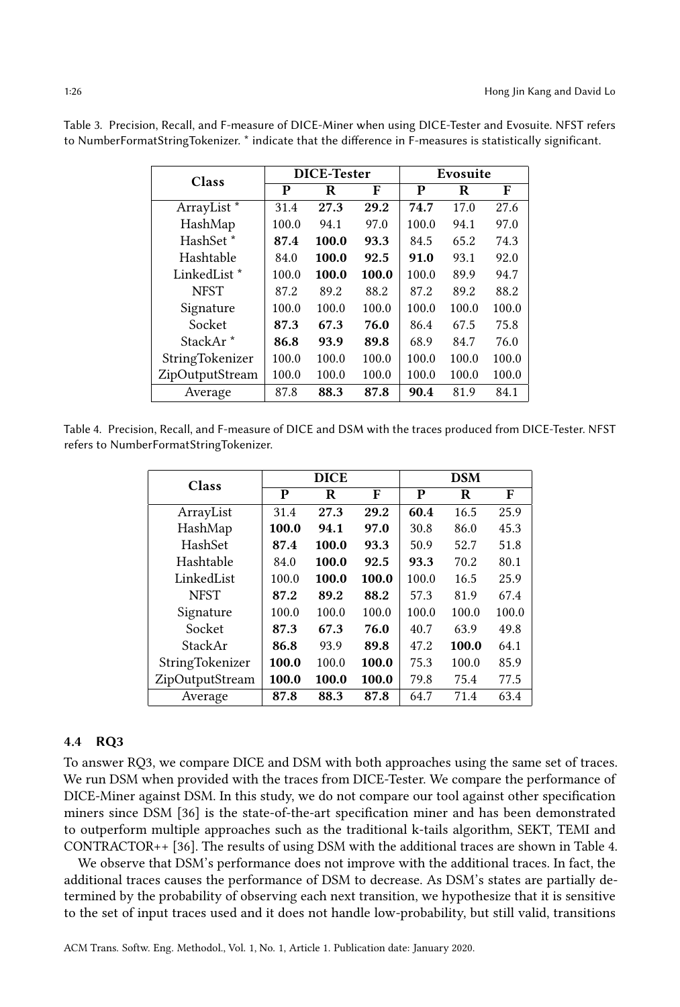| Class                   | <b>DICE-Tester</b> |       |       | Evosuite |       |       |
|-------------------------|--------------------|-------|-------|----------|-------|-------|
|                         | P                  | R     | F     | P        | R     | F     |
| ArrayList*              | 31.4               | 27.3  | 29.2  | 74.7     | 17.0  | 27.6  |
| HashMap                 | 100.0              | 94.1  | 97.0  | 100.0    | 94.1  | 97.0  |
| HashSet <sup>*</sup>    | 87.4               | 100.0 | 93.3  | 84.5     | 65.2  | 74.3  |
| Hashtable               | 84.0               | 100.0 | 92.5  | 91.0     | 93.1  | 92.0  |
| LinkedList <sup>*</sup> | 100.0              | 100.0 | 100.0 | 100.0    | 89.9  | 94.7  |
| <b>NFST</b>             | 87.2               | 89.2  | 88.2  | 87.2     | 89.2  | 88.2  |
| Signature               | 100.0              | 100.0 | 100.0 | 100.0    | 100.0 | 100.0 |
| Socket                  | 87.3               | 67.3  | 76.0  | 86.4     | 67.5  | 75.8  |
| StackAr <sup>*</sup>    | 86.8               | 93.9  | 89.8  | 68.9     | 84.7  | 76.0  |
| StringTokenizer         | 100.0              | 100.0 | 100.0 | 100.0    | 100.0 | 100.0 |
| ZipOutputStream         | 100.0              | 100.0 | 100.0 | 100.0    | 100.0 | 100.0 |
| Average                 | 87.8               | 88.3  | 87.8  | 90.4     | 81.9  | 84.1  |

<span id="page-25-0"></span>Table 3. Precision, Recall, and F-measure of DICE-Miner when using DICE-Tester and Evosuite. NFST refers to NumberFormatStringTokenizer. \* indicate that the difference in F-measures is statistically significant.

<span id="page-25-1"></span>Table 4. Precision, Recall, and F-measure of DICE and DSM with the traces produced from DICE-Tester. NFST refers to NumberFormatStringTokenizer.

| Class           |       | <b>DICE</b> |       |       | <b>DSM</b> |       |
|-----------------|-------|-------------|-------|-------|------------|-------|
|                 | P     | R           | F     | P     | R          | F     |
| ArrayList       | 31.4  | 27.3        | 29.2  | 60.4  | 16.5       | 25.9  |
| HashMap         | 100.0 | 94.1        | 97.0  | 30.8  | 86.0       | 45.3  |
| HashSet         | 87.4  | 100.0       | 93.3  | 50.9  | 52.7       | 51.8  |
| Hashtable       | 84.0  | 100.0       | 92.5  | 93.3  | 70.2       | 80.1  |
| LinkedList      | 100.0 | 100.0       | 100.0 | 100.0 | 16.5       | 25.9  |
| <b>NFST</b>     | 87.2  | 89.2        | 88.2  | 57.3  | 81.9       | 67.4  |
| Signature       | 100.0 | 100.0       | 100.0 | 100.0 | 100.0      | 100.0 |
| Socket          | 87.3  | 67.3        | 76.0  | 40.7  | 63.9       | 49.8  |
| StackAr         | 86.8  | 93.9        | 89.8  | 47.2  | 100.0      | 64.1  |
| StringTokenizer | 100.0 | 100.0       | 100.0 | 75.3  | 100.0      | 85.9  |
| ZipOutputStream | 100.0 | 100.0       | 100.0 | 79.8  | 75.4       | 77.5  |
| Average         | 87.8  | 88.3        | 87.8  | 64.7  | 71.4       | 63.4  |

#### 4.4 RQ3

To answer RQ3, we compare DICE and DSM with both approaches using the same set of traces. We run DSM when provided with the traces from DICE-Tester. We compare the performance of DICE-Miner against DSM. In this study, we do not compare our tool against other specification miners since DSM [\[36\]](#page-38-2) is the state-of-the-art specification miner and has been demonstrated to outperform multiple approaches such as the traditional k-tails algorithm, SEKT, TEMI and CONTRACTOR++ [\[36\]](#page-38-2). The results of using DSM with the additional traces are shown in Table [4.](#page-25-1)

We observe that DSM's performance does not improve with the additional traces. In fact, the additional traces causes the performance of DSM to decrease. As DSM's states are partially determined by the probability of observing each next transition, we hypothesize that it is sensitive to the set of input traces used and it does not handle low-probability, but still valid, transitions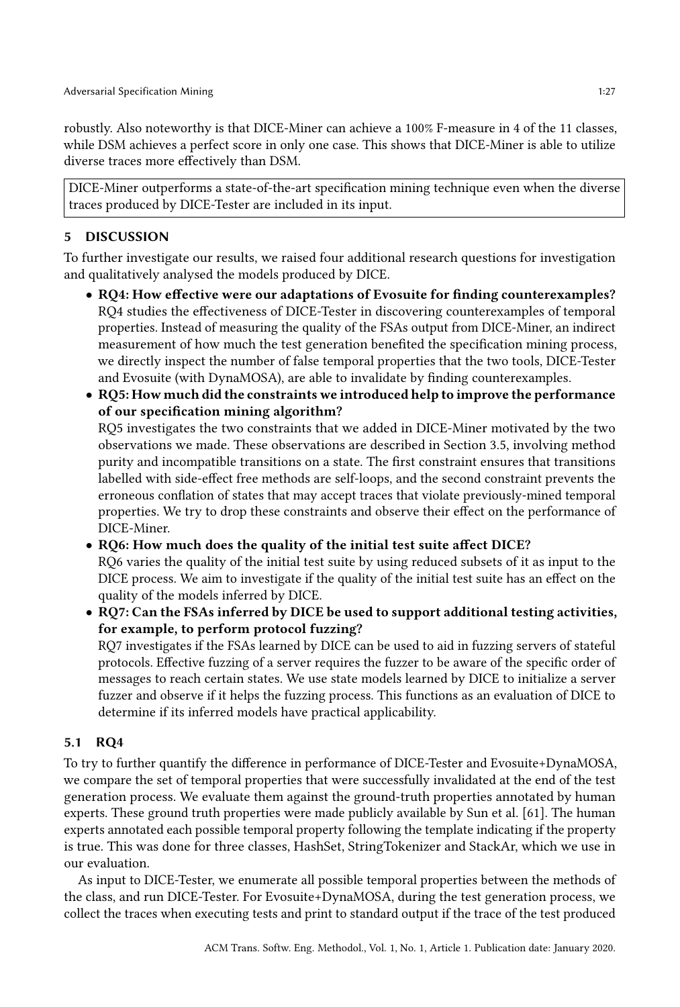robustly. Also noteworthy is that DICE-Miner can achieve a 100% F-measure in 4 of the 11 classes, while DSM achieves a perfect score in only one case. This shows that DICE-Miner is able to utilize diverse traces more effectively than DSM.

DICE-Miner outperforms a state-of-the-art specification mining technique even when the diverse traces produced by DICE-Tester are included in its input.

# <span id="page-26-0"></span>5 DISCUSSION

To further investigate our results, we raised four additional research questions for investigation and qualitatively analysed the models produced by DICE.

- RQ4: How effective were our adaptations of Evosuite for finding counterexamples? RQ4 studies the effectiveness of DICE-Tester in discovering counterexamples of temporal properties. Instead of measuring the quality of the FSAs output from DICE-Miner, an indirect measurement of how much the test generation benefited the specification mining process, we directly inspect the number of false temporal properties that the two tools, DICE-Tester and Evosuite (with DynaMOSA), are able to invalidate by finding counterexamples.
- RQ5: How much did the constraints we introduced help to improve the performance of our specification mining algorithm?

RQ5 investigates the two constraints that we added in DICE-Miner motivated by the two observations we made. These observations are described in Section [3.5,](#page-17-2) involving method purity and incompatible transitions on a state. The first constraint ensures that transitions labelled with side-effect free methods are self-loops, and the second constraint prevents the erroneous conflation of states that may accept traces that violate previously-mined temporal properties. We try to drop these constraints and observe their effect on the performance of DICE-Miner.

- RQ6: How much does the quality of the initial test suite affect DICE? RQ6 varies the quality of the initial test suite by using reduced subsets of it as input to the DICE process. We aim to investigate if the quality of the initial test suite has an effect on the quality of the models inferred by DICE.
- RQ7: Can the FSAs inferred by DICE be used to support additional testing activities, for example, to perform protocol fuzzing? RQ7 investigates if the FSAs learned by DICE can be used to aid in fuzzing servers of stateful protocols. Effective fuzzing of a server requires the fuzzer to be aware of the specific order of messages to reach certain states. We use state models learned by DICE to initialize a server fuzzer and observe if it helps the fuzzing process. This functions as an evaluation of DICE to determine if its inferred models have practical applicability.

# 5.1 RQ4

To try to further quantify the difference in performance of DICE-Tester and Evosuite+DynaMOSA, we compare the set of temporal properties that were successfully invalidated at the end of the test generation process. We evaluate them against the ground-truth properties annotated by human experts. These ground truth properties were made publicly available by Sun et al. [\[61\]](#page-39-2). The human experts annotated each possible temporal property following the template indicating if the property is true. This was done for three classes, HashSet, StringTokenizer and StackAr, which we use in our evaluation.

As input to DICE-Tester, we enumerate all possible temporal properties between the methods of the class, and run DICE-Tester. For Evosuite+DynaMOSA, during the test generation process, we collect the traces when executing tests and print to standard output if the trace of the test produced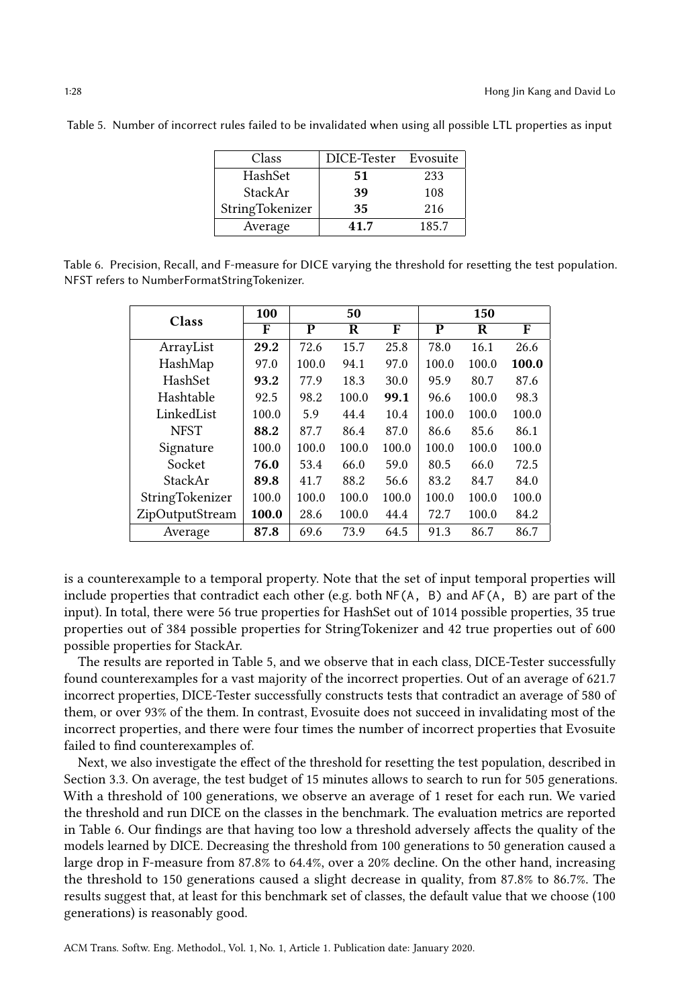| Class           | DICE-Tester Evosuite |       |
|-----------------|----------------------|-------|
| HashSet         | 51                   | 233   |
| <b>StackAr</b>  | 39                   | 108   |
| StringTokenizer | 35                   | 216   |
| Average         | 41.7                 | 185.7 |

<span id="page-27-0"></span>Table 5. Number of incorrect rules failed to be invalidated when using all possible LTL properties as input

<span id="page-27-1"></span>Table 6. Precision, Recall, and F-measure for DICE varying the threshold for resetting the test population. NFST refers to NumberFormatStringTokenizer.

| Class           | 100   |       | 50    |       |       | 150   |       |
|-----------------|-------|-------|-------|-------|-------|-------|-------|
|                 | F     | P     | R     | F     | P     | R     | F     |
| ArrayList       | 29.2  | 72.6  | 15.7  | 25.8  | 78.0  | 16.1  | 26.6  |
| HashMap         | 97.0  | 100.0 | 94.1  | 97.0  | 100.0 | 100.0 | 100.0 |
| HashSet         | 93.2  | 77.9  | 18.3  | 30.0  | 95.9  | 80.7  | 87.6  |
| Hashtable       | 92.5  | 98.2  | 100.0 | 99.1  | 96.6  | 100.0 | 98.3  |
| LinkedList      | 100.0 | 5.9   | 44.4  | 10.4  | 100.0 | 100.0 | 100.0 |
| <b>NFST</b>     | 88.2  | 87.7  | 86.4  | 87.0  | 86.6  | 85.6  | 86.1  |
| Signature       | 100.0 | 100.0 | 100.0 | 100.0 | 100.0 | 100.0 | 100.0 |
| Socket          | 76.0  | 53.4  | 66.0  | 59.0  | 80.5  | 66.0  | 72.5  |
| StackAr         | 89.8  | 41.7  | 88.2  | 56.6  | 83.2  | 84.7  | 84.0  |
| StringTokenizer | 100.0 | 100.0 | 100.0 | 100.0 | 100.0 | 100.0 | 100.0 |
| ZipOutputStream | 100.0 | 28.6  | 100.0 | 44.4  | 72.7  | 100.0 | 84.2  |
| Average         | 87.8  | 69.6  | 73.9  | 64.5  | 91.3  | 86.7  | 86.7  |

is a counterexample to a temporal property. Note that the set of input temporal properties will include properties that contradict each other (e.g. both  $NF(A, B)$  and  $AF(A, B)$  are part of the input). In total, there were 56 true properties for HashSet out of 1014 possible properties, 35 true properties out of 384 possible properties for StringTokenizer and 42 true properties out of 600 possible properties for StackAr.

The results are reported in Table [5,](#page-27-0) and we observe that in each class, DICE-Tester successfully found counterexamples for a vast majority of the incorrect properties. Out of an average of 621.7 incorrect properties, DICE-Tester successfully constructs tests that contradict an average of 580 of them, or over 93% of the them. In contrast, Evosuite does not succeed in invalidating most of the incorrect properties, and there were four times the number of incorrect properties that Evosuite failed to find counterexamples of.

Next, we also investigate the effect of the threshold for resetting the test population, described in Section 3.3. On average, the test budget of 15 minutes allows to search to run for 505 generations. With a threshold of 100 generations, we observe an average of 1 reset for each run. We varied the threshold and run DICE on the classes in the benchmark. The evaluation metrics are reported in Table [6.](#page-27-1) Our findings are that having too low a threshold adversely affects the quality of the models learned by DICE. Decreasing the threshold from 100 generations to 50 generation caused a large drop in F-measure from 87.8% to 64.4%, over a 20% decline. On the other hand, increasing the threshold to 150 generations caused a slight decrease in quality, from 87.8% to 86.7%. The results suggest that, at least for this benchmark set of classes, the default value that we choose (100 generations) is reasonably good.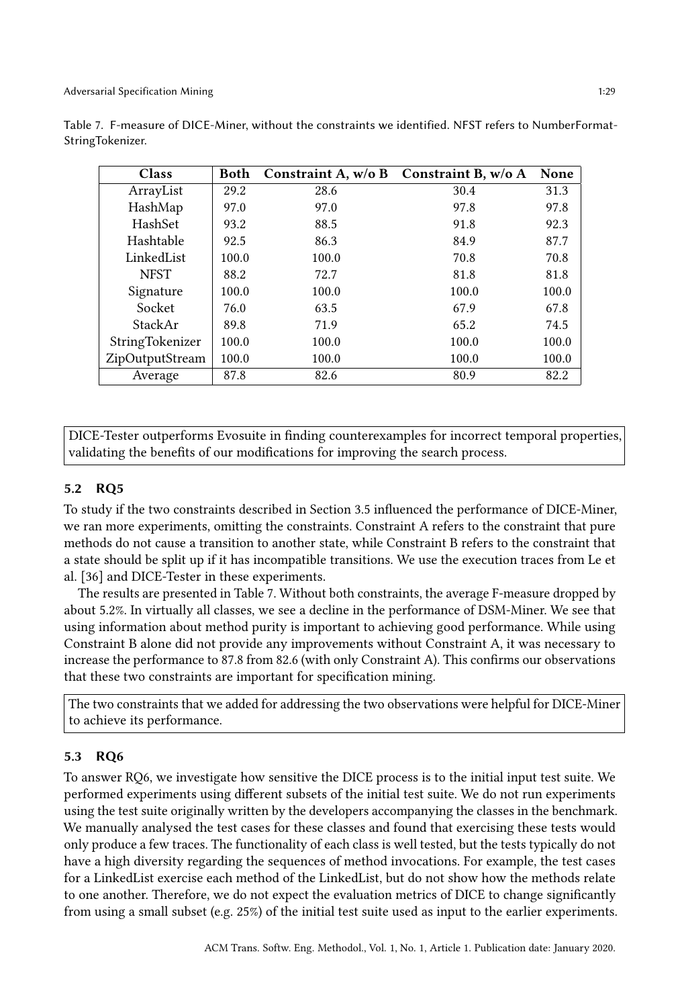| Class           | Both  | Constraint A, $w/o B$ | Constraint B, w/o A | None  |
|-----------------|-------|-----------------------|---------------------|-------|
| ArrayList       | 29.2  | 28.6                  | 30.4                | 31.3  |
| HashMap         | 97.0  | 97.0                  | 97.8                | 97.8  |
| HashSet         | 93.2  | 88.5                  | 91.8                | 92.3  |
| Hashtable       | 92.5  | 86.3                  | 84.9                | 87.7  |
| LinkedList      | 100.0 | 100.0                 | 70.8                | 70.8  |
| <b>NFST</b>     | 88.2  | 72.7                  | 81.8                | 81.8  |
| Signature       | 100.0 | 100.0                 | 100.0               | 100.0 |
| Socket          | 76.0  | 63.5                  | 67.9                | 67.8  |
| StackAr         | 89.8  | 71.9                  | 65.2                | 74.5  |
| StringTokenizer | 100.0 | 100.0                 | 100.0               | 100.0 |
| ZipOutputStream | 100.0 | 100.0                 | 100.0               | 100.0 |
| Average         | 87.8  | 82.6                  | 80.9                | 82.2  |

<span id="page-28-0"></span>Table 7. F-measure of DICE-Miner, without the constraints we identified. NFST refers to NumberFormat-StringTokenizer.

DICE-Tester outperforms Evosuite in finding counterexamples for incorrect temporal properties, validating the benefits of our modifications for improving the search process.

#### 5.2 RQ5

To study if the two constraints described in Section [3.5](#page-17-2) influenced the performance of DICE-Miner, we ran more experiments, omitting the constraints. Constraint A refers to the constraint that pure methods do not cause a transition to another state, while Constraint B refers to the constraint that a state should be split up if it has incompatible transitions. We use the execution traces from Le et al. [\[36\]](#page-38-2) and DICE-Tester in these experiments.

The results are presented in Table [7.](#page-28-0) Without both constraints, the average F-measure dropped by about 5.2%. In virtually all classes, we see a decline in the performance of DSM-Miner. We see that using information about method purity is important to achieving good performance. While using Constraint B alone did not provide any improvements without Constraint A, it was necessary to increase the performance to 87.8 from 82.6 (with only Constraint A). This confirms our observations that these two constraints are important for specification mining.

The two constraints that we added for addressing the two observations were helpful for DICE-Miner to achieve its performance.

## 5.3 RQ6

To answer RQ6, we investigate how sensitive the DICE process is to the initial input test suite. We performed experiments using different subsets of the initial test suite. We do not run experiments using the test suite originally written by the developers accompanying the classes in the benchmark. We manually analysed the test cases for these classes and found that exercising these tests would only produce a few traces. The functionality of each class is well tested, but the tests typically do not have a high diversity regarding the sequences of method invocations. For example, the test cases for a LinkedList exercise each method of the LinkedList, but do not show how the methods relate to one another. Therefore, we do not expect the evaluation metrics of DICE to change significantly from using a small subset (e.g. 25%) of the initial test suite used as input to the earlier experiments.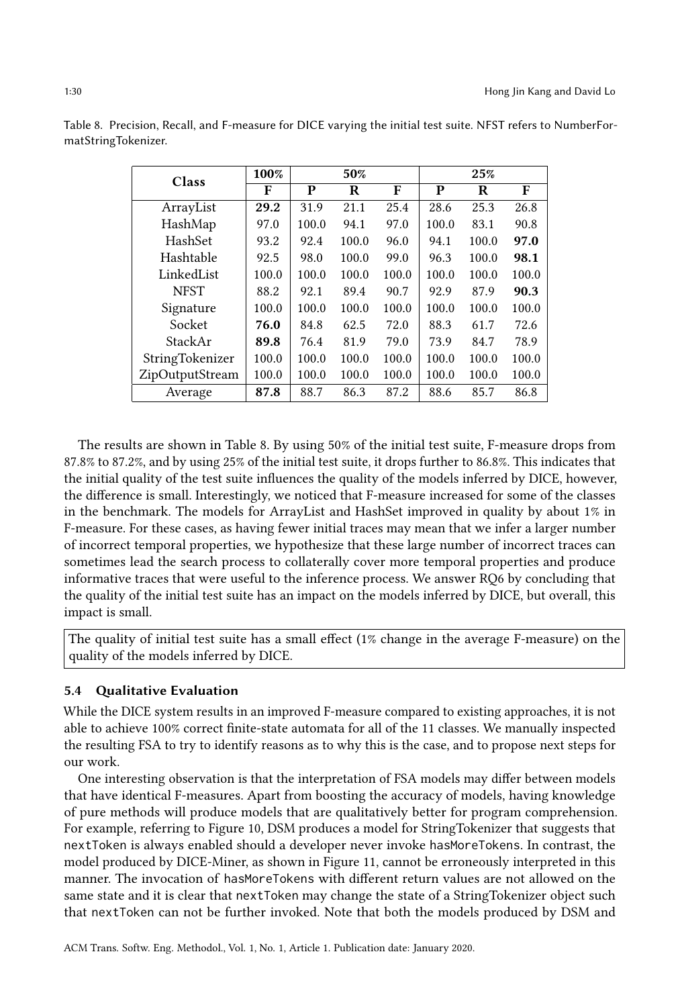| Class           | 100%  |       | 50%   |       |       | 25%   |       |
|-----------------|-------|-------|-------|-------|-------|-------|-------|
|                 | F     | P     | R     | F     | P     | R     | F     |
| ArrayList       | 29.2  | 31.9  | 21.1  | 25.4  | 28.6  | 25.3  | 26.8  |
| HashMap         | 97.0  | 100.0 | 94.1  | 97.0  | 100.0 | 83.1  | 90.8  |
| HashSet         | 93.2  | 92.4  | 100.0 | 96.0  | 94.1  | 100.0 | 97.0  |
| Hashtable       | 92.5  | 98.0  | 100.0 | 99.0  | 96.3  | 100.0 | 98.1  |
| LinkedList      | 100.0 | 100.0 | 100.0 | 100.0 | 100.0 | 100.0 | 100.0 |
| <b>NFST</b>     | 88.2  | 92.1  | 89.4  | 90.7  | 92.9  | 87.9  | 90.3  |
| Signature       | 100.0 | 100.0 | 100.0 | 100.0 | 100.0 | 100.0 | 100.0 |
| Socket          | 76.0  | 84.8  | 62.5  | 72.0  | 88.3  | 61.7  | 72.6  |
| StackAr         | 89.8  | 76.4  | 81.9  | 79.0  | 73.9  | 84.7  | 78.9  |
| StringTokenizer | 100.0 | 100.0 | 100.0 | 100.0 | 100.0 | 100.0 | 100.0 |
| ZipOutputStream | 100.0 | 100.0 | 100.0 | 100.0 | 100.0 | 100.0 | 100.0 |
| Average         | 87.8  | 88.7  | 86.3  | 87.2  | 88.6  | 85.7  | 86.8  |

<span id="page-29-0"></span>Table 8. Precision, Recall, and F-measure for DICE varying the initial test suite. NFST refers to NumberFormatStringTokenizer.

The results are shown in Table [8.](#page-29-0) By using 50% of the initial test suite, F-measure drops from 87.8% to 87.2%, and by using 25% of the initial test suite, it drops further to 86.8%. This indicates that the initial quality of the test suite influences the quality of the models inferred by DICE, however, the difference is small. Interestingly, we noticed that F-measure increased for some of the classes in the benchmark. The models for ArrayList and HashSet improved in quality by about 1% in F-measure. For these cases, as having fewer initial traces may mean that we infer a larger number of incorrect temporal properties, we hypothesize that these large number of incorrect traces can sometimes lead the search process to collaterally cover more temporal properties and produce informative traces that were useful to the inference process. We answer RQ6 by concluding that the quality of the initial test suite has an impact on the models inferred by DICE, but overall, this impact is small.

The quality of initial test suite has a small effect (1% change in the average F-measure) on the quality of the models inferred by DICE.

# 5.4 Qualitative Evaluation

While the DICE system results in an improved F-measure compared to existing approaches, it is not able to achieve 100% correct finite-state automata for all of the 11 classes. We manually inspected the resulting FSA to try to identify reasons as to why this is the case, and to propose next steps for our work.

One interesting observation is that the interpretation of FSA models may differ between models that have identical F-measures. Apart from boosting the accuracy of models, having knowledge of pure methods will produce models that are qualitatively better for program comprehension. For example, referring to Figure [10,](#page-30-0) DSM produces a model for StringTokenizer that suggests that nextToken is always enabled should a developer never invoke hasMoreTokens. In contrast, the model produced by DICE-Miner, as shown in Figure [11,](#page-30-1) cannot be erroneously interpreted in this manner. The invocation of hasMoreTokens with different return values are not allowed on the same state and it is clear that nextToken may change the state of a StringTokenizer object such that nextToken can not be further invoked. Note that both the models produced by DSM and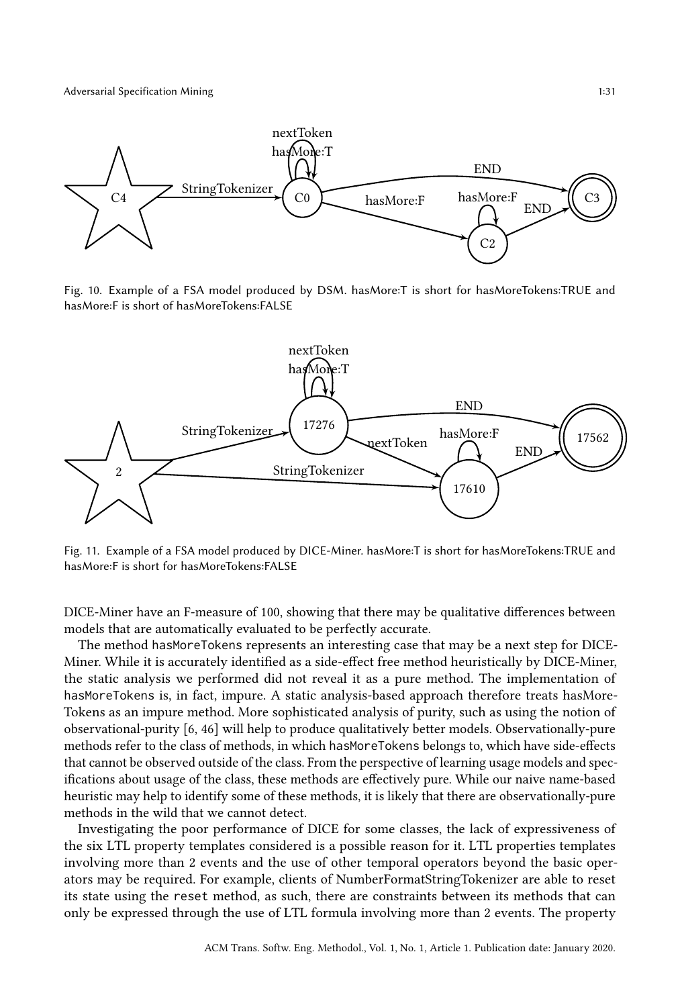<span id="page-30-0"></span>

Fig. 10. Example of a FSA model produced by DSM. hasMore:T is short for hasMoreTokens:TRUE and hasMore:F is short of hasMoreTokens:FALSE

<span id="page-30-1"></span>

Fig. 11. Example of a FSA model produced by DICE-Miner. hasMore:T is short for hasMoreTokens:TRUE and hasMore:F is short for hasMoreTokens:FALSE

DICE-Miner have an F-measure of 100, showing that there may be qualitative differences between models that are automatically evaluated to be perfectly accurate.

The method hasMoreTokens represents an interesting case that may be a next step for DICE-Miner. While it is accurately identified as a side-effect free method heuristically by DICE-Miner, the static analysis we performed did not reveal it as a pure method. The implementation of hasMoreTokens is, in fact, impure. A static analysis-based approach therefore treats hasMore-Tokens as an impure method. More sophisticated analysis of purity, such as using the notion of observational-purity [\[6,](#page-37-10) [46\]](#page-39-13) will help to produce qualitatively better models. Observationally-pure methods refer to the class of methods, in which hasMoreTokens belongs to, which have side-effects that cannot be observed outside of the class. From the perspective of learning usage models and specifications about usage of the class, these methods are effectively pure. While our naive name-based heuristic may help to identify some of these methods, it is likely that there are observationally-pure methods in the wild that we cannot detect.

Investigating the poor performance of DICE for some classes, the lack of expressiveness of the six LTL property templates considered is a possible reason for it. LTL properties templates involving more than 2 events and the use of other temporal operators beyond the basic operators may be required. For example, clients of NumberFormatStringTokenizer are able to reset its state using the reset method, as such, there are constraints between its methods that can only be expressed through the use of LTL formula involving more than 2 events. The property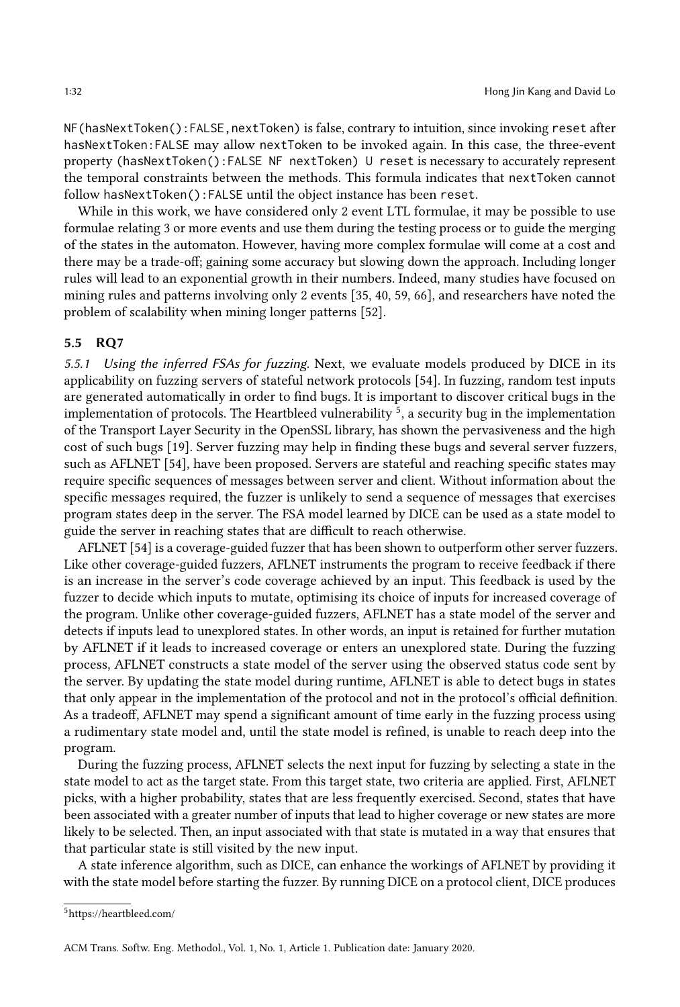NF(hasNextToken():FALSE,nextToken) is false, contrary to intuition, since invoking reset after hasNextToken:FALSE may allow nextToken to be invoked again. In this case, the three-event property (hasNextToken():FALSE NF nextToken) U reset is necessary to accurately represent the temporal constraints between the methods. This formula indicates that nextToken cannot follow hasNextToken():FALSE until the object instance has been reset.

While in this work, we have considered only 2 event LTL formulae, it may be possible to use formulae relating 3 or more events and use them during the testing process or to guide the merging of the states in the automaton. However, having more complex formulae will come at a cost and there may be a trade-off; gaining some accuracy but slowing down the approach. Including longer rules will lead to an exponential growth in their numbers. Indeed, many studies have focused on mining rules and patterns involving only 2 events [\[35,](#page-38-6) [40,](#page-38-13) [59,](#page-39-14) [66\]](#page-40-2), and researchers have noted the problem of scalability when mining longer patterns [\[52\]](#page-39-15).

#### 5.5 RQ7

5.5.1 Using the inferred FSAs for fuzzing. Next, we evaluate models produced by DICE in its applicability on fuzzing servers of stateful network protocols [\[54\]](#page-39-16). In fuzzing, random test inputs are generated automatically in order to find bugs. It is important to discover critical bugs in the implementation of protocols. The Heartbleed vulnerability <sup>[5](#page-31-0)</sup>, a security bug in the implementation of the Transport Layer Security in the OpenSSL library, has shown the pervasiveness and the high cost of such bugs [\[19\]](#page-38-14). Server fuzzing may help in finding these bugs and several server fuzzers, such as AFLNET [\[54\]](#page-39-16), have been proposed. Servers are stateful and reaching specific states may require specific sequences of messages between server and client. Without information about the specific messages required, the fuzzer is unlikely to send a sequence of messages that exercises program states deep in the server. The FSA model learned by DICE can be used as a state model to guide the server in reaching states that are difficult to reach otherwise.

AFLNET [\[54\]](#page-39-16) is a coverage-guided fuzzer that has been shown to outperform other server fuzzers. Like other coverage-guided fuzzers, AFLNET instruments the program to receive feedback if there is an increase in the server's code coverage achieved by an input. This feedback is used by the fuzzer to decide which inputs to mutate, optimising its choice of inputs for increased coverage of the program. Unlike other coverage-guided fuzzers, AFLNET has a state model of the server and detects if inputs lead to unexplored states. In other words, an input is retained for further mutation by AFLNET if it leads to increased coverage or enters an unexplored state. During the fuzzing process, AFLNET constructs a state model of the server using the observed status code sent by the server. By updating the state model during runtime, AFLNET is able to detect bugs in states that only appear in the implementation of the protocol and not in the protocol's official definition. As a tradeoff, AFLNET may spend a significant amount of time early in the fuzzing process using a rudimentary state model and, until the state model is refined, is unable to reach deep into the program.

During the fuzzing process, AFLNET selects the next input for fuzzing by selecting a state in the state model to act as the target state. From this target state, two criteria are applied. First, AFLNET picks, with a higher probability, states that are less frequently exercised. Second, states that have been associated with a greater number of inputs that lead to higher coverage or new states are more likely to be selected. Then, an input associated with that state is mutated in a way that ensures that that particular state is still visited by the new input.

A state inference algorithm, such as DICE, can enhance the workings of AFLNET by providing it with the state model before starting the fuzzer. By running DICE on a protocol client, DICE produces

<span id="page-31-0"></span><sup>5</sup><https://heartbleed.com/>

ACM Trans. Softw. Eng. Methodol., Vol. 1, No. 1, Article 1. Publication date: January 2020.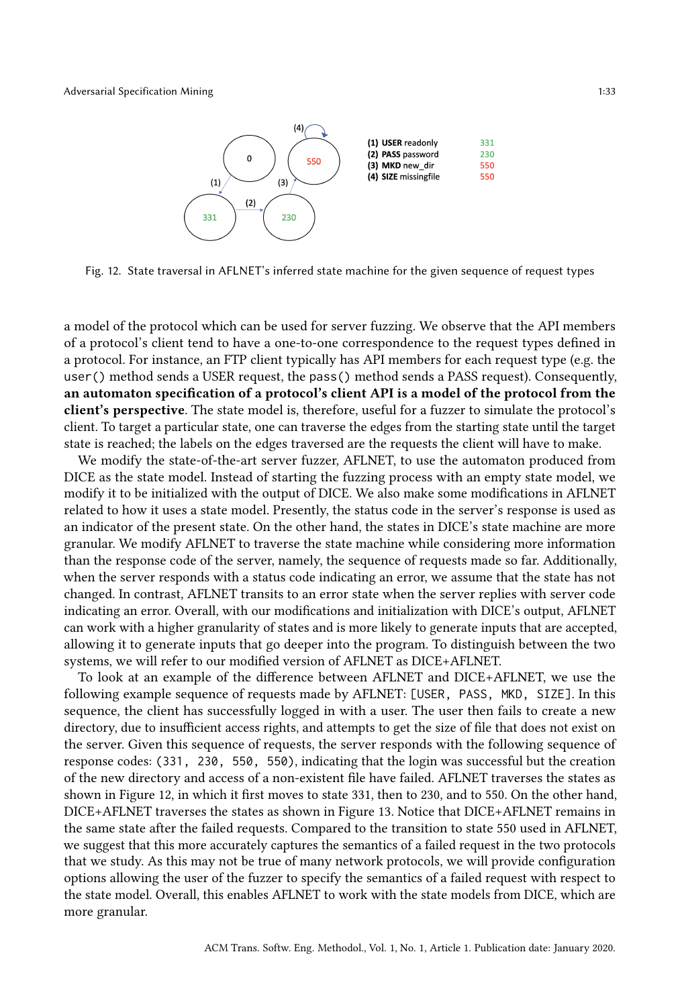<span id="page-32-0"></span>

Fig. 12. State traversal in AFLNET's inferred state machine for the given sequence of request types

a model of the protocol which can be used for server fuzzing. We observe that the API members of a protocol's client tend to have a one-to-one correspondence to the request types defined in a protocol. For instance, an FTP client typically has API members for each request type (e.g. the user() method sends a USER request, the pass() method sends a PASS request). Consequently, an automaton specification of a protocol's client API is a model of the protocol from the client's perspective. The state model is, therefore, useful for a fuzzer to simulate the protocol's client. To target a particular state, one can traverse the edges from the starting state until the target state is reached; the labels on the edges traversed are the requests the client will have to make.

We modify the state-of-the-art server fuzzer, AFLNET, to use the automaton produced from DICE as the state model. Instead of starting the fuzzing process with an empty state model, we modify it to be initialized with the output of DICE. We also make some modifications in AFLNET related to how it uses a state model. Presently, the status code in the server's response is used as an indicator of the present state. On the other hand, the states in DICE's state machine are more granular. We modify AFLNET to traverse the state machine while considering more information than the response code of the server, namely, the sequence of requests made so far. Additionally, when the server responds with a status code indicating an error, we assume that the state has not changed. In contrast, AFLNET transits to an error state when the server replies with server code indicating an error. Overall, with our modifications and initialization with DICE's output, AFLNET can work with a higher granularity of states and is more likely to generate inputs that are accepted, allowing it to generate inputs that go deeper into the program. To distinguish between the two systems, we will refer to our modified version of AFLNET as DICE+AFLNET.

To look at an example of the difference between AFLNET and DICE+AFLNET, we use the following example sequence of requests made by AFLNET: [USER, PASS, MKD, SIZE]. In this sequence, the client has successfully logged in with a user. The user then fails to create a new directory, due to insufficient access rights, and attempts to get the size of file that does not exist on the server. Given this sequence of requests, the server responds with the following sequence of response codes: (331, 230, 550, 550), indicating that the login was successful but the creation of the new directory and access of a non-existent file have failed. AFLNET traverses the states as shown in Figure [12,](#page-32-0) in which it first moves to state 331, then to 230, and to 550. On the other hand, DICE+AFLNET traverses the states as shown in Figure [13.](#page-33-0) Notice that DICE+AFLNET remains in the same state after the failed requests. Compared to the transition to state 550 used in AFLNET, we suggest that this more accurately captures the semantics of a failed request in the two protocols that we study. As this may not be true of many network protocols, we will provide configuration options allowing the user of the fuzzer to specify the semantics of a failed request with respect to the state model. Overall, this enables AFLNET to work with the state models from DICE, which are more granular.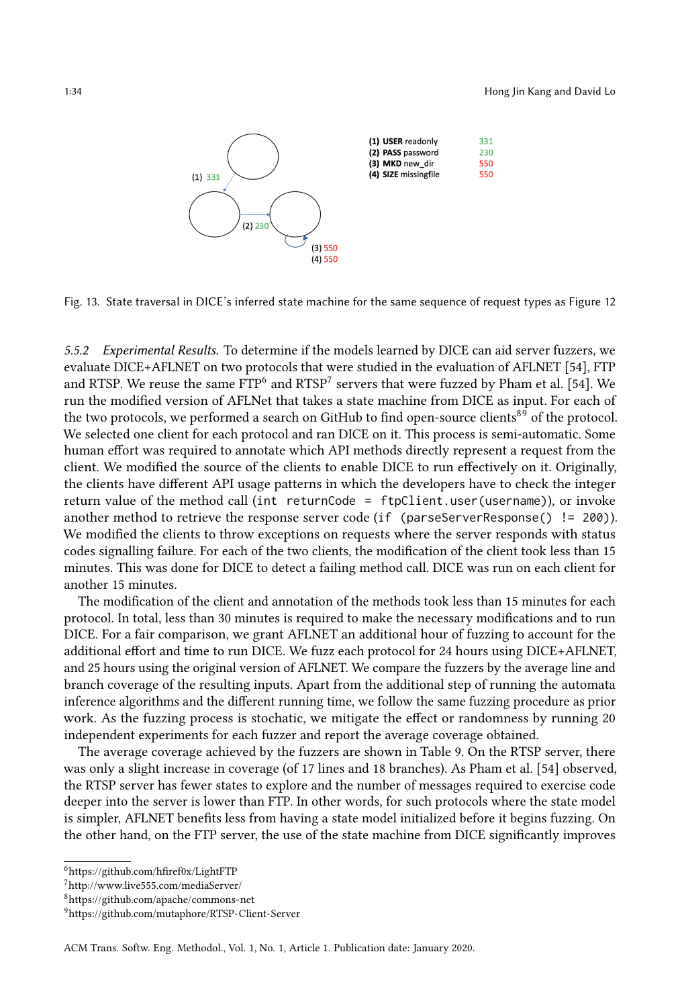<span id="page-33-0"></span>

Fig. 13. State traversal in DICE's inferred state machine for the same sequence of request types as Figure [12](#page-32-0)

5.5.2 Experimental Results. To determine if the models learned by DICE can aid server fuzzers, we evaluate DICE+AFLNET on two protocols that were studied in the evaluation of AFLNET [\[54\]](#page-39-16), FTP and RTSP. We reuse the same  $\text{FTP}^6$  $\text{FTP}^6$  and  $\text{RTSP}^7$  $\text{RTSP}^7$  servers that were fuzzed by Pham et al. [\[54\]](#page-39-16). We run the modified version of AFLNet that takes a state machine from DICE as input. For each of the two protocols, we performed a search on GitHub to find open-source clients<sup>[8](#page-33-3)[9](#page-33-4)</sup> of the protocol. We selected one client for each protocol and ran DICE on it. This process is semi-automatic. Some human effort was required to annotate which API methods directly represent a request from the client. We modified the source of the clients to enable DICE to run effectively on it. Originally, the clients have different API usage patterns in which the developers have to check the integer return value of the method call (int returnCode = ftpClient.user(username)), or invoke another method to retrieve the response server code (if (parseServerResponse() != 200)). We modified the clients to throw exceptions on requests where the server responds with status codes signalling failure. For each of the two clients, the modification of the client took less than 15 minutes. This was done for DICE to detect a failing method call. DICE was run on each client for another 15 minutes.

The modification of the client and annotation of the methods took less than 15 minutes for each protocol. In total, less than 30 minutes is required to make the necessary modifications and to run DICE. For a fair comparison, we grant AFLNET an additional hour of fuzzing to account for the additional effort and time to run DICE. We fuzz each protocol for 24 hours using DICE+AFLNET, and 25 hours using the original version of AFLNET. We compare the fuzzers by the average line and branch coverage of the resulting inputs. Apart from the additional step of running the automata inference algorithms and the different running time, we follow the same fuzzing procedure as prior work. As the fuzzing process is stochatic, we mitigate the effect or randomness by running 20 independent experiments for each fuzzer and report the average coverage obtained.

The average coverage achieved by the fuzzers are shown in Table [9.](#page-34-0) On the RTSP server, there was only a slight increase in coverage (of 17 lines and 18 branches). As Pham et al. [\[54\]](#page-39-16) observed, the RTSP server has fewer states to explore and the number of messages required to exercise code deeper into the server is lower than FTP. In other words, for such protocols where the state model is simpler, AFLNET benefits less from having a state model initialized before it begins fuzzing. On the other hand, on the FTP server, the use of the state machine from DICE significantly improves

<span id="page-33-1"></span><sup>6</sup><https://github.com/hfiref0x/LightFTP>

<span id="page-33-2"></span> $^7$ <http://www.live555.com/mediaServer/>

<span id="page-33-3"></span><sup>8</sup><https://github.com/apache/commons-net>

<span id="page-33-4"></span><sup>9</sup><https://github.com/mutaphore/RTSP-Client-Server>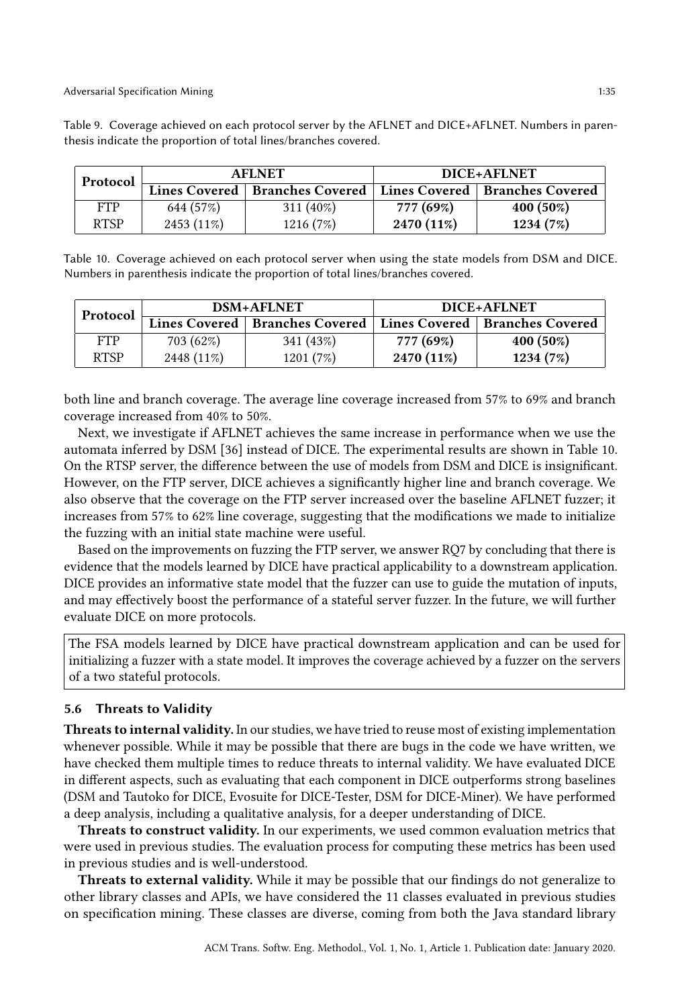Adversarial Specification Mining 1:35

| Protocol   |           | <b>AFLNET</b>                                                              | DICE+AFLNET |             |  |
|------------|-----------|----------------------------------------------------------------------------|-------------|-------------|--|
|            |           | <b>Lines Covered   Branches Covered   Lines Covered   Branches Covered</b> |             |             |  |
| <b>FTP</b> | 644 (57%) | $311(40\%)$                                                                | 777 (69%)   | $400(50\%)$ |  |

RTSP | 2453 (11%) | 1216 (7%) | 2470 (11%) | 1234 (7%)

<span id="page-34-0"></span>Table 9. Coverage achieved on each protocol server by the AFLNET and DICE+AFLNET. Numbers in parenthesis indicate the proportion of total lines/branches covered.

<span id="page-34-1"></span>Table 10. Coverage achieved on each protocol server when using the state models from DSM and DICE. Numbers in parenthesis indicate the proportion of total lines/branches covered.

| Protocol   |            | <b>DSM+AFLNET</b>                                                   | DICE+AFLNET |             |  |
|------------|------------|---------------------------------------------------------------------|-------------|-------------|--|
|            |            | Lines Covered   Branches Covered   Lines Covered   Branches Covered |             |             |  |
| <b>FTP</b> | 703 (62%)  | 341 (43%)                                                           | 777 (69%)   | $400(50\%)$ |  |
| RTSP       | 2448 (11%) | 1201(7%)                                                            | 2470 (11%)  | 1234 (7%)   |  |

both line and branch coverage. The average line coverage increased from 57% to 69% and branch coverage increased from 40% to 50%.

Next, we investigate if AFLNET achieves the same increase in performance when we use the automata inferred by DSM [\[36\]](#page-38-2) instead of DICE. The experimental results are shown in Table [10.](#page-34-1) On the RTSP server, the difference between the use of models from DSM and DICE is insignificant. However, on the FTP server, DICE achieves a significantly higher line and branch coverage. We also observe that the coverage on the FTP server increased over the baseline AFLNET fuzzer; it increases from 57% to 62% line coverage, suggesting that the modifications we made to initialize the fuzzing with an initial state machine were useful.

Based on the improvements on fuzzing the FTP server, we answer RQ7 by concluding that there is evidence that the models learned by DICE have practical applicability to a downstream application. DICE provides an informative state model that the fuzzer can use to guide the mutation of inputs, and may effectively boost the performance of a stateful server fuzzer. In the future, we will further evaluate DICE on more protocols.

The FSA models learned by DICE have practical downstream application and can be used for initializing a fuzzer with a state model. It improves the coverage achieved by a fuzzer on the servers of a two stateful protocols.

# 5.6 Threats to Validity

Threats to internal validity. In our studies, we have tried to reuse most of existing implementation whenever possible. While it may be possible that there are bugs in the code we have written, we have checked them multiple times to reduce threats to internal validity. We have evaluated DICE in different aspects, such as evaluating that each component in DICE outperforms strong baselines (DSM and Tautoko for DICE, Evosuite for DICE-Tester, DSM for DICE-Miner). We have performed a deep analysis, including a qualitative analysis, for a deeper understanding of DICE.

Threats to construct validity. In our experiments, we used common evaluation metrics that were used in previous studies. The evaluation process for computing these metrics has been used in previous studies and is well-understood.

Threats to external validity. While it may be possible that our findings do not generalize to other library classes and APIs, we have considered the 11 classes evaluated in previous studies on specification mining. These classes are diverse, coming from both the Java standard library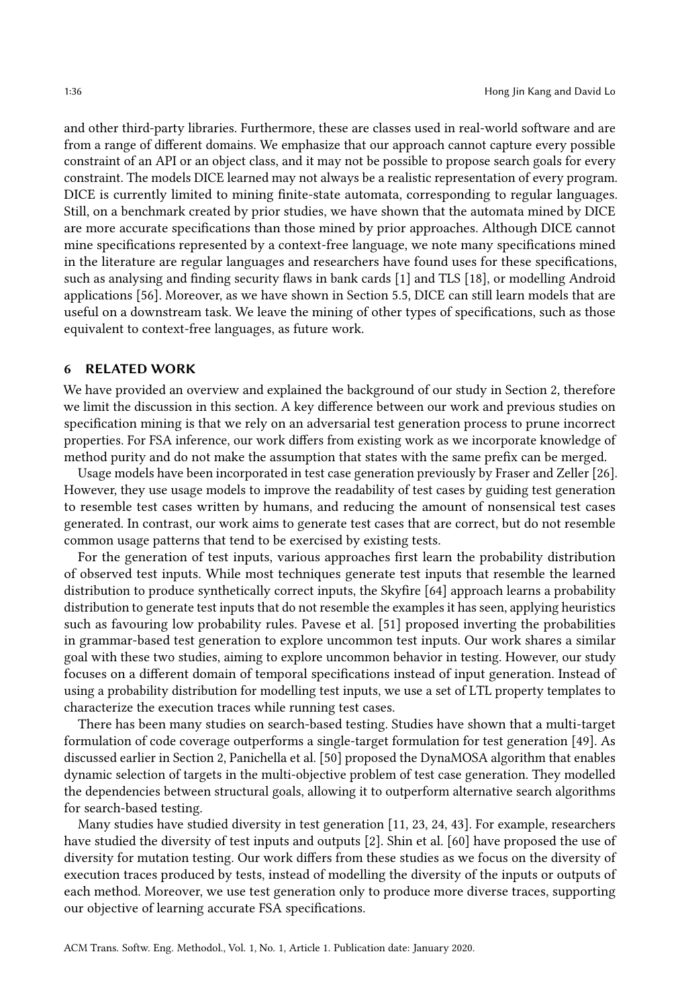and other third-party libraries. Furthermore, these are classes used in real-world software and are from a range of different domains. We emphasize that our approach cannot capture every possible constraint of an API or an object class, and it may not be possible to propose search goals for every constraint. The models DICE learned may not always be a realistic representation of every program. DICE is currently limited to mining finite-state automata, corresponding to regular languages. Still, on a benchmark created by prior studies, we have shown that the automata mined by DICE are more accurate specifications than those mined by prior approaches. Although DICE cannot mine specifications represented by a context-free language, we note many specifications mined in the literature are regular languages and researchers have found uses for these specifications, such as analysing and finding security flaws in bank cards [\[1\]](#page-37-11) and TLS [\[18\]](#page-38-15), or modelling Android applications [\[56\]](#page-39-17). Moreover, as we have shown in Section 5.5, DICE can still learn models that are useful on a downstream task. We leave the mining of other types of specifications, such as those equivalent to context-free languages, as future work.

#### <span id="page-35-0"></span>6 RELATED WORK

We have provided an overview and explained the background of our study in Section 2, therefore we limit the discussion in this section. A key difference between our work and previous studies on specification mining is that we rely on an adversarial test generation process to prune incorrect properties. For FSA inference, our work differs from existing work as we incorporate knowledge of method purity and do not make the assumption that states with the same prefix can be merged.

Usage models have been incorporated in test case generation previously by Fraser and Zeller [\[26\]](#page-38-16). However, they use usage models to improve the readability of test cases by guiding test generation to resemble test cases written by humans, and reducing the amount of nonsensical test cases generated. In contrast, our work aims to generate test cases that are correct, but do not resemble common usage patterns that tend to be exercised by existing tests.

For the generation of test inputs, various approaches first learn the probability distribution of observed test inputs. While most techniques generate test inputs that resemble the learned distribution to produce synthetically correct inputs, the Skyfire [\[64\]](#page-39-18) approach learns a probability distribution to generate test inputs that do not resemble the examples it has seen, applying heuristics such as favouring low probability rules. Pavese et al. [\[51\]](#page-39-19) proposed inverting the probabilities in grammar-based test generation to explore uncommon test inputs. Our work shares a similar goal with these two studies, aiming to explore uncommon behavior in testing. However, our study focuses on a different domain of temporal specifications instead of input generation. Instead of using a probability distribution for modelling test inputs, we use a set of LTL property templates to characterize the execution traces while running test cases.

There has been many studies on search-based testing. Studies have shown that a multi-target formulation of code coverage outperforms a single-target formulation for test generation [\[49\]](#page-39-10). As discussed earlier in Section 2, Panichella et al. [\[50\]](#page-39-1) proposed the DynaMOSA algorithm that enables dynamic selection of targets in the multi-objective problem of test case generation. They modelled the dependencies between structural goals, allowing it to outperform alternative search algorithms for search-based testing.

Many studies have studied diversity in test generation [\[11,](#page-37-12) [23,](#page-38-17) [24,](#page-38-18) [43\]](#page-39-20). For example, researchers have studied the diversity of test inputs and outputs [\[2\]](#page-37-13). Shin et al. [\[60\]](#page-39-21) have proposed the use of diversity for mutation testing. Our work differs from these studies as we focus on the diversity of execution traces produced by tests, instead of modelling the diversity of the inputs or outputs of each method. Moreover, we use test generation only to produce more diverse traces, supporting our objective of learning accurate FSA specifications.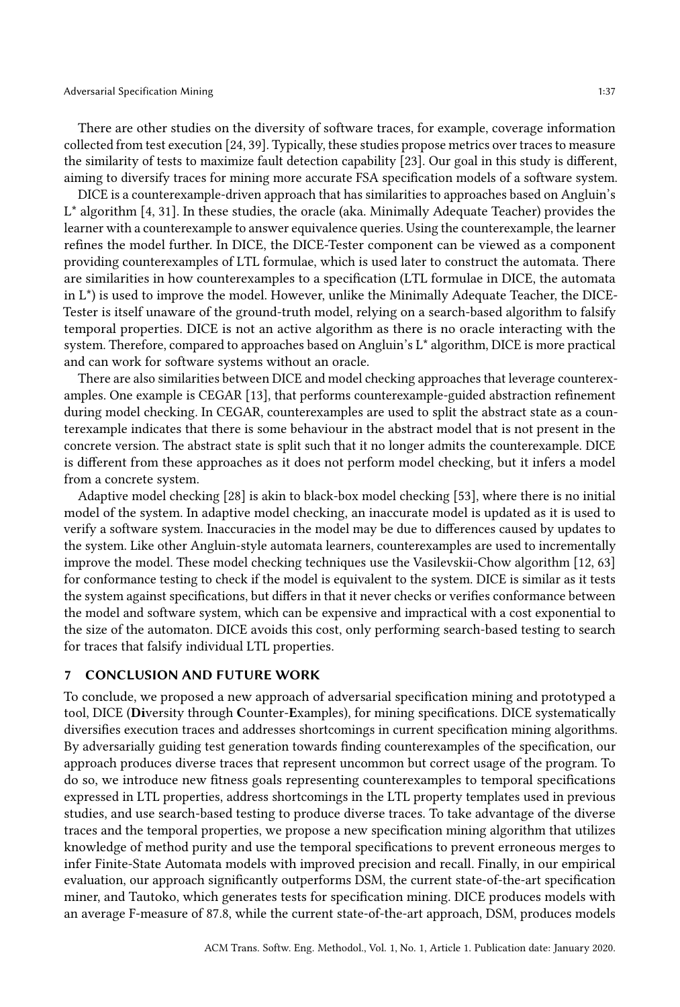There are other studies on the diversity of software traces, for example, coverage information collected from test execution [\[24,](#page-38-18) [39\]](#page-38-19). Typically, these studies propose metrics over traces to measure the similarity of tests to maximize fault detection capability [\[23\]](#page-38-17). Our goal in this study is different, aiming to diversify traces for mining more accurate FSA specification models of a software system.

DICE is a counterexample-driven approach that has similarities to approaches based on Angluin's L\* algorithm [\[4,](#page-37-14) [31\]](#page-38-20). In these studies, the oracle (aka. Minimally Adequate Teacher) provides the learner with a counterexample to answer equivalence queries. Using the counterexample, the learner refines the model further. In DICE, the DICE-Tester component can be viewed as a component providing counterexamples of LTL formulae, which is used later to construct the automata. There are similarities in how counterexamples to a specification (LTL formulae in DICE, the automata in L\*) is used to improve the model. However, unlike the Minimally Adequate Teacher, the DICE-Tester is itself unaware of the ground-truth model, relying on a search-based algorithm to falsify temporal properties. DICE is not an active algorithm as there is no oracle interacting with the system. Therefore, compared to approaches based on Angluin's L\* algorithm, DICE is more practical and can work for software systems without an oracle.

There are also similarities between DICE and model checking approaches that leverage counterexamples. One example is CEGAR [\[13\]](#page-37-15), that performs counterexample-guided abstraction refinement during model checking. In CEGAR, counterexamples are used to split the abstract state as a counterexample indicates that there is some behaviour in the abstract model that is not present in the concrete version. The abstract state is split such that it no longer admits the counterexample. DICE is different from these approaches as it does not perform model checking, but it infers a model from a concrete system.

Adaptive model checking [\[28\]](#page-38-21) is akin to black-box model checking [\[53\]](#page-39-22), where there is no initial model of the system. In adaptive model checking, an inaccurate model is updated as it is used to verify a software system. Inaccuracies in the model may be due to differences caused by updates to the system. Like other Angluin-style automata learners, counterexamples are used to incrementally improve the model. These model checking techniques use the Vasilevskii-Chow algorithm [\[12,](#page-37-16) [63\]](#page-39-23) for conformance testing to check if the model is equivalent to the system. DICE is similar as it tests the system against specifications, but differs in that it never checks or verifies conformance between the model and software system, which can be expensive and impractical with a cost exponential to the size of the automaton. DICE avoids this cost, only performing search-based testing to search for traces that falsify individual LTL properties.

#### <span id="page-36-0"></span>7 CONCLUSION AND FUTURE WORK

To conclude, we proposed a new approach of adversarial specification mining and prototyped a tool, DICE (Diversity through Counter-Examples), for mining specifications. DICE systematically diversifies execution traces and addresses shortcomings in current specification mining algorithms. By adversarially guiding test generation towards finding counterexamples of the specification, our approach produces diverse traces that represent uncommon but correct usage of the program. To do so, we introduce new fitness goals representing counterexamples to temporal specifications expressed in LTL properties, address shortcomings in the LTL property templates used in previous studies, and use search-based testing to produce diverse traces. To take advantage of the diverse traces and the temporal properties, we propose a new specification mining algorithm that utilizes knowledge of method purity and use the temporal specifications to prevent erroneous merges to infer Finite-State Automata models with improved precision and recall. Finally, in our empirical evaluation, our approach significantly outperforms DSM, the current state-of-the-art specification miner, and Tautoko, which generates tests for specification mining. DICE produces models with an average F-measure of 87.8, while the current state-of-the-art approach, DSM, produces models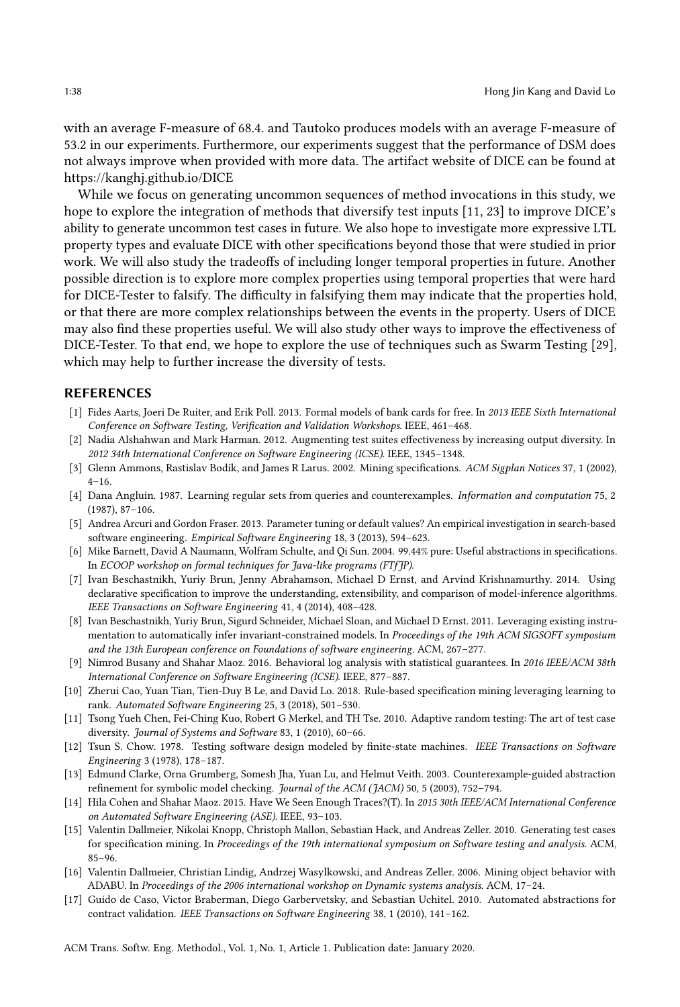with an average F-measure of 68.4. and Tautoko produces models with an average F-measure of 53.2 in our experiments. Furthermore, our experiments suggest that the performance of DSM does not always improve when provided with more data. The artifact website of DICE can be found at https://kanghj.github.io/DICE

While we focus on generating uncommon sequences of method invocations in this study, we hope to explore the integration of methods that diversify test inputs [\[11,](#page-37-12) [23\]](#page-38-17) to improve DICE's ability to generate uncommon test cases in future. We also hope to investigate more expressive LTL property types and evaluate DICE with other specifications beyond those that were studied in prior work. We will also study the tradeoffs of including longer temporal properties in future. Another possible direction is to explore more complex properties using temporal properties that were hard for DICE-Tester to falsify. The difficulty in falsifying them may indicate that the properties hold, or that there are more complex relationships between the events in the property. Users of DICE may also find these properties useful. We will also study other ways to improve the effectiveness of DICE-Tester. To that end, we hope to explore the use of techniques such as Swarm Testing [\[29\]](#page-38-22), which may help to further increase the diversity of tests.

#### REFERENCES

- <span id="page-37-11"></span>[1] Fides Aarts, Joeri De Ruiter, and Erik Poll. 2013. Formal models of bank cards for free. In 2013 IEEE Sixth International Conference on Software Testing, Verification and Validation Workshops. IEEE, 461–468.
- <span id="page-37-13"></span>[2] Nadia Alshahwan and Mark Harman. 2012. Augmenting test suites effectiveness by increasing output diversity. In 2012 34th International Conference on Software Engineering (ICSE). IEEE, 1345–1348.
- <span id="page-37-7"></span>[3] Glenn Ammons, Rastislav Bodík, and James R Larus. 2002. Mining specifications. ACM Sigplan Notices 37, 1 (2002), 4–16.
- <span id="page-37-14"></span>[4] Dana Angluin. 1987. Learning regular sets from queries and counterexamples. Information and computation 75, 2 (1987), 87–106.
- <span id="page-37-9"></span>[5] Andrea Arcuri and Gordon Fraser. 2013. Parameter tuning or default values? An empirical investigation in search-based software engineering. Empirical Software Engineering 18, 3 (2013), 594–623.
- <span id="page-37-10"></span>[6] Mike Barnett, David A Naumann, Wolfram Schulte, and Qi Sun. 2004. 99.44% pure: Useful abstractions in specifications. In ECOOP workshop on formal techniques for Java-like programs (FTfJP).
- <span id="page-37-3"></span>[7] Ivan Beschastnikh, Yuriy Brun, Jenny Abrahamson, Michael D Ernst, and Arvind Krishnamurthy. 2014. Using declarative specification to improve the understanding, extensibility, and comparison of model-inference algorithms. IEEE Transactions on Software Engineering 41, 4 (2014), 408–428.
- <span id="page-37-4"></span>[8] Ivan Beschastnikh, Yuriy Brun, Sigurd Schneider, Michael Sloan, and Michael D Ernst. 2011. Leveraging existing instrumentation to automatically infer invariant-constrained models. In Proceedings of the 19th ACM SIGSOFT symposium and the 13th European conference on Foundations of software engineering. ACM, 267–277.
- <span id="page-37-0"></span>[9] Nimrod Busany and Shahar Maoz. 2016. Behavioral log analysis with statistical guarantees. In 2016 IEEE/ACM 38th International Conference on Software Engineering (ICSE). IEEE, 877–887.
- <span id="page-37-5"></span>[10] Zherui Cao, Yuan Tian, Tien-Duy B Le, and David Lo. 2018. Rule-based specification mining leveraging learning to rank. Automated Software Engineering 25, 3 (2018), 501–530.
- <span id="page-37-12"></span>[11] Tsong Yueh Chen, Fei-Ching Kuo, Robert G Merkel, and TH Tse. 2010. Adaptive random testing: The art of test case diversity. Journal of Systems and Software 83, 1 (2010), 60–66.
- <span id="page-37-16"></span>[12] Tsun S. Chow. 1978. Testing software design modeled by finite-state machines. IEEE Transactions on Software Engineering 3 (1978), 178–187.
- <span id="page-37-15"></span>[13] Edmund Clarke, Orna Grumberg, Somesh Jha, Yuan Lu, and Helmut Veith. 2003. Counterexample-guided abstraction refinement for symbolic model checking. Journal of the ACM (JACM) 50, 5 (2003), 752-794.
- <span id="page-37-1"></span>[14] Hila Cohen and Shahar Maoz. 2015. Have We Seen Enough Traces?(T). In 2015 30th IEEE/ACM International Conference on Automated Software Engineering (ASE). IEEE, 93–103.
- <span id="page-37-2"></span>[15] Valentin Dallmeier, Nikolai Knopp, Christoph Mallon, Sebastian Hack, and Andreas Zeller. 2010. Generating test cases for specification mining. In Proceedings of the 19th international symposium on Software testing and analysis. ACM, 85–96.
- <span id="page-37-8"></span>[16] Valentin Dallmeier, Christian Lindig, Andrzej Wasylkowski, and Andreas Zeller. 2006. Mining object behavior with ADABU. In Proceedings of the 2006 international workshop on Dynamic systems analysis. ACM, 17–24.
- <span id="page-37-6"></span>[17] Guido de Caso, Victor Braberman, Diego Garbervetsky, and Sebastian Uchitel. 2010. Automated abstractions for contract validation. IEEE Transactions on Software Engineering 38, 1 (2010), 141–162.

ACM Trans. Softw. Eng. Methodol., Vol. 1, No. 1, Article 1. Publication date: January 2020.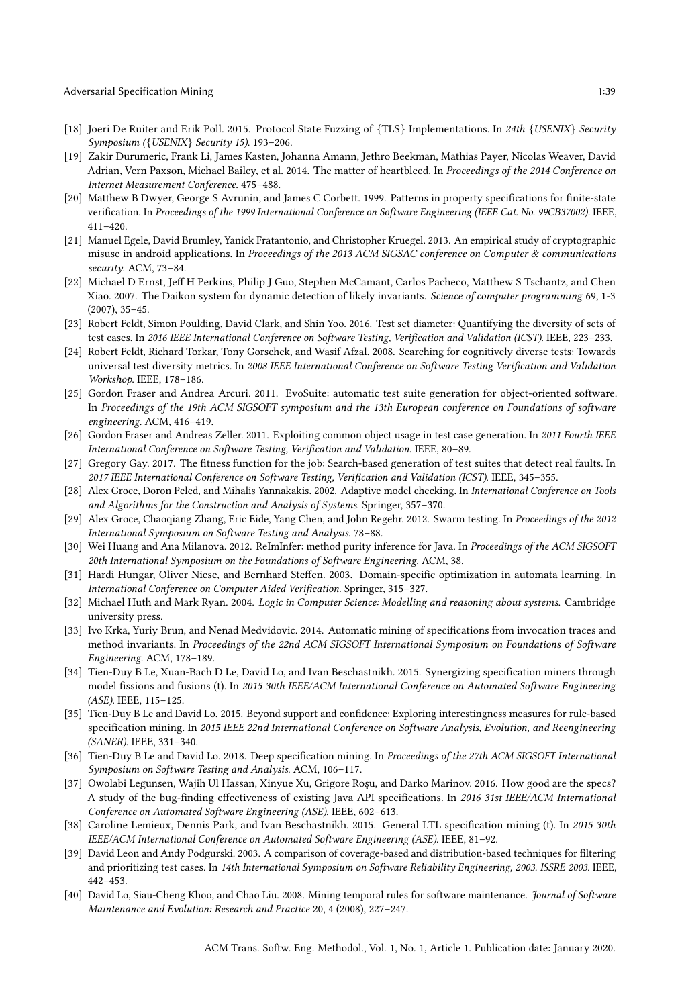- <span id="page-38-15"></span>[18] Joeri De Ruiter and Erik Poll. 2015. Protocol State Fuzzing of {TLS} Implementations. In 24th {USENIX} Security Symposium ({USENIX} Security 15). 193–206.
- <span id="page-38-14"></span>[19] Zakir Durumeric, Frank Li, James Kasten, Johanna Amann, Jethro Beekman, Mathias Payer, Nicolas Weaver, David Adrian, Vern Paxson, Michael Bailey, et al. 2014. The matter of heartbleed. In Proceedings of the 2014 Conference on Internet Measurement Conference. 475–488.
- <span id="page-38-4"></span>[20] Matthew B Dwyer, George S Avrunin, and James C Corbett. 1999. Patterns in property specifications for finite-state verification. In Proceedings of the 1999 International Conference on Software Engineering (IEEE Cat. No. 99CB37002). IEEE, 411–420.
- <span id="page-38-0"></span>[21] Manuel Egele, David Brumley, Yanick Fratantonio, and Christopher Kruegel. 2013. An empirical study of cryptographic misuse in android applications. In Proceedings of the 2013 ACM SIGSAC conference on Computer & communications security. ACM, 73–84.
- <span id="page-38-8"></span>[22] Michael D Ernst, Jeff H Perkins, Philip J Guo, Stephen McCamant, Carlos Pacheco, Matthew S Tschantz, and Chen Xiao. 2007. The Daikon system for dynamic detection of likely invariants. Science of computer programming 69, 1-3 (2007), 35–45.
- <span id="page-38-17"></span>[23] Robert Feldt, Simon Poulding, David Clark, and Shin Yoo. 2016. Test set diameter: Quantifying the diversity of sets of test cases. In 2016 IEEE International Conference on Software Testing, Verification and Validation (ICST). IEEE, 223–233.
- <span id="page-38-18"></span>[24] Robert Feldt, Richard Torkar, Tony Gorschek, and Wasif Afzal. 2008. Searching for cognitively diverse tests: Towards universal test diversity metrics. In 2008 IEEE International Conference on Software Testing Verification and Validation Workshop. IEEE, 178–186.
- <span id="page-38-3"></span>[25] Gordon Fraser and Andrea Arcuri. 2011. EvoSuite: automatic test suite generation for object-oriented software. In Proceedings of the 19th ACM SIGSOFT symposium and the 13th European conference on Foundations of software engineering. ACM, 416–419.
- <span id="page-38-16"></span>[26] Gordon Fraser and Andreas Zeller. 2011. Exploiting common object usage in test case generation. In 2011 Fourth IEEE International Conference on Software Testing, Verification and Validation. IEEE, 80–89.
- <span id="page-38-9"></span>[27] Gregory Gay. 2017. The fitness function for the job: Search-based generation of test suites that detect real faults. In 2017 IEEE International Conference on Software Testing, Verification and Validation (ICST). IEEE, 345–355.
- <span id="page-38-21"></span>[28] Alex Groce, Doron Peled, and Mihalis Yannakakis. 2002. Adaptive model checking. In International Conference on Tools and Algorithms for the Construction and Analysis of Systems. Springer, 357–370.
- <span id="page-38-22"></span>[29] Alex Groce, Chaoqiang Zhang, Eric Eide, Yang Chen, and John Regehr. 2012. Swarm testing. In Proceedings of the 2012 International Symposium on Software Testing and Analysis. 78–88.
- <span id="page-38-11"></span>[30] Wei Huang and Ana Milanova. 2012. ReImInfer: method purity inference for Java. In Proceedings of the ACM SIGSOFT 20th International Symposium on the Foundations of Software Engineering. ACM, 38.
- <span id="page-38-20"></span>[31] Hardi Hungar, Oliver Niese, and Bernhard Steffen. 2003. Domain-specific optimization in automata learning. In International Conference on Computer Aided Verification. Springer, 315–327.
- <span id="page-38-10"></span>[32] Michael Huth and Mark Ryan. 2004. Logic in Computer Science: Modelling and reasoning about systems. Cambridge university press.
- <span id="page-38-7"></span>[33] Ivo Krka, Yuriy Brun, and Nenad Medvidovic. 2014. Automatic mining of specifications from invocation traces and method invariants. In Proceedings of the 22nd ACM SIGSOFT International Symposium on Foundations of Software Engineering. ACM, 178–189.
- <span id="page-38-5"></span>[34] Tien-Duy B Le, Xuan-Bach D Le, David Lo, and Ivan Beschastnikh. 2015. Synergizing specification miners through model fissions and fusions (t). In 2015 30th IEEE/ACM International Conference on Automated Software Engineering (ASE). IEEE, 115–125.
- <span id="page-38-6"></span>[35] Tien-Duy B Le and David Lo. 2015. Beyond support and confidence: Exploring interestingness measures for rule-based specification mining. In 2015 IEEE 22nd International Conference on Software Analysis, Evolution, and Reengineering (SANER). IEEE, 331–340.
- <span id="page-38-2"></span>[36] Tien-Duy B Le and David Lo. 2018. Deep specification mining. In Proceedings of the 27th ACM SIGSOFT International Symposium on Software Testing and Analysis. ACM, 106–117.
- <span id="page-38-1"></span>[37] Owolabi Legunsen, Wajih Ul Hassan, Xinyue Xu, Grigore Roşu, and Darko Marinov. 2016. How good are the specs? A study of the bug-finding effectiveness of existing Java API specifications. In 2016 31st IEEE/ACM International Conference on Automated Software Engineering (ASE). IEEE, 602–613.
- <span id="page-38-12"></span>[38] Caroline Lemieux, Dennis Park, and Ivan Beschastnikh. 2015. General LTL specification mining (t). In 2015 30th IEEE/ACM International Conference on Automated Software Engineering (ASE). IEEE, 81–92.
- <span id="page-38-19"></span>[39] David Leon and Andy Podgurski. 2003. A comparison of coverage-based and distribution-based techniques for filtering and prioritizing test cases. In 14th International Symposium on Software Reliability Engineering, 2003. ISSRE 2003. IEEE, 442–453.
- <span id="page-38-13"></span>[40] David Lo, Siau-Cheng Khoo, and Chao Liu. 2008. Mining temporal rules for software maintenance. Journal of Software Maintenance and Evolution: Research and Practice 20, 4 (2008), 227–247.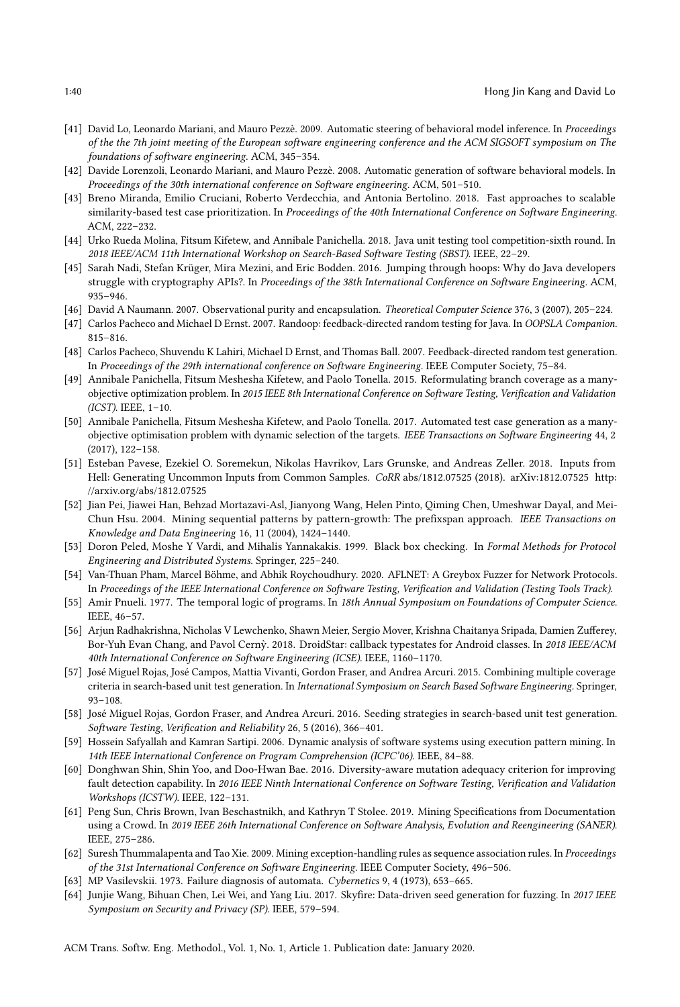- <span id="page-39-3"></span>[41] David Lo, Leonardo Mariani, and Mauro Pezzè. 2009. Automatic steering of behavioral model inference. In Proceedings of the the 7th joint meeting of the European software engineering conference and the ACM SIGSOFT symposium on The foundations of software engineering. ACM, 345–354.
- <span id="page-39-4"></span>[42] Davide Lorenzoli, Leonardo Mariani, and Mauro Pezzè. 2008. Automatic generation of software behavioral models. In Proceedings of the 30th international conference on Software engineering. ACM, 501–510.
- <span id="page-39-20"></span>[43] Breno Miranda, Emilio Cruciani, Roberto Verdecchia, and Antonia Bertolino. 2018. Fast approaches to scalable similarity-based test case prioritization. In Proceedings of the 40th International Conference on Software Engineering. ACM, 222–232.
- <span id="page-39-8"></span>[44] Urko Rueda Molina, Fitsum Kifetew, and Annibale Panichella. 2018. Java unit testing tool competition-sixth round. In 2018 IEEE/ACM 11th International Workshop on Search-Based Software Testing (SBST). IEEE, 22–29.
- <span id="page-39-0"></span>[45] Sarah Nadi, Stefan Krüger, Mira Mezini, and Eric Bodden. 2016. Jumping through hoops: Why do Java developers struggle with cryptography APIs?. In Proceedings of the 38th International Conference on Software Engineering. ACM, 935–946.
- <span id="page-39-13"></span>[46] David A Naumann. 2007. Observational purity and encapsulation. Theoretical Computer Science 376, 3 (2007), 205–224.
- <span id="page-39-6"></span>[47] Carlos Pacheco and Michael D Ernst. 2007. Randoop: feedback-directed random testing for Java. In OOPSLA Companion. 815–816.
- <span id="page-39-12"></span>[48] Carlos Pacheco, Shuvendu K Lahiri, Michael D Ernst, and Thomas Ball. 2007. Feedback-directed random test generation. In Proceedings of the 29th international conference on Software Engineering. IEEE Computer Society, 75–84.
- <span id="page-39-10"></span>[49] Annibale Panichella, Fitsum Meshesha Kifetew, and Paolo Tonella. 2015. Reformulating branch coverage as a manyobjective optimization problem. In 2015 IEEE 8th International Conference on Software Testing, Verification and Validation (ICST). IEEE, 1–10.
- <span id="page-39-1"></span>[50] Annibale Panichella, Fitsum Meshesha Kifetew, and Paolo Tonella. 2017. Automated test case generation as a manyobjective optimisation problem with dynamic selection of the targets. IEEE Transactions on Software Engineering 44, 2 (2017), 122–158.
- <span id="page-39-19"></span>[51] Esteban Pavese, Ezekiel O. Soremekun, Nikolas Havrikov, Lars Grunske, and Andreas Zeller. 2018. Inputs from Hell: Generating Uncommon Inputs from Common Samples. CoRR abs/1812.07525 (2018). arXiv[:1812.07525](https://arxiv.org/abs/1812.07525) [http:](http://arxiv.org/abs/1812.07525) [//arxiv.org/abs/1812.07525](http://arxiv.org/abs/1812.07525)
- <span id="page-39-15"></span>[52] Jian Pei, Jiawei Han, Behzad Mortazavi-Asl, Jianyong Wang, Helen Pinto, Qiming Chen, Umeshwar Dayal, and Mei-Chun Hsu. 2004. Mining sequential patterns by pattern-growth: The prefixspan approach. IEEE Transactions on Knowledge and Data Engineering 16, 11 (2004), 1424–1440.
- <span id="page-39-22"></span>[53] Doron Peled, Moshe Y Vardi, and Mihalis Yannakakis. 1999. Black box checking. In Formal Methods for Protocol Engineering and Distributed Systems. Springer, 225–240.
- <span id="page-39-16"></span>[54] Van-Thuan Pham, Marcel Böhme, and Abhik Roychoudhury. 2020. AFLNET: A Greybox Fuzzer for Network Protocols. In Proceedings of the IEEE International Conference on Software Testing, Verification and Validation (Testing Tools Track).
- <span id="page-39-11"></span>[55] Amir Pnueli. 1977. The temporal logic of programs. In 18th Annual Symposium on Foundations of Computer Science. IEEE, 46–57.
- <span id="page-39-17"></span>[56] Arjun Radhakrishna, Nicholas V Lewchenko, Shawn Meier, Sergio Mover, Krishna Chaitanya Sripada, Damien Zufferey, Bor-Yuh Evan Chang, and Pavol Cerny. 2018. DroidStar: callback typestates for Android classes. In 2018 IEEE/ACM 40th International Conference on Software Engineering (ICSE). IEEE, 1160–1170.
- <span id="page-39-9"></span>[57] José Miguel Rojas, José Campos, Mattia Vivanti, Gordon Fraser, and Andrea Arcuri. 2015. Combining multiple coverage criteria in search-based unit test generation. In International Symposium on Search Based Software Engineering. Springer, 93–108.
- <span id="page-39-7"></span>[58] José Miguel Rojas, Gordon Fraser, and Andrea Arcuri. 2016. Seeding strategies in search-based unit test generation. Software Testing, Verification and Reliability 26, 5 (2016), 366–401.
- <span id="page-39-14"></span>[59] Hossein Safyallah and Kamran Sartipi. 2006. Dynamic analysis of software systems using execution pattern mining. In 14th IEEE International Conference on Program Comprehension (ICPC'06). IEEE, 84–88.
- <span id="page-39-21"></span>[60] Donghwan Shin, Shin Yoo, and Doo-Hwan Bae. 2016. Diversity-aware mutation adequacy criterion for improving fault detection capability. In 2016 IEEE Ninth International Conference on Software Testing, Verification and Validation Workshops (ICSTW). IEEE, 122–131.
- <span id="page-39-2"></span>[61] Peng Sun, Chris Brown, Ivan Beschastnikh, and Kathryn T Stolee. 2019. Mining Specifications from Documentation using a Crowd. In 2019 IEEE 26th International Conference on Software Analysis, Evolution and Reengineering (SANER). IEEE, 275–286.
- <span id="page-39-5"></span>[62] Suresh Thummalapenta and Tao Xie. 2009. Mining exception-handling rules as sequence association rules. In Proceedings of the 31st International Conference on Software Engineering. IEEE Computer Society, 496–506.
- <span id="page-39-23"></span>[63] MP Vasilevskii. 1973. Failure diagnosis of automata. Cybernetics 9, 4 (1973), 653–665.
- <span id="page-39-18"></span>[64] Junjie Wang, Bihuan Chen, Lei Wei, and Yang Liu. 2017. Skyfire: Data-driven seed generation for fuzzing. In 2017 IEEE Symposium on Security and Privacy (SP). IEEE, 579–594.

ACM Trans. Softw. Eng. Methodol., Vol. 1, No. 1, Article 1. Publication date: January 2020.